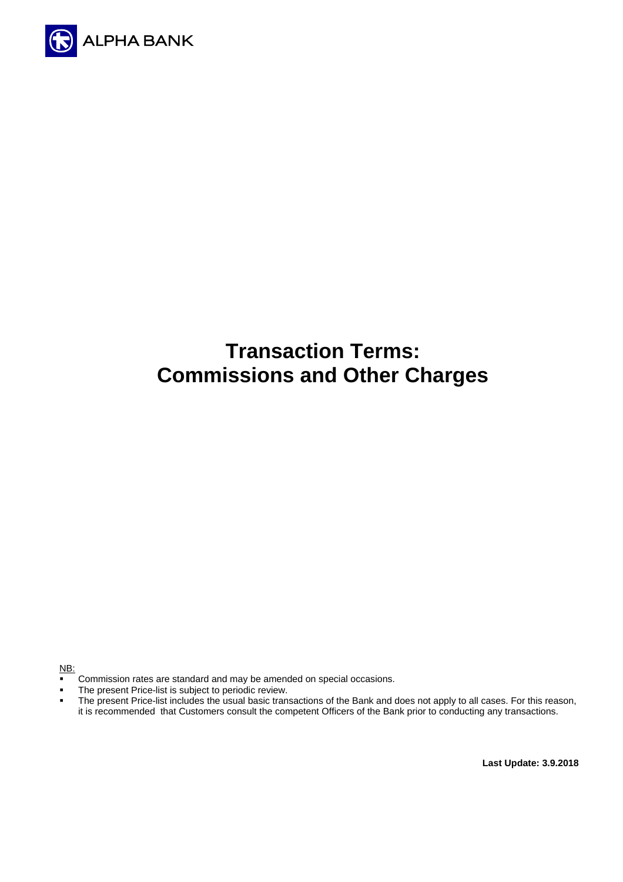

# **Transaction Terms: Commissions and Other Charges**

NB:

- **Commission rates are standard and may be amended on special occasions.**
- The present Price-list is subject to periodic review.<br>The present Price-list includes the usual basic trans
- The present Price-list includes the usual basic transactions of the Bank and does not apply to all cases. For this reason, it is recommended that Customers consult the competent Officers of the Bank prior to conducting any transactions.

**Last Update: 3.9.2018**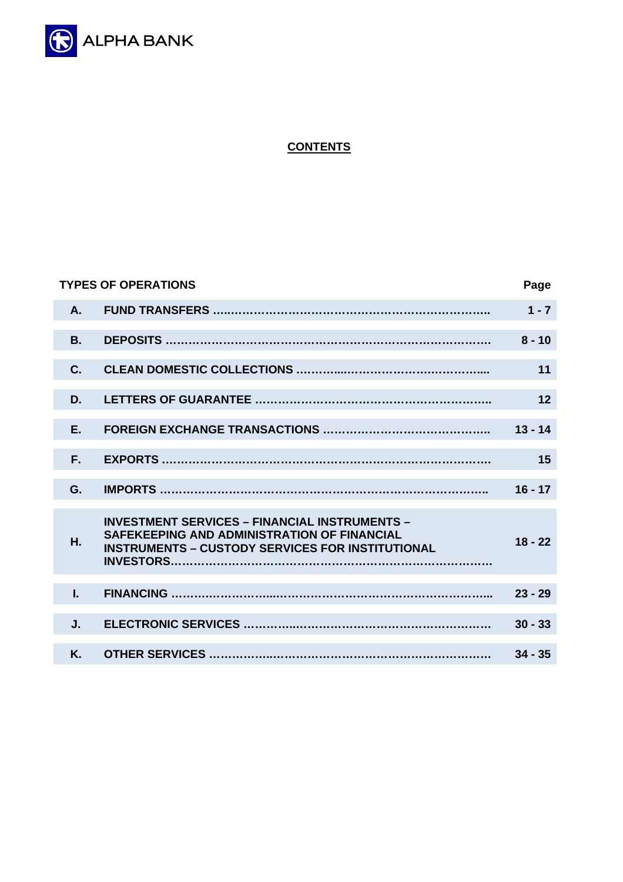

# **CONTENTS**

|                | <b>TYPES OF OPERATIONS</b>                                                                                                                                     | Page      |
|----------------|----------------------------------------------------------------------------------------------------------------------------------------------------------------|-----------|
| A.             |                                                                                                                                                                | $1 - 7$   |
| <b>B.</b>      |                                                                                                                                                                | $8 - 10$  |
| $\mathbf{C}$ . |                                                                                                                                                                | 11        |
| D.             |                                                                                                                                                                | 12        |
| E.             |                                                                                                                                                                | $13 - 14$ |
| F.             |                                                                                                                                                                | 15        |
| G.             |                                                                                                                                                                | $16 - 17$ |
| Η.             | <b>INVESTMENT SERVICES - FINANCIAL INSTRUMENTS -</b><br>SAFEKEEPING AND ADMINISTRATION OF FINANCIAL<br><b>INSTRUMENTS - CUSTODY SERVICES FOR INSTITUTIONAL</b> | $18 - 22$ |
| L.             |                                                                                                                                                                | $23 - 29$ |
| J.             |                                                                                                                                                                | $30 - 33$ |
| K.             |                                                                                                                                                                | $34 - 35$ |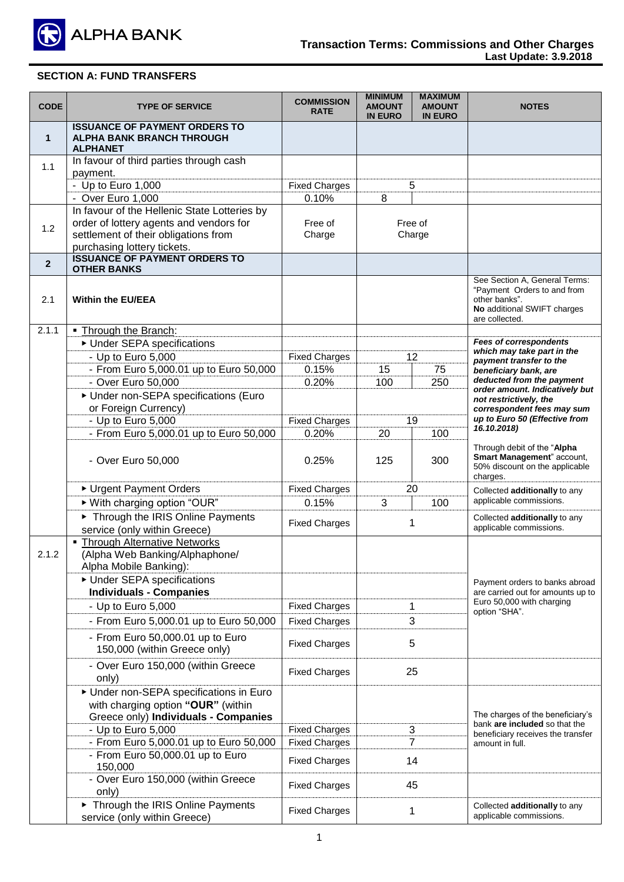

| <b>CODE</b>    | <b>TYPE OF SERVICE</b>                                                                      | <b>COMMISSION</b><br><b>RATE</b> | <b>MINIMUM</b><br><b>AMOUNT</b><br><b>IN EURO</b> | <b>MAXIMUM</b><br><b>AMOUNT</b><br><b>IN EURO</b> | <b>NOTES</b>                                                                                                                   |
|----------------|---------------------------------------------------------------------------------------------|----------------------------------|---------------------------------------------------|---------------------------------------------------|--------------------------------------------------------------------------------------------------------------------------------|
| $\mathbf 1$    | <b>ISSUANCE OF PAYMENT ORDERS TO</b><br><b>ALPHA BANK BRANCH THROUGH</b><br><b>ALPHANET</b> |                                  |                                                   |                                                   |                                                                                                                                |
| 1.1            | In favour of third parties through cash<br>payment.                                         |                                  |                                                   |                                                   |                                                                                                                                |
|                | - Up to Euro 1,000                                                                          | <b>Fixed Charges</b>             |                                                   | 5                                                 |                                                                                                                                |
|                | - Over Euro 1,000                                                                           | 0.10%                            | 8                                                 |                                                   |                                                                                                                                |
|                | In favour of the Hellenic State Lotteries by                                                |                                  |                                                   |                                                   |                                                                                                                                |
| 1.2            | order of lottery agents and vendors for                                                     | Free of                          |                                                   | Free of                                           |                                                                                                                                |
|                | settlement of their obligations from                                                        | Charge                           |                                                   | Charge                                            |                                                                                                                                |
|                | purchasing lottery tickets.                                                                 |                                  |                                                   |                                                   |                                                                                                                                |
| $\overline{2}$ | <b>ISSUANCE OF PAYMENT ORDERS TO</b><br><b>OTHER BANKS</b>                                  |                                  |                                                   |                                                   |                                                                                                                                |
| 2.1            | <b>Within the EU/EEA</b>                                                                    |                                  |                                                   |                                                   | See Section A, General Terms:<br>"Payment Orders to and from<br>other banks".<br>No additional SWIFT charges<br>are collected. |
| 2.1.1          | . Through the Branch:                                                                       |                                  |                                                   |                                                   |                                                                                                                                |
|                | ▶ Under SEPA specifications                                                                 |                                  |                                                   |                                                   | <b>Fees of correspondents</b><br>which may take part in the                                                                    |
|                | - Up to Euro 5,000                                                                          | <b>Fixed Charges</b>             |                                                   | 12                                                | payment transfer to the                                                                                                        |
|                | - From Euro 5,000.01 up to Euro 50,000                                                      | 0.15%                            | 15                                                | 75                                                | beneficiary bank, are<br>deducted from the payment                                                                             |
|                | - Over Euro 50,000                                                                          | 0.20%                            | 100                                               | 250                                               | order amount. Indicatively but                                                                                                 |
|                | Under non-SEPA specifications (Euro                                                         |                                  |                                                   |                                                   | not restrictively, the                                                                                                         |
|                | or Foreign Currency)                                                                        |                                  |                                                   |                                                   | correspondent fees may sum<br>up to Euro 50 (Effective from                                                                    |
|                | - Up to Euro 5,000                                                                          | <b>Fixed Charges</b>             |                                                   | 19                                                | 16.10.2018)                                                                                                                    |
|                | - From Euro 5,000.01 up to Euro 50,000                                                      | 0.20%                            | 20                                                | 100                                               |                                                                                                                                |
|                | - Over Euro 50,000                                                                          | 0.25%                            | 125                                               | 300                                               | Through debit of the "Alpha<br>Smart Management" account,<br>50% discount on the applicable<br>charges.                        |
|                | ▶ Urgent Payment Orders                                                                     | <b>Fixed Charges</b>             |                                                   | 20                                                | Collected additionally to any                                                                                                  |
|                | ▶ With charging option "OUR"                                                                | 0.15%                            | 3                                                 | 100                                               | applicable commissions.                                                                                                        |
|                | Through the IRIS Online Payments<br>service (only within Greece)                            | <b>Fixed Charges</b>             |                                                   | 1                                                 | Collected additionally to any<br>applicable commissions.                                                                       |
|                | • Through Alternative Networks                                                              |                                  |                                                   |                                                   |                                                                                                                                |
| 2.1.2          | (Alpha Web Banking/Alphaphone/<br>Alpha Mobile Banking):                                    |                                  |                                                   |                                                   |                                                                                                                                |
|                | ▶ Under SEPA specifications                                                                 |                                  |                                                   |                                                   |                                                                                                                                |
|                | <b>Individuals - Companies</b>                                                              |                                  |                                                   |                                                   | Payment orders to banks abroad<br>are carried out for amounts up to                                                            |
|                | - Up to Euro 5,000                                                                          | <b>Fixed Charges</b>             |                                                   | 1                                                 | Euro 50,000 with charging                                                                                                      |
|                | - From Euro 5,000.01 up to Euro 50,000                                                      | <b>Fixed Charges</b>             |                                                   | 3                                                 | option "SHA".                                                                                                                  |
|                |                                                                                             |                                  |                                                   |                                                   |                                                                                                                                |
|                | - From Euro 50,000.01 up to Euro<br>150,000 (within Greece only)                            | <b>Fixed Charges</b>             |                                                   | 5                                                 |                                                                                                                                |
|                | - Over Euro 150,000 (within Greece<br>only)                                                 | <b>Fixed Charges</b>             |                                                   | 25                                                |                                                                                                                                |
|                | Under non-SEPA specifications in Euro                                                       |                                  |                                                   |                                                   |                                                                                                                                |
|                | with charging option "OUR" (within                                                          |                                  |                                                   |                                                   |                                                                                                                                |
|                | Greece only) Individuals - Companies                                                        |                                  |                                                   |                                                   | The charges of the beneficiary's<br>bank are included so that the                                                              |
|                | - Up to Euro 5,000                                                                          | <b>Fixed Charges</b>             |                                                   | 3                                                 | beneficiary receives the transfer                                                                                              |
|                | - From Euro 5,000.01 up to Euro 50,000                                                      | <b>Fixed Charges</b>             |                                                   | 7                                                 | amount in full.                                                                                                                |
|                | - From Euro 50,000.01 up to Euro<br>150,000                                                 | <b>Fixed Charges</b>             |                                                   | 14                                                |                                                                                                                                |
|                | - Over Euro 150,000 (within Greece<br>only)                                                 | <b>Fixed Charges</b>             |                                                   | 45                                                |                                                                                                                                |
|                | Through the IRIS Online Payments<br>service (only within Greece)                            | <b>Fixed Charges</b>             |                                                   | 1                                                 | Collected additionally to any<br>applicable commissions.                                                                       |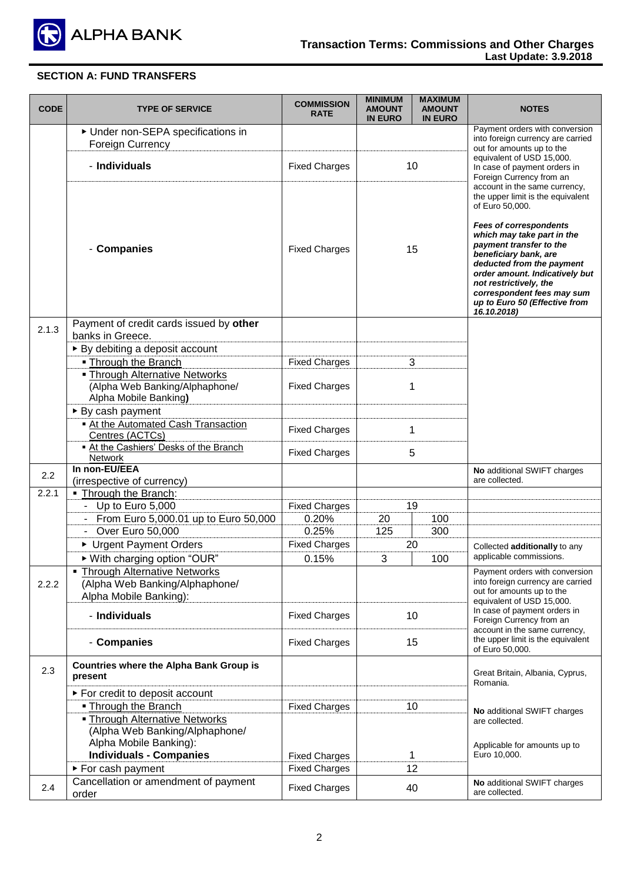

| <b>CODE</b> | <b>TYPE OF SERVICE</b>                                                                           | <b>COMMISSION</b><br><b>RATE</b>             | <b>MINIMUM</b><br><b>AMOUNT</b><br><b>IN EURO</b> | <b>MAXIMUM</b><br><b>AMOUNT</b><br><b>IN EURO</b> | <b>NOTES</b>                                                                                                                                                                                                                                                                                                                                   |
|-------------|--------------------------------------------------------------------------------------------------|----------------------------------------------|---------------------------------------------------|---------------------------------------------------|------------------------------------------------------------------------------------------------------------------------------------------------------------------------------------------------------------------------------------------------------------------------------------------------------------------------------------------------|
|             | Under non-SEPA specifications in<br><b>Foreign Currency</b>                                      |                                              |                                                   |                                                   | Payment orders with conversion<br>into foreign currency are carried                                                                                                                                                                                                                                                                            |
|             | - Individuals                                                                                    | <b>Fixed Charges</b>                         |                                                   | 10                                                | out for amounts up to the<br>equivalent of USD 15,000.<br>In case of payment orders in<br>Foreign Currency from an<br>account in the same currency,                                                                                                                                                                                            |
|             | - Companies                                                                                      | <b>Fixed Charges</b>                         |                                                   | 15                                                | the upper limit is the equivalent<br>of Euro 50,000.<br><b>Fees of correspondents</b><br>which may take part in the<br>payment transfer to the<br>beneficiary bank, are<br>deducted from the payment<br>order amount. Indicatively but<br>not restrictively, the<br>correspondent fees may sum<br>up to Euro 50 (Effective from<br>16.10.2018) |
| 2.1.3       | Payment of credit cards issued by other                                                          |                                              |                                                   |                                                   |                                                                                                                                                                                                                                                                                                                                                |
|             | banks in Greece.                                                                                 |                                              |                                                   |                                                   |                                                                                                                                                                                                                                                                                                                                                |
|             | ▶ By debiting a deposit account                                                                  |                                              |                                                   |                                                   |                                                                                                                                                                                                                                                                                                                                                |
|             | • Through the Branch                                                                             | <b>Fixed Charges</b>                         |                                                   | 3                                                 |                                                                                                                                                                                                                                                                                                                                                |
|             | <b>- Through Alternative Networks</b><br>(Alpha Web Banking/Alphaphone/<br>Alpha Mobile Banking) | <b>Fixed Charges</b>                         |                                                   | 1                                                 |                                                                                                                                                                                                                                                                                                                                                |
|             | $\triangleright$ By cash payment                                                                 |                                              |                                                   |                                                   |                                                                                                                                                                                                                                                                                                                                                |
|             | - At the Automated Cash Transaction<br>Centres (ACTCs)                                           | <b>Fixed Charges</b>                         |                                                   | 1                                                 |                                                                                                                                                                                                                                                                                                                                                |
|             | At the Cashiers' Desks of the Branch<br>Network                                                  | <b>Fixed Charges</b>                         |                                                   | 5                                                 |                                                                                                                                                                                                                                                                                                                                                |
| 2.2         | In non-EU/EEA<br>(irrespective of currency)                                                      |                                              |                                                   |                                                   | No additional SWIFT charges<br>are collected.                                                                                                                                                                                                                                                                                                  |
| 2.2.1       | . Through the Branch:                                                                            |                                              |                                                   |                                                   |                                                                                                                                                                                                                                                                                                                                                |
|             | Up to Euro 5,000<br>$\mathbb{Z}^{\mathbb{Z}}$                                                    | <b>Fixed Charges</b>                         |                                                   | 19                                                |                                                                                                                                                                                                                                                                                                                                                |
|             | From Euro 5,000.01 up to Euro 50,000<br>$\blacksquare$                                           | 0.20%                                        | 20                                                | 100                                               |                                                                                                                                                                                                                                                                                                                                                |
|             | Over Euro 50,000                                                                                 | 0.25%                                        | 125                                               | 300                                               |                                                                                                                                                                                                                                                                                                                                                |
|             | ▶ Urgent Payment Orders                                                                          | <b>Fixed Charges</b>                         |                                                   | 20                                                | Collected additionally to any                                                                                                                                                                                                                                                                                                                  |
|             | ▶ With charging option "OUR"                                                                     | 0.15%                                        | 3                                                 | 100                                               | applicable commissions.                                                                                                                                                                                                                                                                                                                        |
|             | • Through Alternative Networks                                                                   |                                              |                                                   |                                                   | Payment orders with conversion                                                                                                                                                                                                                                                                                                                 |
| 2.2.2       | (Alpha Web Banking/Alphaphone/                                                                   |                                              |                                                   |                                                   | into foreign currency are carried<br>out for amounts up to the                                                                                                                                                                                                                                                                                 |
|             | Alpha Mobile Banking):                                                                           |                                              |                                                   |                                                   | equivalent of USD 15,000.                                                                                                                                                                                                                                                                                                                      |
|             | - Individuals                                                                                    | <b>Fixed Charges</b>                         |                                                   | 10                                                | In case of payment orders in<br>Foreign Currency from an                                                                                                                                                                                                                                                                                       |
|             | - Companies                                                                                      | <b>Fixed Charges</b>                         |                                                   | 15                                                | account in the same currency,<br>the upper limit is the equivalent<br>of Euro 50,000.                                                                                                                                                                                                                                                          |
| 2.3         | <b>Countries where the Alpha Bank Group is</b><br>present                                        |                                              |                                                   |                                                   | Great Britain, Albania, Cyprus,<br>Romania.                                                                                                                                                                                                                                                                                                    |
|             | ► For credit to deposit account                                                                  |                                              |                                                   |                                                   |                                                                                                                                                                                                                                                                                                                                                |
|             | • Through the Branch                                                                             | <b>Fixed Charges</b>                         |                                                   | 10                                                | No additional SWIFT charges                                                                                                                                                                                                                                                                                                                    |
|             | <b>- Through Alternative Networks</b>                                                            |                                              |                                                   |                                                   | are collected.                                                                                                                                                                                                                                                                                                                                 |
|             | (Alpha Web Banking/Alphaphone/                                                                   |                                              |                                                   |                                                   |                                                                                                                                                                                                                                                                                                                                                |
|             | Alpha Mobile Banking):                                                                           |                                              |                                                   |                                                   | Applicable for amounts up to                                                                                                                                                                                                                                                                                                                   |
|             | <b>Individuals - Companies</b>                                                                   | <b>Fixed Charges</b><br><b>Fixed Charges</b> |                                                   | 1<br>12                                           | Euro 10,000.                                                                                                                                                                                                                                                                                                                                   |
|             | ► For cash payment<br>Cancellation or amendment of payment                                       |                                              |                                                   |                                                   |                                                                                                                                                                                                                                                                                                                                                |
| 2.4         | order                                                                                            | <b>Fixed Charges</b>                         |                                                   | 40                                                | No additional SWIFT charges<br>are collected.                                                                                                                                                                                                                                                                                                  |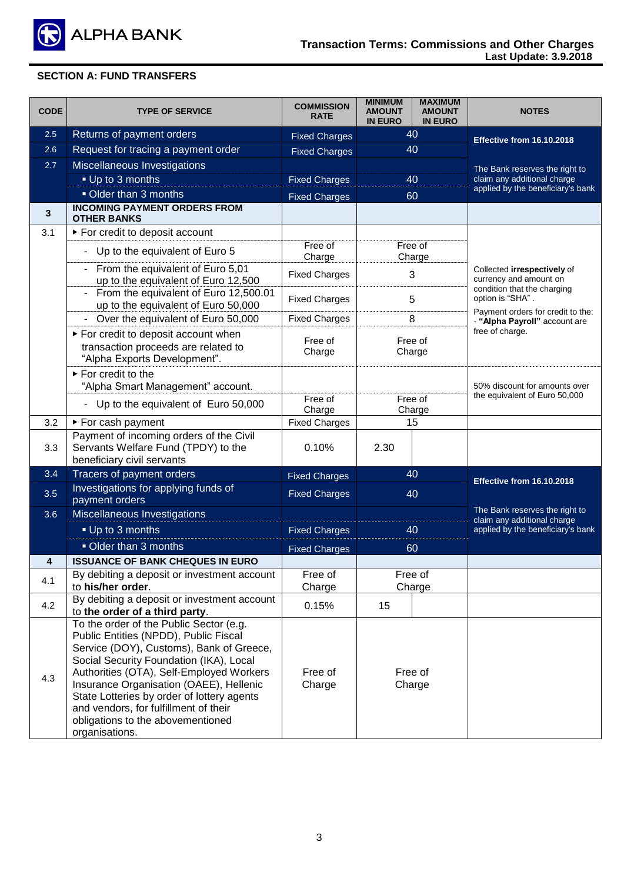

| <b>CODE</b> | <b>TYPE OF SERVICE</b>                                                                                                                                                                                                                                                                                                                                                                                       | <b>COMMISSION</b><br><b>RATE</b> | <b>MINIMUM</b><br><b>AMOUNT</b><br><b>IN EURO</b> | <b>MAXIMUM</b><br><b>AMOUNT</b><br><b>IN EURO</b> | <b>NOTES</b>                                                       |  |
|-------------|--------------------------------------------------------------------------------------------------------------------------------------------------------------------------------------------------------------------------------------------------------------------------------------------------------------------------------------------------------------------------------------------------------------|----------------------------------|---------------------------------------------------|---------------------------------------------------|--------------------------------------------------------------------|--|
| 2.5         | Returns of payment orders                                                                                                                                                                                                                                                                                                                                                                                    | <b>Fixed Charges</b>             |                                                   | 40                                                | Effective from 16.10.2018                                          |  |
| 2.6         | Request for tracing a payment order                                                                                                                                                                                                                                                                                                                                                                          | <b>Fixed Charges</b>             |                                                   | 40                                                |                                                                    |  |
| 2.7         | Miscellaneous Investigations                                                                                                                                                                                                                                                                                                                                                                                 |                                  |                                                   |                                                   | The Bank reserves the right to                                     |  |
|             | • Up to 3 months                                                                                                                                                                                                                                                                                                                                                                                             | <b>Fixed Charges</b>             | 40                                                |                                                   | claim any additional charge                                        |  |
|             | Older than 3 months                                                                                                                                                                                                                                                                                                                                                                                          | <b>Fixed Charges</b>             | 60                                                |                                                   | applied by the beneficiary's bank                                  |  |
| 3           | <b>INCOMING PAYMENT ORDERS FROM</b>                                                                                                                                                                                                                                                                                                                                                                          |                                  |                                                   |                                                   |                                                                    |  |
|             | <b>OTHER BANKS</b>                                                                                                                                                                                                                                                                                                                                                                                           |                                  |                                                   |                                                   |                                                                    |  |
| 3.1         | ▶ For credit to deposit account                                                                                                                                                                                                                                                                                                                                                                              |                                  |                                                   |                                                   |                                                                    |  |
|             | Up to the equivalent of Euro 5<br>$\blacksquare$                                                                                                                                                                                                                                                                                                                                                             | Free of<br>Charge                |                                                   | Free of<br>Charge                                 |                                                                    |  |
|             | From the equivalent of Euro 5,01<br>$\blacksquare$<br>up to the equivalent of Euro 12,500                                                                                                                                                                                                                                                                                                                    | <b>Fixed Charges</b>             |                                                   | 3                                                 | Collected irrespectively of<br>currency and amount on              |  |
|             | From the equivalent of Euro 12,500.01<br>$\blacksquare$<br>up to the equivalent of Euro 50,000                                                                                                                                                                                                                                                                                                               | <b>Fixed Charges</b>             | 5                                                 |                                                   | condition that the charging<br>option is "SHA".                    |  |
|             | - Over the equivalent of Euro 50,000                                                                                                                                                                                                                                                                                                                                                                         | <b>Fixed Charges</b>             | 8                                                 |                                                   | Payment orders for credit to the:<br>- "Alpha Payroll" account are |  |
|             | For credit to deposit account when<br>transaction proceeds are related to<br>"Alpha Exports Development".                                                                                                                                                                                                                                                                                                    | Free of<br>Charge                | Free of<br>Charge                                 |                                                   | free of charge.                                                    |  |
|             | ► For credit to the<br>"Alpha Smart Management" account.                                                                                                                                                                                                                                                                                                                                                     |                                  |                                                   |                                                   | 50% discount for amounts over                                      |  |
|             | Up to the equivalent of Euro 50,000                                                                                                                                                                                                                                                                                                                                                                          | Free of<br>Charge                | Free of<br>Charge                                 |                                                   | the equivalent of Euro 50,000                                      |  |
| 3.2         | ► For cash payment                                                                                                                                                                                                                                                                                                                                                                                           | <b>Fixed Charges</b>             |                                                   | 15                                                |                                                                    |  |
| 3.3         | Payment of incoming orders of the Civil<br>Servants Welfare Fund (TPDY) to the<br>beneficiary civil servants                                                                                                                                                                                                                                                                                                 | 0.10%                            | 2.30                                              |                                                   |                                                                    |  |
| 3.4         | Tracers of payment orders                                                                                                                                                                                                                                                                                                                                                                                    | <b>Fixed Charges</b>             |                                                   | 40                                                |                                                                    |  |
| 3.5         | Investigations for applying funds of<br>payment orders                                                                                                                                                                                                                                                                                                                                                       | <b>Fixed Charges</b>             |                                                   | 40                                                | Effective from 16.10.2018                                          |  |
| 3.6         | Miscellaneous Investigations                                                                                                                                                                                                                                                                                                                                                                                 |                                  |                                                   |                                                   | The Bank reserves the right to                                     |  |
|             | - Up to 3 months                                                                                                                                                                                                                                                                                                                                                                                             | <b>Fixed Charges</b>             | 40                                                |                                                   | claim any additional charge<br>applied by the beneficiary's bank   |  |
|             | Older than 3 months                                                                                                                                                                                                                                                                                                                                                                                          | <b>Fixed Charges</b>             | 60                                                |                                                   |                                                                    |  |
| 4           | <b>ISSUANCE OF BANK CHEQUES IN EURO</b>                                                                                                                                                                                                                                                                                                                                                                      |                                  |                                                   |                                                   |                                                                    |  |
| 4.1         | By debiting a deposit or investment account                                                                                                                                                                                                                                                                                                                                                                  | Free of                          |                                                   | Free of                                           |                                                                    |  |
|             | to his/her order.                                                                                                                                                                                                                                                                                                                                                                                            | Charge                           |                                                   | Charge                                            |                                                                    |  |
| 4.2         | By debiting a deposit or investment account<br>to the order of a third party.                                                                                                                                                                                                                                                                                                                                | 0.15%                            | 15                                                |                                                   |                                                                    |  |
| 4.3         | To the order of the Public Sector (e.g.<br>Public Entities (NPDD), Public Fiscal<br>Service (DOY), Customs), Bank of Greece,<br>Social Security Foundation (IKA), Local<br>Authorities (OTA), Self-Employed Workers<br>Insurance Organisation (OAEE), Hellenic<br>State Lotteries by order of lottery agents<br>and vendors, for fulfillment of their<br>obligations to the abovementioned<br>organisations. | Free of<br>Charge                | Free of<br>Charge                                 |                                                   |                                                                    |  |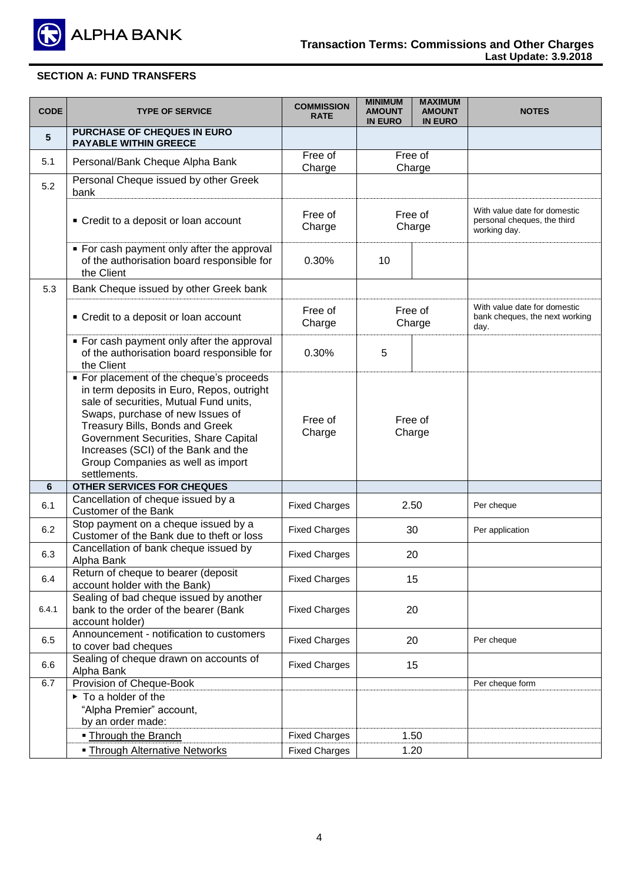

| <b>CODE</b> | <b>TYPE OF SERVICE</b>                                                                                                                                                                                                                                                                                                                     | <b>COMMISSION</b><br><b>RATE</b> | <b>MINIMUM</b><br><b>AMOUNT</b><br><b>IN EURO</b> | <b>MAXIMUM</b><br><b>AMOUNT</b><br><b>IN EURO</b> | <b>NOTES</b>                                                                |
|-------------|--------------------------------------------------------------------------------------------------------------------------------------------------------------------------------------------------------------------------------------------------------------------------------------------------------------------------------------------|----------------------------------|---------------------------------------------------|---------------------------------------------------|-----------------------------------------------------------------------------|
| 5           | PURCHASE OF CHEQUES IN EURO<br><b>PAYABLE WITHIN GREECE</b>                                                                                                                                                                                                                                                                                |                                  |                                                   |                                                   |                                                                             |
| 5.1         | Personal/Bank Cheque Alpha Bank                                                                                                                                                                                                                                                                                                            | Free of<br>Charge                |                                                   | Free of<br>Charge                                 |                                                                             |
| 5.2         | Personal Cheque issued by other Greek<br>bank                                                                                                                                                                                                                                                                                              |                                  |                                                   |                                                   |                                                                             |
|             | • Credit to a deposit or loan account                                                                                                                                                                                                                                                                                                      | Free of<br>Charge                |                                                   | Free of<br>Charge                                 | With value date for domestic<br>personal cheques, the third<br>working day. |
|             | • For cash payment only after the approval<br>of the authorisation board responsible for<br>the Client                                                                                                                                                                                                                                     | 0.30%                            | 10                                                |                                                   |                                                                             |
| 5.3         | Bank Cheque issued by other Greek bank                                                                                                                                                                                                                                                                                                     |                                  |                                                   |                                                   |                                                                             |
|             | • Credit to a deposit or loan account                                                                                                                                                                                                                                                                                                      | Free of<br>Charge                |                                                   | Free of<br>Charge                                 | With value date for domestic<br>bank cheques, the next working<br>day.      |
|             | • For cash payment only after the approval<br>of the authorisation board responsible for<br>the Client                                                                                                                                                                                                                                     | 0.30%                            | 5                                                 |                                                   |                                                                             |
|             | • For placement of the cheque's proceeds<br>in term deposits in Euro, Repos, outright<br>sale of securities, Mutual Fund units,<br>Swaps, purchase of new Issues of<br>Treasury Bills, Bonds and Greek<br>Government Securities, Share Capital<br>Increases (SCI) of the Bank and the<br>Group Companies as well as import<br>settlements. | Free of<br>Charge                | Free of<br>Charge                                 |                                                   |                                                                             |
| 6           | OTHER SERVICES FOR CHEQUES                                                                                                                                                                                                                                                                                                                 |                                  |                                                   |                                                   |                                                                             |
| 6.1         | Cancellation of cheque issued by a<br><b>Customer of the Bank</b>                                                                                                                                                                                                                                                                          | <b>Fixed Charges</b>             |                                                   | 2.50                                              | Per cheque                                                                  |
| 6.2         | Stop payment on a cheque issued by a<br>Customer of the Bank due to theft or loss                                                                                                                                                                                                                                                          | <b>Fixed Charges</b>             |                                                   | 30                                                | Per application                                                             |
| 6.3         | Cancellation of bank cheque issued by<br>Alpha Bank                                                                                                                                                                                                                                                                                        | <b>Fixed Charges</b>             |                                                   | 20                                                |                                                                             |
| 6.4         | Return of cheque to bearer (deposit<br>account holder with the Bank)                                                                                                                                                                                                                                                                       | <b>Fixed Charges</b>             |                                                   | 15                                                |                                                                             |
| 6.4.1       | Sealing of bad cheque issued by another<br>bank to the order of the bearer (Bank<br>account holder)                                                                                                                                                                                                                                        | <b>Fixed Charges</b>             | 20                                                |                                                   |                                                                             |
| 6.5         | Announcement - notification to customers<br>to cover bad cheques                                                                                                                                                                                                                                                                           | <b>Fixed Charges</b>             |                                                   | 20                                                | Per cheque                                                                  |
| 6.6         | Sealing of cheque drawn on accounts of<br>Alpha Bank                                                                                                                                                                                                                                                                                       | <b>Fixed Charges</b>             | 15                                                |                                                   |                                                                             |
| 6.7         | Provision of Cheque-Book                                                                                                                                                                                                                                                                                                                   |                                  |                                                   |                                                   | Per cheque form                                                             |
|             | $\triangleright$ To a holder of the<br>"Alpha Premier" account,<br>by an order made:                                                                                                                                                                                                                                                       |                                  |                                                   |                                                   |                                                                             |
|             | . Through the Branch                                                                                                                                                                                                                                                                                                                       | <b>Fixed Charges</b>             |                                                   | 1.50                                              |                                                                             |
|             | <b>- Through Alternative Networks</b>                                                                                                                                                                                                                                                                                                      | <b>Fixed Charges</b>             |                                                   | 1.20                                              |                                                                             |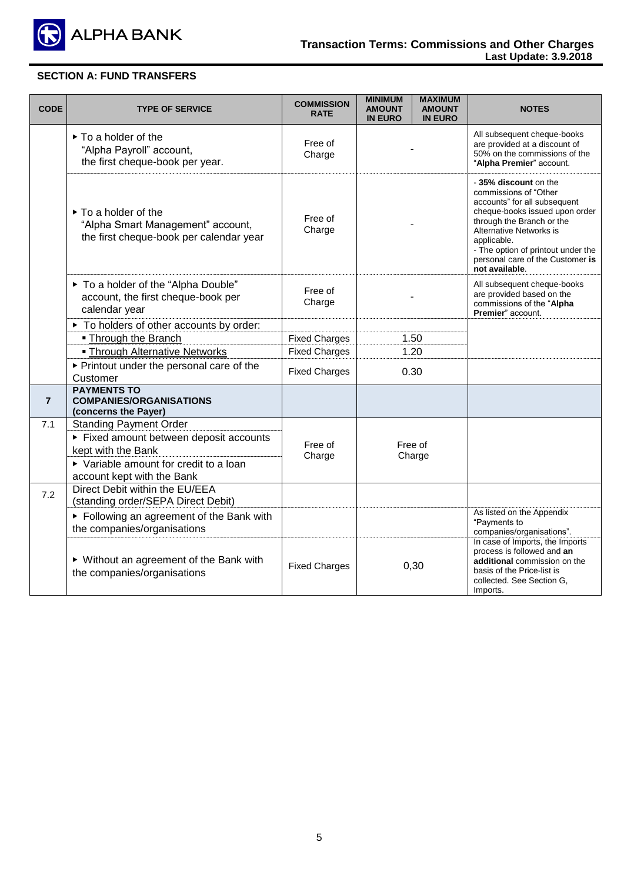

| <b>CODE</b>    | <b>TYPE OF SERVICE</b>                                                                                                                                               | <b>COMMISSION</b><br><b>RATE</b> | <b>MINIMUM</b><br><b>MAXIMUM</b><br><b>AMOUNT</b><br><b>AMOUNT</b><br><b>IN EURO</b><br><b>IN EURO</b> | <b>NOTES</b>                                                                                                                                                                                                                                                                       |
|----------------|----------------------------------------------------------------------------------------------------------------------------------------------------------------------|----------------------------------|--------------------------------------------------------------------------------------------------------|------------------------------------------------------------------------------------------------------------------------------------------------------------------------------------------------------------------------------------------------------------------------------------|
|                | $\triangleright$ To a holder of the<br>"Alpha Payroll" account,<br>the first cheque-book per year.                                                                   | Free of<br>Charge                |                                                                                                        | All subsequent cheque-books<br>are provided at a discount of<br>50% on the commissions of the<br>"Alpha Premier" account.                                                                                                                                                          |
|                | $\triangleright$ To a holder of the<br>"Alpha Smart Management" account,<br>the first cheque-book per calendar year                                                  | Free of<br>Charge                |                                                                                                        | -35% discount on the<br>commissions of "Other<br>accounts" for all subsequent<br>cheque-books issued upon order<br>through the Branch or the<br>Alternative Networks is<br>applicable.<br>- The option of printout under the<br>personal care of the Customer is<br>not available. |
|                | ▶ To a holder of the "Alpha Double"<br>account, the first cheque-book per<br>calendar year                                                                           | Free of<br>Charge                |                                                                                                        | All subsequent cheque-books<br>are provided based on the<br>commissions of the "Alpha<br>Premier" account.                                                                                                                                                                         |
|                | ▶ To holders of other accounts by order:                                                                                                                             |                                  |                                                                                                        |                                                                                                                                                                                                                                                                                    |
|                | • Through the Branch                                                                                                                                                 | <b>Fixed Charges</b>             | 1.50                                                                                                   |                                                                                                                                                                                                                                                                                    |
|                | <b>- Through Alternative Networks</b>                                                                                                                                | <b>Fixed Charges</b>             | 1.20                                                                                                   |                                                                                                                                                                                                                                                                                    |
|                | ▶ Printout under the personal care of the<br>Customer                                                                                                                | <b>Fixed Charges</b>             | 0.30                                                                                                   |                                                                                                                                                                                                                                                                                    |
| $\overline{7}$ | <b>PAYMENTS TO</b><br><b>COMPANIES/ORGANISATIONS</b><br>(concerns the Payer)                                                                                         |                                  |                                                                                                        |                                                                                                                                                                                                                                                                                    |
| 7.1            | <b>Standing Payment Order</b><br>Fixed amount between deposit accounts<br>kept with the Bank<br>▶ Variable amount for credit to a loan<br>account kept with the Bank | Free of<br>Charge                | Free of<br>Charge                                                                                      |                                                                                                                                                                                                                                                                                    |
| 7.2            | Direct Debit within the EU/EEA<br>(standing order/SEPA Direct Debit)                                                                                                 |                                  |                                                                                                        |                                                                                                                                                                                                                                                                                    |
|                | ► Following an agreement of the Bank with<br>the companies/organisations                                                                                             |                                  |                                                                                                        | As listed on the Appendix<br>"Payments to<br>companies/organisations".                                                                                                                                                                                                             |
|                | ▶ Without an agreement of the Bank with<br>the companies/organisations                                                                                               | <b>Fixed Charges</b>             | 0,30                                                                                                   | In case of Imports, the Imports<br>process is followed and an<br>additional commission on the<br>basis of the Price-list is<br>collected. See Section G.<br>Imports.                                                                                                               |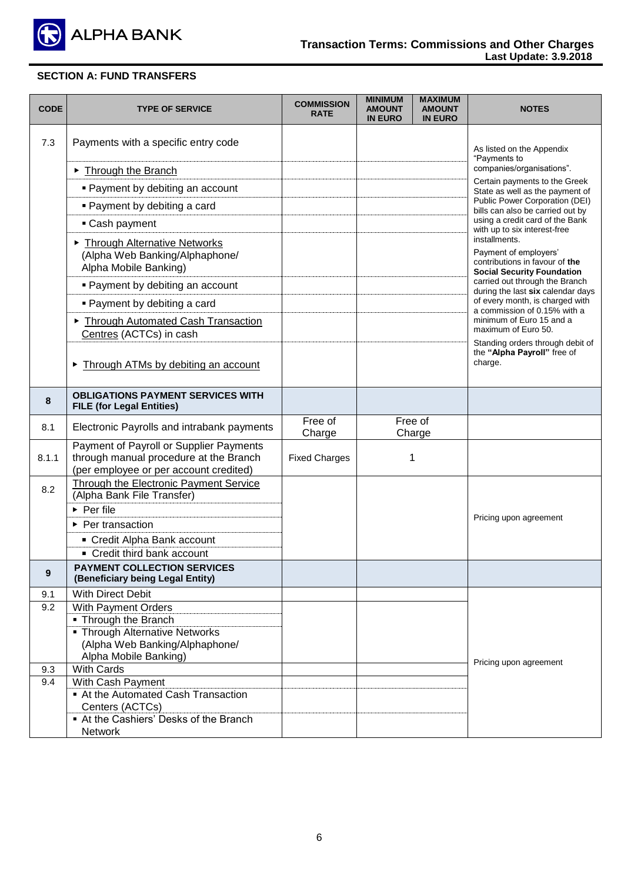

| <b>CODE</b> | <b>TYPE OF SERVICE</b>                                                            | <b>COMMISSION</b><br><b>RATE</b> | <b>MINIMUM</b><br><b>AMOUNT</b><br><b>IN EURO</b> | <b>MAXIMUM</b><br><b>AMOUNT</b><br><b>IN EURO</b> | <b>NOTES</b>                                                           |
|-------------|-----------------------------------------------------------------------------------|----------------------------------|---------------------------------------------------|---------------------------------------------------|------------------------------------------------------------------------|
| 7.3         | Payments with a specific entry code                                               |                                  |                                                   |                                                   | As listed on the Appendix<br>"Payments to                              |
|             | Through the Branch                                                                |                                  |                                                   |                                                   | companies/organisations".                                              |
|             | • Payment by debiting an account                                                  |                                  |                                                   |                                                   | Certain payments to the Greek<br>State as well as the payment of       |
|             | • Payment by debiting a card                                                      |                                  |                                                   |                                                   | Public Power Corporation (DEI)<br>bills can also be carried out by     |
|             | • Cash payment                                                                    |                                  |                                                   |                                                   | using a credit card of the Bank                                        |
|             | Through Alternative Networks<br>(Alpha Web Banking/Alphaphone/                    |                                  |                                                   |                                                   | with up to six interest-free<br>installments.<br>Payment of employers' |
|             | Alpha Mobile Banking)                                                             |                                  |                                                   |                                                   | contributions in favour of the<br><b>Social Security Foundation</b>    |
|             | • Payment by debiting an account                                                  |                                  |                                                   |                                                   | carried out through the Branch<br>during the last six calendar days    |
|             | • Payment by debiting a card                                                      |                                  |                                                   |                                                   | of every month, is charged with<br>a commission of 0.15% with a        |
|             | Through Automated Cash Transaction                                                |                                  |                                                   |                                                   | minimum of Euro 15 and a<br>maximum of Euro 50.                        |
|             | Centres (ACTCs) in cash                                                           |                                  |                                                   |                                                   | Standing orders through debit of                                       |
|             | Through ATMs by debiting an account                                               |                                  |                                                   |                                                   | the "Alpha Payroll" free of<br>charge.                                 |
| 8           | <b>OBLIGATIONS PAYMENT SERVICES WITH</b><br><b>FILE (for Legal Entities)</b>      |                                  |                                                   |                                                   |                                                                        |
| 8.1         | Electronic Payrolls and intrabank payments                                        | Free of<br>Charge                |                                                   | Free of<br>Charge                                 |                                                                        |
| 8.1.1       | Payment of Payroll or Supplier Payments<br>through manual procedure at the Branch | <b>Fixed Charges</b>             |                                                   | 1                                                 |                                                                        |
|             | (per employee or per account credited)                                            |                                  |                                                   |                                                   |                                                                        |
| 8.2         | Through the Electronic Payment Service<br>(Alpha Bank File Transfer)              |                                  |                                                   |                                                   |                                                                        |
|             | $\triangleright$ Per file                                                         |                                  |                                                   |                                                   | Pricing upon agreement                                                 |
|             | ▶ Per transaction                                                                 |                                  |                                                   |                                                   |                                                                        |
|             | • Credit Alpha Bank account                                                       |                                  |                                                   |                                                   |                                                                        |
|             | • Credit third bank account                                                       |                                  |                                                   |                                                   |                                                                        |
| 9           | <b>PAYMENT COLLECTION SERVICES</b><br>(Beneficiary being Legal Entity)            |                                  |                                                   |                                                   |                                                                        |
| 9.1         | With Direct Debit                                                                 |                                  |                                                   |                                                   |                                                                        |
| 9.2         | With Payment Orders<br>• Through the Branch                                       |                                  |                                                   |                                                   |                                                                        |
|             | • Through Alternative Networks                                                    |                                  |                                                   |                                                   |                                                                        |
|             | (Alpha Web Banking/Alphaphone/                                                    |                                  |                                                   |                                                   |                                                                        |
|             | Alpha Mobile Banking)                                                             |                                  |                                                   |                                                   | Pricing upon agreement                                                 |
| 9.3         | <b>With Cards</b>                                                                 |                                  |                                                   |                                                   |                                                                        |
| 9.4         | With Cash Payment<br>At the Automated Cash Transaction                            |                                  |                                                   |                                                   |                                                                        |
|             | Centers (ACTCs)                                                                   |                                  |                                                   |                                                   |                                                                        |
|             | At the Cashiers' Desks of the Branch                                              |                                  |                                                   |                                                   |                                                                        |
|             | <b>Network</b>                                                                    |                                  |                                                   |                                                   |                                                                        |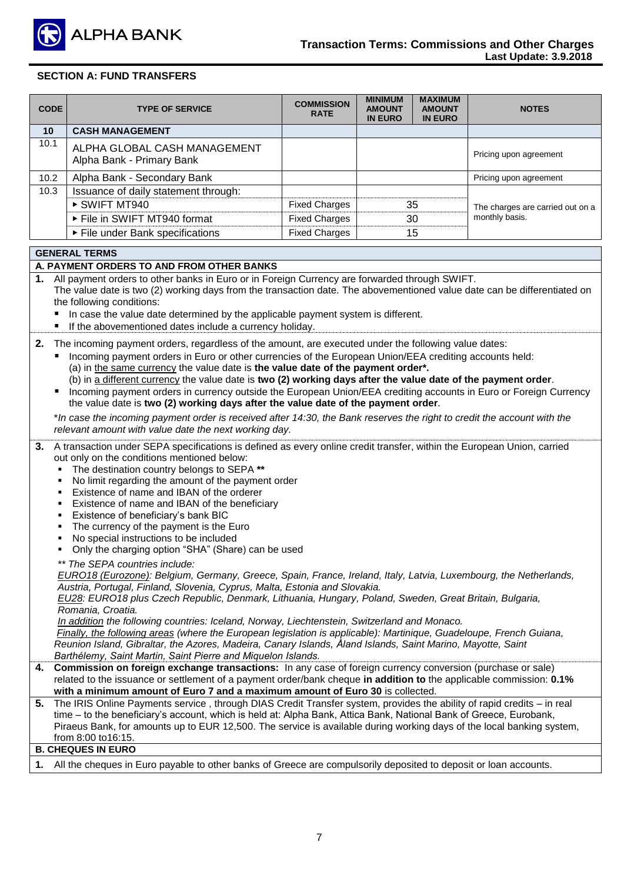

| <b>CODE</b>     | <b>TYPE OF SERVICE</b>                                    | <b>COMMISSION</b><br><b>RATE</b> | <b>MINIMUM</b><br><b>AMOUNT</b><br><b>IN EURO</b> | <b>MAXIMUM</b><br><b>AMOUNT</b><br><b>IN EURO</b> | <b>NOTES</b>                                       |
|-----------------|-----------------------------------------------------------|----------------------------------|---------------------------------------------------|---------------------------------------------------|----------------------------------------------------|
| 10 <sup>1</sup> | <b>CASH MANAGEMENT</b>                                    |                                  |                                                   |                                                   |                                                    |
| 10.1            | ALPHA GLOBAL CASH MANAGEMENT<br>Alpha Bank - Primary Bank |                                  |                                                   |                                                   | Pricing upon agreement                             |
| 10.2            | Alpha Bank - Secondary Bank                               |                                  |                                                   |                                                   | Pricing upon agreement                             |
| 10.3            | Issuance of daily statement through:                      |                                  |                                                   |                                                   |                                                    |
|                 | ▶ SWIFT MT940                                             | <b>Fixed Charges</b>             |                                                   | 35                                                | The charges are carried out on a<br>monthly basis. |
|                 | File in SWIFT MT940 format                                | <b>Fixed Charges</b>             |                                                   | 30                                                |                                                    |
|                 | ▶ File under Bank specifications                          | <b>Fixed Charges</b>             |                                                   | 15                                                |                                                    |

#### **GENERAL TERMS**

#### **Α. PAYMENT ORDERS TO AND FROM OTHER BANKS**

**1.** All payment orders to other banks in Euro or in Foreign Currency are forwarded through SWIFT.

The value date is two (2) working days from the transaction date. The abovementioned value date can be differentiated on the following conditions:

- In case the value date determined by the applicable payment system is different.
- If the abovementioned dates include a currency holiday.
- **2.** The incoming payment orders, regardless of the amount, are executed under the following value dates:
	- Incoming payment orders in Euro or other currencies of the European Union/EEA crediting accounts held: (a) in the same currency the value date is **the value date of the payment order\*.**
	- (b) in a different currency the value date is **two (2) working days after the value date of the payment order**. Incoming payment orders in currency outside the European Union/EEA crediting accounts in Euro or Foreign Currency the value date is **two (2) working days after the value date of the payment order**.

\**In case the incoming payment order is received after 14:30, the Bank reserves the right to credit the account with the relevant amount with value date the next working day.* 

- **3.** A transaction under SEPA specifications is defined as every online credit transfer, within the European Union, carried out only on the conditions mentioned below:
	- The destination country belongs to SEPA **\*\***
	- No limit regarding the amount of the payment order
	- Existence of name and IBAN of the orderer
	- Existence of name and IBAN of the beneficiary
	- Existence of beneficiary's bank BIC
	- The currency of the payment is the Euro
	- No special instructions to be included
	- Only the charging option "SHA" (Share) can be used
	- *\*\* The SEPA countries include:*

*EURO18 (Eurozone): Belgium, Germany, Greece, Spain, France, Ireland, Italy, Latvia, Luxembourg, the Netherlands, Austria, Portugal, Finland, Slovenia, Cyprus, Malta, Estonia and Slovakia.*

*EU28: EURO18 plus Czech Republic, Denmark, Lithuania, Hungary, Poland, Sweden, Great Britain, Bulgaria, Romania, Croatia.*

*In addition the following countries: Iceland, Norway, Liechtenstein, Switzerland and Monaco.*

*Finally, the following areas (where the European legislation is applicable): Martinique, Guadeloupe, French Guiana, Reunion Island, Gibraltar, the Azores, Madeira, Canary Islands, Åland Islands, Saint Marino, Mayotte, Saint Barthélemy, Saint Martin, Saint Pierre and Miquelon Islands.*

- **4. Commission on foreign exchange transactions:** In any case of foreign currency conversion (purchase or sale) related to the issuance or settlement of a payment order/bank cheque **in addition to** the applicable commission: **0.1% with a minimum amount of Euro 7 and a maximum amount of Euro 30** is collected.
- **5.** The IRIS Online Payments service , through DIAS Credit Transfer system, provides the ability of rapid credits in real time – to the beneficiary's account, which is held at: Alpha Bank, Attica Bank, National Bank of Greece, Eurobank, Piraeus Bank, for amounts up to EUR 12,500. The service is available during working days of the local banking system, from 8:00 to16:15.

#### **B. CHEQUES IN EURO**

**1.** All the cheques in Euro payable to other banks of Greece are compulsorily deposited to deposit or loan accounts.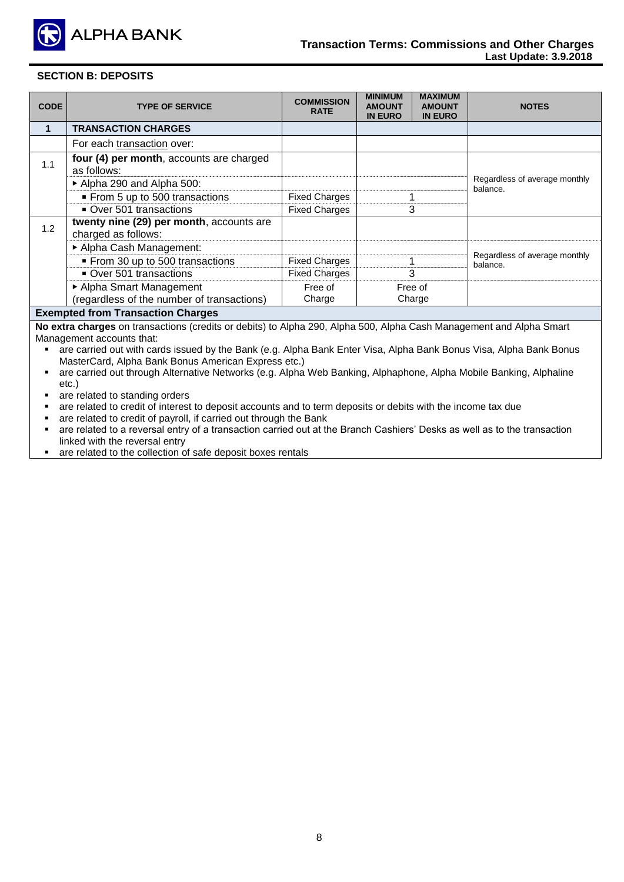

### **SECTION B: DEPOSITS**

| <b>TYPE OF SERVICE</b>                                          | <b>COMMISSION</b><br><b>RATE</b> | <b>MINIMUM</b><br><b>AMOUNT</b><br><b>IN EURO</b> | <b>MAXIMUM</b><br><b>AMOUNT</b><br><b>IN EURO</b> | <b>NOTES</b>                              |  |
|-----------------------------------------------------------------|----------------------------------|---------------------------------------------------|---------------------------------------------------|-------------------------------------------|--|
| <b>TRANSACTION CHARGES</b>                                      |                                  |                                                   |                                                   |                                           |  |
| For each transaction over:                                      |                                  |                                                   |                                                   |                                           |  |
| four (4) per month, accounts are charged<br>as follows:         |                                  |                                                   |                                                   |                                           |  |
| Alpha 290 and Alpha 500:                                        |                                  |                                                   |                                                   | Regardless of average monthly<br>balance. |  |
| From 5 up to 500 transactions                                   | <b>Fixed Charges</b>             |                                                   |                                                   |                                           |  |
| Over 501 transactions                                           | <b>Fixed Charges</b>             |                                                   |                                                   |                                           |  |
| twenty nine (29) per month, accounts are<br>charged as follows: |                                  |                                                   |                                                   |                                           |  |
| Alpha Cash Management:                                          |                                  |                                                   |                                                   |                                           |  |
| From 30 up to 500 transactions                                  | <b>Fixed Charges</b>             |                                                   |                                                   | Regardless of average monthly<br>balance. |  |
| Over 501 transactions                                           | <b>Fixed Charges</b>             |                                                   |                                                   |                                           |  |
| ▶ Alpha Smart Management                                        | Free of                          |                                                   |                                                   |                                           |  |
| (regardless of the number of transactions)                      | Charge                           |                                                   |                                                   |                                           |  |
|                                                                 |                                  |                                                   |                                                   | 3<br>3<br>Free of<br>Charge               |  |

#### **Exempted from Transaction Charges**

**No extra charges** on transactions (credits or debits) to Alpha 290, Alpha 500, Alpha Cash Management and Alpha Smart Management accounts that:

 are carried out with cards issued by the Bank (e.g. Alpha Bank Enter Visa, Alpha Bank Bonus Visa, Alpha Bank Bonus MasterCard, Alpha Bank Bonus American Express etc.)

 are carried out through Alternative Networks (e.g. Alpha Web Banking, Alphaphone, Alpha Mobile Banking, Alphaline etc.)

- **are related to standing orders**
- are related to credit of interest to deposit accounts and to term deposits or debits with the income tax due<br>are related to credit of payroll, if carried out through the Bank
- are related to credit of payroll, if carried out through the Bank<br>■ are related to a reversal entry of a transaction carried out at the
- are related to a reversal entry of a transaction carried out at the Branch Cashiers' Desks as well as to the transaction linked with the reversal entry
- are related to the collection of safe deposit boxes rentals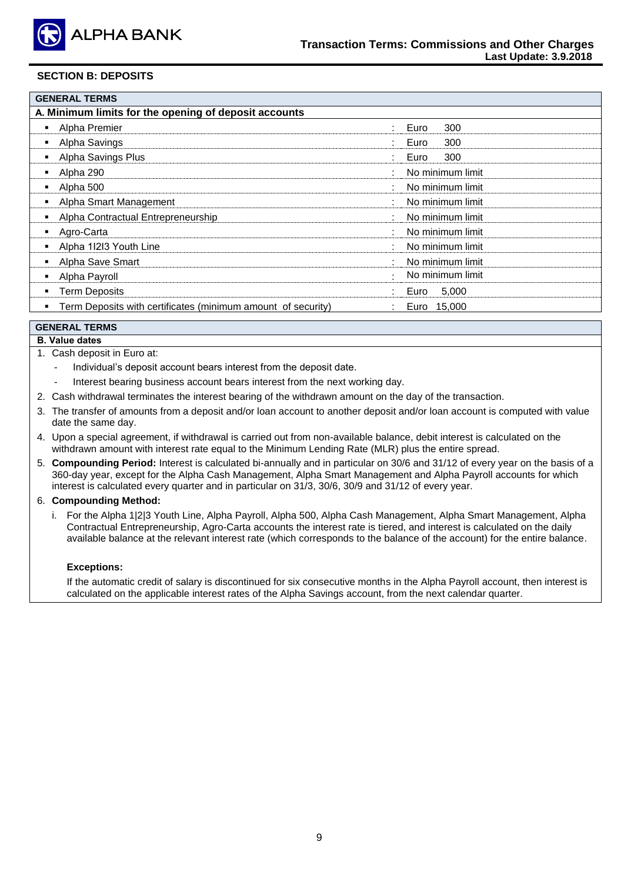

#### **SECTION B: DEPOSITS**

| <b>GENERAL TERMS</b>                                         |                              |
|--------------------------------------------------------------|------------------------------|
| A. Minimum limits for the opening of deposit accounts        |                              |
| Alpha Premier                                                | 300<br>Euro<br>$\mathcal{L}$ |
| Alpha Savings                                                | 300<br>Euro                  |
| Alpha Savings Plus                                           | 300<br>Euro                  |
| Alpha 290                                                    | No minimum limit             |
| Alpha 500                                                    | No minimum limit             |
| Alpha Smart Management                                       | No minimum limit             |
| Alpha Contractual Entrepreneurship                           | No minimum limit             |
| Agro-Carta                                                   | No minimum limit             |
| Alpha 11213 Youth Line                                       | No minimum limit             |
| Alpha Save Smart                                             | No minimum limit             |
| Alpha Payroll                                                | No minimum limit             |
| <b>Term Deposits</b>                                         | 5,000<br>Euro                |
| Term Deposits with certificates (minimum amount of security) | Euro 15,000                  |

#### **GENERAL TERMS**

#### **Β. Value dates**

- 1. Cash deposit in Euro at:
	- Individual's deposit account bears interest from the deposit date.
	- Interest bearing business account bears interest from the next working day.
- 2. Cash withdrawal terminates the interest bearing of the withdrawn amount on the day of the transaction.
- 3. The transfer of amounts from a deposit and/or loan account to another deposit and/or loan account is computed with value date the same day.
- 4. Upon a special agreement, if withdrawal is carried out from non-available balance, debit interest is calculated on the withdrawn amount with interest rate equal to the Minimum Lending Rate (MLR) plus the entire spread.
- 5. **Compounding Period:** Interest is calculated bi-annually and in particular on 30/6 and 31/12 of every year on the basis of a 360-day year, except for the Alpha Cash Management, Alpha Smart Management and Alpha Payroll accounts for which interest is calculated every quarter and in particular on 31/3, 30/6, 30/9 and 31/12 of every year.

#### 6. **Compounding Method:**

i. For the Alpha 1|2|3 Youth Line, Alpha Payroll, Alpha 500, Alpha Cash Management, Alpha Smart Management, Alpha Contractual Entrepreneurship, Agro-Carta accounts the interest rate is tiered, and interest is calculated on the daily available balance at the relevant interest rate (which corresponds to the balance of the account) for the entire balance.

#### **Exceptions:**

If the automatic credit of salary is discontinued for six consecutive months in the Alpha Payroll account, then interest is calculated on the applicable interest rates of the Alpha Savings account, from the next calendar quarter.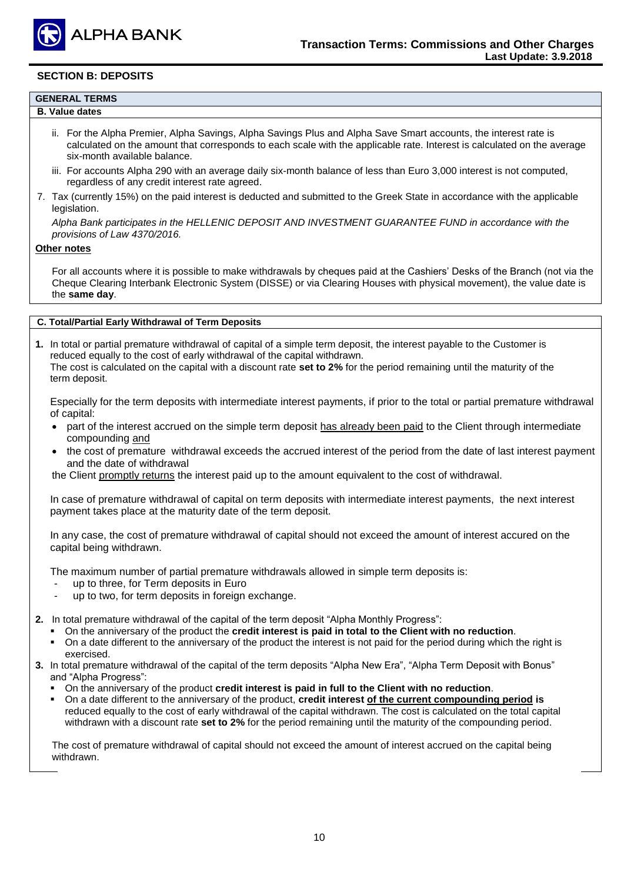

#### **SECTION B: DEPOSITS**

- **Β. Value dates** 
	- ii. For the Alpha Premier, Alpha Savings, Alpha Savings Plus and Alpha Save Smart accounts, the interest rate is calculated on the amount that corresponds to each scale with the applicable rate. Interest is calculated on the average six-month available balance.
	- iii. For accounts Alpha 290 with an average daily six-month balance of less than Euro 3,000 interest is not computed, regardless of any credit interest rate agreed.
- 7. Tax (currently 15%) on the paid interest is deducted and submitted to the Greek State in accordance with the applicable legislation.

*Alpha Bank participates in the HELLENIC DEPOSIT AND INVESTMENT GUARANTEE FUND in accordance with the provisions of Law 4370/2016.*

#### **Other notes**

For all accounts where it is possible to make withdrawals by cheques paid at the Cashiers' Desks of the Branch (not via the Cheque Clearing Interbank Electronic System (DISSE) or via Clearing Houses with physical movement), the value date is the **same day**.

## **C. Total/Partial Early Withdrawal of Term Deposits**

**1.** In total or partial premature withdrawal of capital of a simple term deposit, the interest payable to the Customer is reduced equally to the cost of early withdrawal of the capital withdrawn. The cost is calculated on the capital with a discount rate **set to 2%** for the period remaining until the maturity of the term deposit.

Especially for the term deposits with intermediate interest payments, if prior to the total or partial premature withdrawal of capital:

- part of the interest accrued on the simple term deposit has already been paid to the Client through intermediate compounding and
- the cost of premature withdrawal exceeds the accrued interest of the period from the date of last interest payment and the date of withdrawal

the Client promptly returns the interest paid up to the amount equivalent to the cost of withdrawal.

In case of premature withdrawal of capital on term deposits with intermediate interest payments, the next interest payment takes place at the maturity date of the term deposit.

In any case, the cost of premature withdrawal of capital should not exceed the amount of interest accured on the capital being withdrawn.

The maximum number of partial premature withdrawals allowed in simple term deposits is:

- up to three, for Term deposits in Euro
- up to two, for term deposits in foreign exchange.

**2.** In total premature withdrawal of the capital of the term deposit "Alpha Monthly Progress":

- On the anniversary of the product the **credit interest is paid in total to the Client with no reduction**.
- On a date different to the anniversary of the product the interest is not paid for the period during which the right is exercised.
- **3.** In total premature withdrawal of the capital of the term deposits "Alpha New Era", "Alpha Term Deposit with Bonus" and "Alpha Progress":
	- On the anniversary of the product **credit interest is paid in full to the Client with no reduction**.
	- On a date different to the anniversary of the product, **credit interest of the current compounding period is** reduced equally to the cost of early withdrawal of the capital withdrawn. The cost is calculated on the total capital withdrawn with a discount rate **set to 2%** for the period remaining until the maturity of the compounding period.

 The cost of premature withdrawal of capital should not exceed the amount of interest accrued on the capital being withdrawn.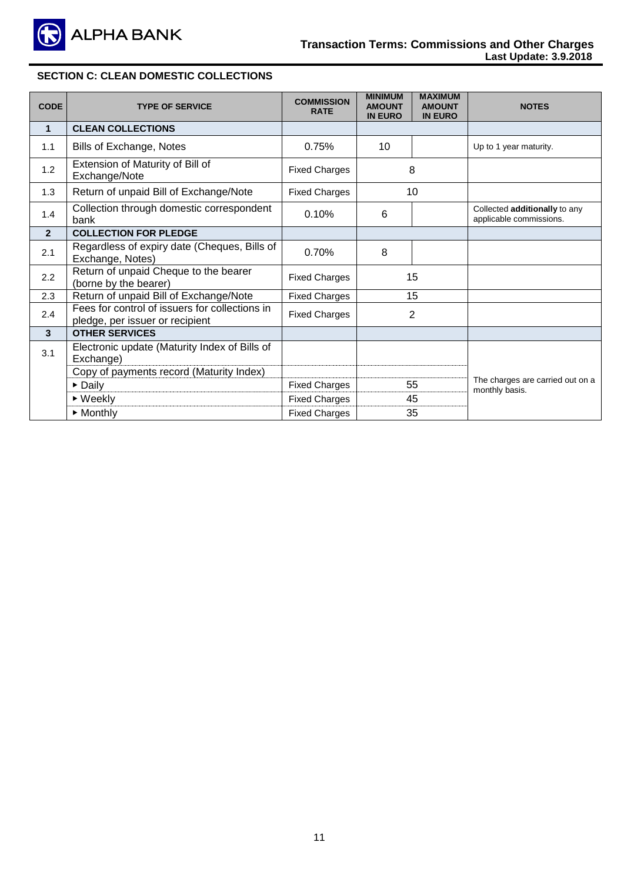

## **SECTION C: CLEAN DOMESTIC COLLECTIONS**

| <b>CODE</b>    | <b>TYPE OF SERVICE</b>                                                            | <b>COMMISSION</b><br><b>RATE</b> | <b>MINIMUM</b><br><b>AMOUNT</b><br><b>IN EURO</b> | <b>MAXIMUM</b><br><b>AMOUNT</b><br><b>IN EURO</b> | <b>NOTES</b>                                             |
|----------------|-----------------------------------------------------------------------------------|----------------------------------|---------------------------------------------------|---------------------------------------------------|----------------------------------------------------------|
| $\mathbf{1}$   | <b>CLEAN COLLECTIONS</b>                                                          |                                  |                                                   |                                                   |                                                          |
| 1.1            | Bills of Exchange, Notes                                                          | 0.75%                            | 10                                                |                                                   | Up to 1 year maturity.                                   |
| 1.2            | Extension of Maturity of Bill of<br>Exchange/Note                                 | <b>Fixed Charges</b>             |                                                   | 8                                                 |                                                          |
| 1.3            | Return of unpaid Bill of Exchange/Note                                            | <b>Fixed Charges</b>             |                                                   | 10                                                |                                                          |
| 1.4            | Collection through domestic correspondent<br>bank                                 | 0.10%                            | 6                                                 |                                                   | Collected additionally to any<br>applicable commissions. |
| $\overline{2}$ | <b>COLLECTION FOR PLEDGE</b>                                                      |                                  |                                                   |                                                   |                                                          |
| 2.1            | Regardless of expiry date (Cheques, Bills of<br>Exchange, Notes)                  | 0.70%                            | 8                                                 |                                                   |                                                          |
| 2.2            | Return of unpaid Cheque to the bearer<br>(borne by the bearer)                    | <b>Fixed Charges</b>             |                                                   | 15                                                |                                                          |
| 2.3            | Return of unpaid Bill of Exchange/Note                                            | <b>Fixed Charges</b>             |                                                   | 15                                                |                                                          |
| 2.4            | Fees for control of issuers for collections in<br>pledge, per issuer or recipient | <b>Fixed Charges</b>             | $\overline{2}$                                    |                                                   |                                                          |
| $\mathbf{3}$   | <b>OTHER SERVICES</b>                                                             |                                  |                                                   |                                                   |                                                          |
| 3.1            | Electronic update (Maturity Index of Bills of<br>Exchange)                        |                                  |                                                   |                                                   |                                                          |
|                | Copy of payments record (Maturity Index)                                          |                                  |                                                   |                                                   | The charges are carried out on a                         |
|                | $\triangleright$ Daily                                                            | <b>Fixed Charges</b>             |                                                   | 55                                                | monthly basis.                                           |
|                | $\triangleright$ Weekly                                                           | <b>Fixed Charges</b>             |                                                   | 45                                                |                                                          |
|                | $\triangleright$ Monthly                                                          | <b>Fixed Charges</b>             |                                                   | 35                                                |                                                          |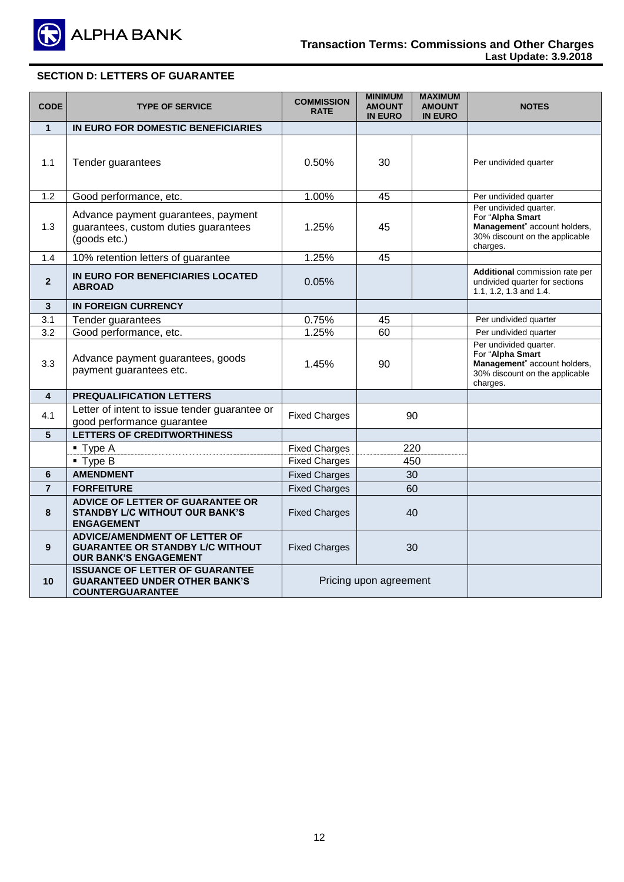

# **SECTION D: LETTERS OF GUARANTEE**

| <b>CODE</b>             | <b>TYPE OF SERVICE</b>                                                                                          | <b>COMMISSION</b><br><b>RATE</b> | <b>MINIMUM</b><br><b>AMOUNT</b><br><b>IN EURO</b> | <b>MAXIMUM</b><br><b>AMOUNT</b><br><b>IN EURO</b> | <b>NOTES</b>                                                                                                             |
|-------------------------|-----------------------------------------------------------------------------------------------------------------|----------------------------------|---------------------------------------------------|---------------------------------------------------|--------------------------------------------------------------------------------------------------------------------------|
| $\mathbf{1}$            | IN EURO FOR DOMESTIC BENEFICIARIES                                                                              |                                  |                                                   |                                                   |                                                                                                                          |
| 1.1                     | Tender guarantees                                                                                               | 0.50%                            | 30                                                |                                                   | Per undivided quarter                                                                                                    |
| 1.2                     | Good performance, etc.                                                                                          | 1.00%                            | 45                                                |                                                   | Per undivided quarter                                                                                                    |
| 1.3                     | Advance payment guarantees, payment<br>guarantees, custom duties guarantees<br>(goods etc.)                     | 1.25%                            | 45                                                |                                                   | Per undivided quarter.<br>For "Alpha Smart<br>Management" account holders,<br>30% discount on the applicable<br>charges. |
| 1.4                     | 10% retention letters of guarantee                                                                              | 1.25%                            | 45                                                |                                                   |                                                                                                                          |
| $\overline{2}$          | IN EURO FOR BENEFICIARIES LOCATED<br><b>ABROAD</b>                                                              | 0.05%                            |                                                   |                                                   | Additional commission rate per<br>undivided quarter for sections<br>1.1, 1.2, 1.3 and 1.4.                               |
| 3                       | <b>IN FOREIGN CURRENCY</b>                                                                                      |                                  |                                                   |                                                   |                                                                                                                          |
| 3.1                     | Tender guarantees                                                                                               | 0.75%                            | 45                                                |                                                   | Per undivided quarter                                                                                                    |
| 3.2                     | Good performance, etc.                                                                                          | 1.25%                            | 60                                                |                                                   | Per undivided quarter                                                                                                    |
| 3.3                     | Advance payment guarantees, goods<br>payment guarantees etc.                                                    | 1.45%                            | 90                                                |                                                   | Per undivided quarter.<br>For "Alpha Smart<br>Management" account holders,<br>30% discount on the applicable<br>charges. |
| $\overline{\mathbf{4}}$ | <b>PREQUALIFICATION LETTERS</b>                                                                                 |                                  |                                                   |                                                   |                                                                                                                          |
| 4.1                     | Letter of intent to issue tender guarantee or<br>good performance guarantee                                     | <b>Fixed Charges</b>             |                                                   | 90                                                |                                                                                                                          |
| 5                       | <b>LETTERS OF CREDITWORTHINESS</b>                                                                              |                                  |                                                   |                                                   |                                                                                                                          |
|                         | $\blacksquare$ Type A                                                                                           | <b>Fixed Charges</b>             |                                                   | 220                                               |                                                                                                                          |
|                         | $\blacksquare$ Type B                                                                                           | <b>Fixed Charges</b>             |                                                   | 450                                               |                                                                                                                          |
| 6                       | <b>AMENDMENT</b>                                                                                                | <b>Fixed Charges</b>             |                                                   | 30                                                |                                                                                                                          |
| $\overline{7}$          | <b>FORFEITURE</b>                                                                                               | <b>Fixed Charges</b>             |                                                   | 60                                                |                                                                                                                          |
| 8                       | ADVICE OF LETTER OF GUARANTEE OR<br><b>STANDBY L/C WITHOUT OUR BANK'S</b><br><b>ENGAGEMENT</b>                  | <b>Fixed Charges</b>             | 40                                                |                                                   |                                                                                                                          |
| 9                       | <b>ADVICE/AMENDMENT OF LETTER OF</b><br><b>GUARANTEE OR STANDBY L/C WITHOUT</b><br><b>OUR BANK'S ENGAGEMENT</b> | <b>Fixed Charges</b>             |                                                   | 30                                                |                                                                                                                          |
| 10                      | <b>ISSUANCE OF LETTER OF GUARANTEE</b><br><b>GUARANTEED UNDER OTHER BANK'S</b><br><b>COUNTERGUARANTEE</b>       |                                  | Pricing upon agreement                            |                                                   |                                                                                                                          |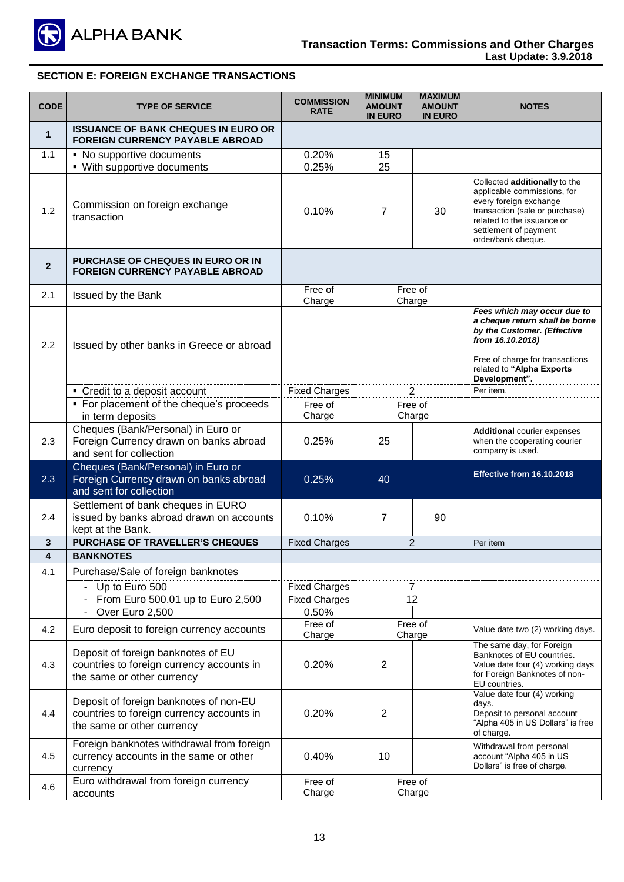

## **SECTION E: FOREIGN EXCHANGE TRANSACTIONS**

| <b>CODE</b>  | <b>TYPE OF SERVICE</b>                                                                                            | <b>COMMISSION</b><br><b>RATE</b> | <b>MINIMUM</b><br><b>AMOUNT</b><br><b>IN EURO</b> | <b>MAXIMUM</b><br><b>AMOUNT</b><br><b>IN EURO</b> | <b>NOTES</b>                                                                                                                                                                                          |
|--------------|-------------------------------------------------------------------------------------------------------------------|----------------------------------|---------------------------------------------------|---------------------------------------------------|-------------------------------------------------------------------------------------------------------------------------------------------------------------------------------------------------------|
| $\mathbf{1}$ | <b>ISSUANCE OF BANK CHEQUES IN EURO OR</b><br><b>FOREIGN CURRENCY PAYABLE ABROAD</b>                              |                                  |                                                   |                                                   |                                                                                                                                                                                                       |
| 1.1          | • No supportive documents                                                                                         | 0.20%                            | 15                                                |                                                   |                                                                                                                                                                                                       |
|              | • With supportive documents                                                                                       | 0.25%                            | 25                                                |                                                   |                                                                                                                                                                                                       |
| 1.2          | Commission on foreign exchange<br>transaction                                                                     | 0.10%                            | 7                                                 | 30                                                | Collected additionally to the<br>applicable commissions, for<br>every foreign exchange<br>transaction (sale or purchase)<br>related to the issuance or<br>settlement of payment<br>order/bank cheque. |
| $\mathbf{2}$ | <b>PURCHASE OF CHEQUES IN EURO OR IN</b><br><b>FOREIGN CURRENCY PAYABLE ABROAD</b>                                |                                  |                                                   |                                                   |                                                                                                                                                                                                       |
| 2.1          | Issued by the Bank                                                                                                | Free of<br>Charge                |                                                   | Free of<br>Charge                                 |                                                                                                                                                                                                       |
| 2.2          | Issued by other banks in Greece or abroad                                                                         |                                  |                                                   |                                                   | Fees which may occur due to<br>a cheque return shall be borne<br>by the Customer. (Effective<br>from 16.10.2018)<br>Free of charge for transactions<br>related to "Alpha Exports<br>Development".     |
|              | • Credit to a deposit account                                                                                     | <b>Fixed Charges</b>             |                                                   | $\overline{2}$                                    | Per item.                                                                                                                                                                                             |
|              | • For placement of the cheque's proceeds<br>in term deposits                                                      | Free of<br>Charge                | Free of<br>Charge                                 |                                                   |                                                                                                                                                                                                       |
| 2.3          | Cheques (Bank/Personal) in Euro or<br>Foreign Currency drawn on banks abroad<br>and sent for collection           | 0.25%                            | 25                                                |                                                   | <b>Additional courier expenses</b><br>when the cooperating courier<br>company is used.                                                                                                                |
| 2.3          | Cheques (Bank/Personal) in Euro or<br>Foreign Currency drawn on banks abroad<br>and sent for collection           | 0.25%                            | 40                                                |                                                   | Effective from 16.10.2018                                                                                                                                                                             |
| 2.4          | Settlement of bank cheques in EURO<br>issued by banks abroad drawn on accounts<br>kept at the Bank.               | 0.10%                            | $\overline{7}$                                    | 90                                                |                                                                                                                                                                                                       |
| 3            | <b>PURCHASE OF TRAVELLER'S CHEQUES</b>                                                                            | <b>Fixed Charges</b>             |                                                   | $\overline{2}$                                    | Per item                                                                                                                                                                                              |
| 4            | <b>BANKNOTES</b>                                                                                                  |                                  |                                                   |                                                   |                                                                                                                                                                                                       |
| 4.1          | Purchase/Sale of foreign banknotes                                                                                |                                  |                                                   |                                                   |                                                                                                                                                                                                       |
|              | Up to Euro 500                                                                                                    | <b>Fixed Charges</b>             |                                                   | $\overline{7}$                                    |                                                                                                                                                                                                       |
|              | From Euro 500.01 up to Euro 2,500                                                                                 | <b>Fixed Charges</b>             |                                                   | 12                                                |                                                                                                                                                                                                       |
|              | Over Euro 2,500                                                                                                   | 0.50%<br>Free of                 |                                                   | Free of                                           |                                                                                                                                                                                                       |
| 4.2          | Euro deposit to foreign currency accounts                                                                         | Charge                           |                                                   | Charge                                            | Value date two (2) working days.                                                                                                                                                                      |
| 4.3          | Deposit of foreign banknotes of EU<br>countries to foreign currency accounts in<br>the same or other currency     | 0.20%                            | 2                                                 |                                                   | The same day, for Foreign<br>Banknotes of EU countries.<br>Value date four (4) working days<br>for Foreign Banknotes of non-<br>EU countries.                                                         |
| 4.4          | Deposit of foreign banknotes of non-EU<br>countries to foreign currency accounts in<br>the same or other currency | 0.20%                            | $\overline{2}$                                    |                                                   | Value date four (4) working<br>days.<br>Deposit to personal account<br>"Alpha 405 in US Dollars" is free<br>of charge.                                                                                |
| 4.5          | Foreign banknotes withdrawal from foreign<br>currency accounts in the same or other<br>currency                   | 0.40%                            | 10                                                |                                                   | Withdrawal from personal<br>account "Alpha 405 in US<br>Dollars" is free of charge.                                                                                                                   |
| 4.6          | Euro withdrawal from foreign currency                                                                             | Free of                          |                                                   | Free of                                           |                                                                                                                                                                                                       |
|              | accounts                                                                                                          | Charge                           |                                                   | Charge                                            |                                                                                                                                                                                                       |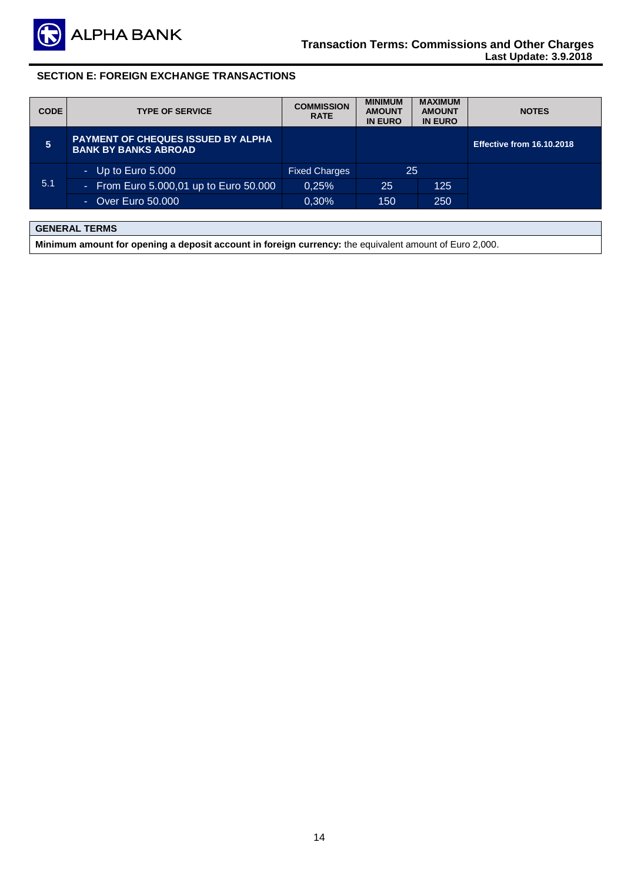

## **SECTION E: FOREIGN EXCHANGE TRANSACTIONS**

| <b>CODE</b> | <b>TYPE OF SERVICE</b>                                                   | <b>COMMISSION</b><br><b>RATE</b> | <b>MINIMUM</b><br><b>AMOUNT</b><br><b>IN EURO</b> | <b>MAXIMUM</b><br><b>AMOUNT</b><br><b>IN EURO</b> | <b>NOTES</b>              |
|-------------|--------------------------------------------------------------------------|----------------------------------|---------------------------------------------------|---------------------------------------------------|---------------------------|
| 5           | <b>PAYMENT OF CHEQUES ISSUED BY ALPHA</b><br><b>BANK BY BANKS ABROAD</b> |                                  |                                                   |                                                   | Effective from 16.10.2018 |
|             | - Up to Euro $5.000$                                                     | <b>Fixed Charges</b>             | 25                                                |                                                   |                           |
| 5.1         | - From Euro 5.000,01 up to Euro 50.000                                   | 0.25%                            | 25                                                | 125                                               |                           |
|             | - Over Euro 50.000                                                       | 0,30%                            | 150                                               | 250                                               |                           |

# **GENERAL TERMS**

**Minimum amount for opening a deposit account in foreign currency:** the equivalent amount of Euro 2,000.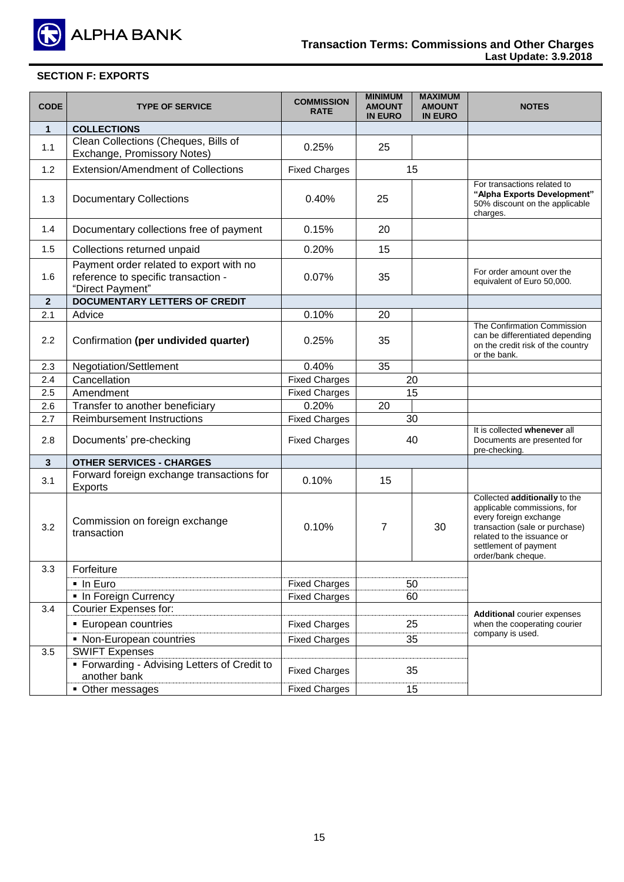

# **SECTION F: EXPORTS**

| <b>CODE</b>  | <b>TYPE OF SERVICE</b>                                                                             | <b>COMMISSION</b><br><b>RATE</b> | <b>MINIMUM</b><br><b>AMOUNT</b><br><b>IN EURO</b> | <b>MAXIMUM</b><br><b>AMOUNT</b><br><b>IN EURO</b> | <b>NOTES</b>                                                                                                                                                                                          |
|--------------|----------------------------------------------------------------------------------------------------|----------------------------------|---------------------------------------------------|---------------------------------------------------|-------------------------------------------------------------------------------------------------------------------------------------------------------------------------------------------------------|
| $\mathbf{1}$ | <b>COLLECTIONS</b>                                                                                 |                                  |                                                   |                                                   |                                                                                                                                                                                                       |
| 1.1          | Clean Collections (Cheques, Bills of<br>Exchange, Promissory Notes)                                | 0.25%                            | 25                                                |                                                   |                                                                                                                                                                                                       |
| 1.2          | <b>Extension/Amendment of Collections</b>                                                          | <b>Fixed Charges</b>             |                                                   | 15                                                |                                                                                                                                                                                                       |
| 1.3          | <b>Documentary Collections</b>                                                                     | 0.40%                            | 25                                                |                                                   | For transactions related to<br>"Alpha Exports Development"<br>50% discount on the applicable<br>charges.                                                                                              |
| 1.4          | Documentary collections free of payment                                                            | 0.15%                            | 20                                                |                                                   |                                                                                                                                                                                                       |
| 1.5          | Collections returned unpaid                                                                        | 0.20%                            | 15                                                |                                                   |                                                                                                                                                                                                       |
| 1.6          | Payment order related to export with no<br>reference to specific transaction -<br>"Direct Payment" | 0.07%                            | 35                                                |                                                   | For order amount over the<br>equivalent of Euro 50,000.                                                                                                                                               |
| $\mathbf{2}$ | <b>DOCUMENTARY LETTERS OF CREDIT</b>                                                               |                                  |                                                   |                                                   |                                                                                                                                                                                                       |
| 2.1          | Advice                                                                                             | 0.10%                            | 20                                                |                                                   |                                                                                                                                                                                                       |
| 2.2          | Confirmation (per undivided quarter)                                                               | 0.25%                            | 35                                                |                                                   | The Confirmation Commission<br>can be differentiated depending<br>on the credit risk of the country<br>or the bank.                                                                                   |
| 2.3          | Negotiation/Settlement                                                                             | 0.40%                            | 35                                                |                                                   |                                                                                                                                                                                                       |
| 2.4          | Cancellation                                                                                       | <b>Fixed Charges</b>             | 20                                                |                                                   |                                                                                                                                                                                                       |
| 2.5          | Amendment                                                                                          | <b>Fixed Charges</b>             | 15                                                |                                                   |                                                                                                                                                                                                       |
| 2.6          | Transfer to another beneficiary                                                                    | 0.20%                            | 20                                                |                                                   |                                                                                                                                                                                                       |
| 2.7          | <b>Reimbursement Instructions</b>                                                                  | <b>Fixed Charges</b>             |                                                   | 30                                                |                                                                                                                                                                                                       |
| 2.8          | Documents' pre-checking                                                                            | <b>Fixed Charges</b>             |                                                   | 40                                                | It is collected whenever all<br>Documents are presented for<br>pre-checking.                                                                                                                          |
| $\mathbf{3}$ | <b>OTHER SERVICES - CHARGES</b>                                                                    |                                  |                                                   |                                                   |                                                                                                                                                                                                       |
| 3.1          | Forward foreign exchange transactions for<br>Exports                                               | 0.10%                            | 15                                                |                                                   |                                                                                                                                                                                                       |
| 3.2          | Commission on foreign exchange<br>transaction                                                      | 0.10%                            | 7                                                 | 30                                                | Collected additionally to the<br>applicable commissions, for<br>every foreign exchange<br>transaction (sale or purchase)<br>related to the issuance or<br>settlement of payment<br>order/bank cheque. |
| 3.3          | Forfeiture                                                                                         |                                  |                                                   |                                                   |                                                                                                                                                                                                       |
|              | · In Euro                                                                                          | <b>Fixed Charges</b>             |                                                   | 50                                                |                                                                                                                                                                                                       |
|              | . In Foreign Currency                                                                              | <b>Fixed Charges</b>             |                                                   | 60                                                |                                                                                                                                                                                                       |
| 3.4          | <b>Courier Expenses for:</b>                                                                       |                                  |                                                   |                                                   | <b>Additional courier expenses</b>                                                                                                                                                                    |
|              | <b>European countries</b>                                                                          | <b>Fixed Charges</b>             |                                                   | 25                                                | when the cooperating courier                                                                                                                                                                          |
|              | • Non-European countries                                                                           | <b>Fixed Charges</b>             |                                                   | 35                                                | company is used.                                                                                                                                                                                      |
| 3.5          | <b>SWIFT Expenses</b>                                                                              |                                  |                                                   |                                                   |                                                                                                                                                                                                       |
|              | • Forwarding - Advising Letters of Credit to<br>another bank                                       | <b>Fixed Charges</b>             |                                                   | 35                                                |                                                                                                                                                                                                       |
|              | • Other messages                                                                                   | <b>Fixed Charges</b>             |                                                   | 15                                                |                                                                                                                                                                                                       |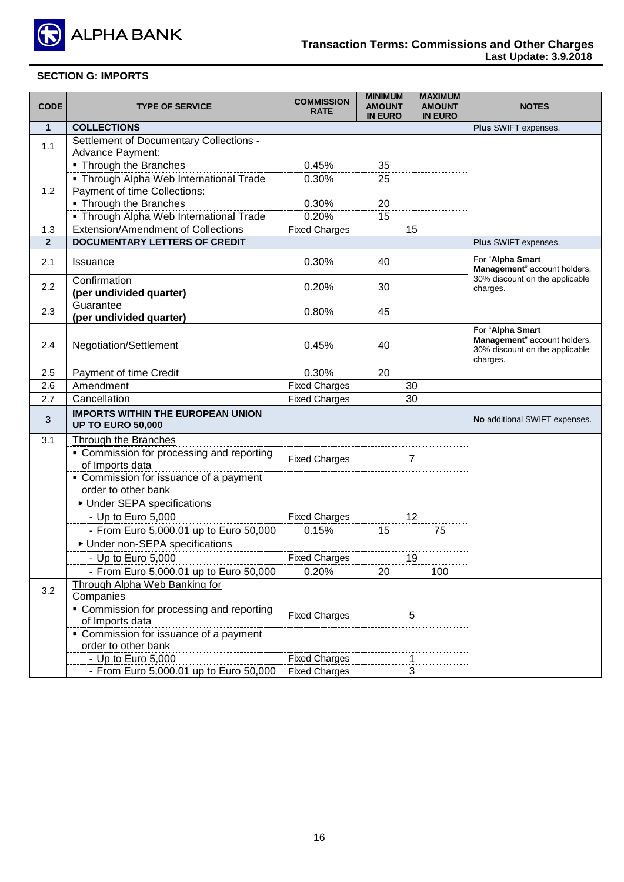

## **SECTION G: IMPORTS**

| <b>CODE</b>    | <b>TYPE OF SERVICE</b>                                                                                                                                       | <b>COMMISSION</b><br><b>RATE</b> | <b>MINIMUM</b><br><b>AMOUNT</b><br><b>IN EURO</b> | <b>MAXIMUM</b><br><b>AMOUNT</b><br><b>IN EURO</b> | <b>NOTES</b>                                                                                   |
|----------------|--------------------------------------------------------------------------------------------------------------------------------------------------------------|----------------------------------|---------------------------------------------------|---------------------------------------------------|------------------------------------------------------------------------------------------------|
| $\mathbf{1}$   | <b>COLLECTIONS</b>                                                                                                                                           |                                  |                                                   |                                                   | Plus SWIFT expenses.                                                                           |
| 1.1            | Settlement of Documentary Collections -<br>Advance Payment:                                                                                                  |                                  |                                                   |                                                   |                                                                                                |
|                | • Through the Branches                                                                                                                                       | 0.45%                            | 35                                                |                                                   |                                                                                                |
|                | • Through Alpha Web International Trade                                                                                                                      | 0.30%                            | 25                                                |                                                   |                                                                                                |
| 1.2            | Payment of time Collections:                                                                                                                                 |                                  |                                                   |                                                   |                                                                                                |
|                | Through the Branches                                                                                                                                         | 0.30%                            | 20                                                |                                                   |                                                                                                |
|                | • Through Alpha Web International Trade                                                                                                                      | 0.20%                            | 15                                                |                                                   |                                                                                                |
| 1.3            | <b>Extension/Amendment of Collections</b>                                                                                                                    | <b>Fixed Charges</b>             |                                                   | 15                                                |                                                                                                |
| 2 <sup>2</sup> | <b>DOCUMENTARY LETTERS OF CREDIT</b>                                                                                                                         |                                  |                                                   |                                                   | Plus SWIFT expenses.                                                                           |
|                |                                                                                                                                                              |                                  |                                                   |                                                   | For "Alpha Smart                                                                               |
| 2.1            | <b>Issuance</b>                                                                                                                                              | 0.30%                            | 40                                                |                                                   | Management" account holders,                                                                   |
| 2.2            | Confirmation<br>(per undivided quarter)                                                                                                                      | 0.20%                            | 30                                                |                                                   | 30% discount on the applicable<br>charges.                                                     |
| 2.3            | Guarantee<br>(per undivided quarter)                                                                                                                         | 0.80%                            | 45                                                |                                                   |                                                                                                |
| 2.4            | Negotiation/Settlement                                                                                                                                       | 0.45%                            | 40                                                |                                                   | For "Alpha Smart<br>Management" account holders,<br>30% discount on the applicable<br>charges. |
| 2.5            | Payment of time Credit                                                                                                                                       | 0.30%                            | 20                                                |                                                   |                                                                                                |
| 2.6            | Amendment                                                                                                                                                    | <b>Fixed Charges</b>             |                                                   | 30                                                |                                                                                                |
| 2.7            | Cancellation                                                                                                                                                 | <b>Fixed Charges</b>             |                                                   | 30                                                |                                                                                                |
| 3              | <b>IMPORTS WITHIN THE EUROPEAN UNION</b><br><b>UP TO EURO 50,000</b>                                                                                         |                                  |                                                   |                                                   | No additional SWIFT expenses.                                                                  |
| 3.1            | <b>Through the Branches</b><br>• Commission for processing and reporting<br>of Imports data<br>• Commission for issuance of a payment<br>order to other bank | <b>Fixed Charges</b>             |                                                   | 7                                                 |                                                                                                |
|                | ▶ Under SEPA specifications                                                                                                                                  |                                  |                                                   |                                                   |                                                                                                |
|                | - Up to Euro 5,000                                                                                                                                           | <b>Fixed Charges</b>             |                                                   | 12                                                |                                                                                                |
|                | - From Euro 5,000.01 up to Euro 50,000                                                                                                                       | 0.15%                            | 15                                                | 75                                                |                                                                                                |
|                | ▶ Under non-SEPA specifications                                                                                                                              |                                  |                                                   |                                                   |                                                                                                |
|                | - Up to Euro 5,000                                                                                                                                           | <b>Fixed Charges</b>             |                                                   | 19                                                |                                                                                                |
|                | - From Euro 5,000.01 up to Euro 50,000                                                                                                                       | 0.20%                            | 20                                                | 100                                               |                                                                                                |
|                | Through Alpha Web Banking for                                                                                                                                |                                  |                                                   |                                                   |                                                                                                |
| 3.2            | Companies                                                                                                                                                    |                                  |                                                   |                                                   |                                                                                                |
|                | • Commission for processing and reporting<br>of Imports data                                                                                                 | <b>Fixed Charges</b>             |                                                   | 5                                                 |                                                                                                |
|                | • Commission for issuance of a payment<br>order to other bank                                                                                                |                                  |                                                   |                                                   |                                                                                                |
|                | - Up to Euro 5,000                                                                                                                                           | <b>Fixed Charges</b>             |                                                   | 1                                                 |                                                                                                |
|                | - From Euro 5,000.01 up to Euro 50,000                                                                                                                       | <b>Fixed Charges</b>             |                                                   | 3                                                 |                                                                                                |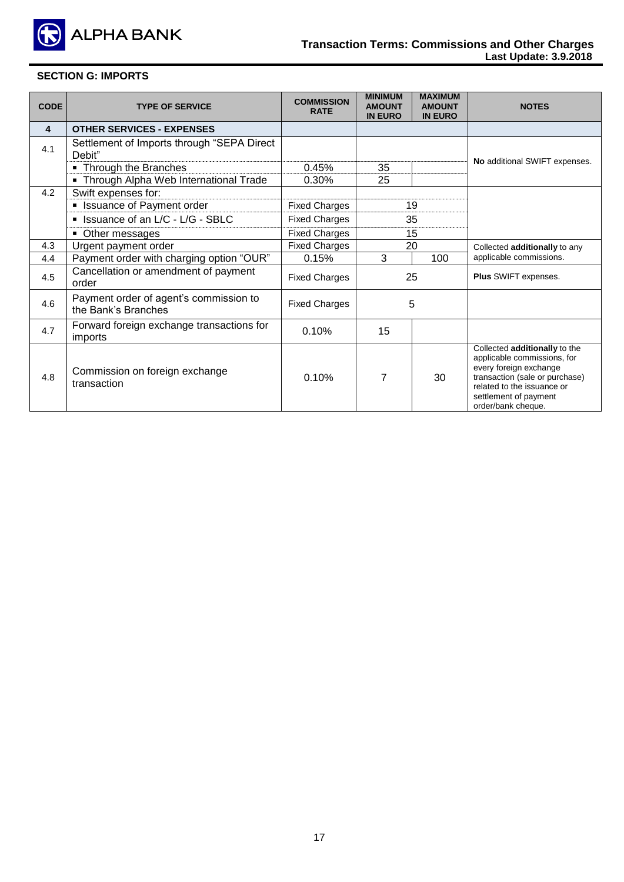

# **SECTION G: IMPORTS**

| <b>CODE</b>             | <b>TYPE OF SERVICE</b>                                        | <b>COMMISSION</b><br><b>RATE</b> | <b>MINIMUM</b><br><b>AMOUNT</b><br><b>IN EURO</b> | <b>MAXIMUM</b><br><b>AMOUNT</b><br><b>IN EURO</b> | <b>NOTES</b>                                                                                                                                                                                          |
|-------------------------|---------------------------------------------------------------|----------------------------------|---------------------------------------------------|---------------------------------------------------|-------------------------------------------------------------------------------------------------------------------------------------------------------------------------------------------------------|
| $\overline{\mathbf{4}}$ | <b>OTHER SERVICES - EXPENSES</b>                              |                                  |                                                   |                                                   |                                                                                                                                                                                                       |
| 4.1                     | Settlement of Imports through "SEPA Direct<br>Debit"          |                                  |                                                   |                                                   | No additional SWIFT expenses.                                                                                                                                                                         |
|                         | • Through the Branches                                        | 0.45%                            | 35                                                |                                                   |                                                                                                                                                                                                       |
|                         | • Through Alpha Web International Trade                       | 0.30%                            | 25                                                |                                                   |                                                                                                                                                                                                       |
| 4.2                     | Swift expenses for:                                           |                                  |                                                   |                                                   |                                                                                                                                                                                                       |
|                         | • Issuance of Payment order                                   | <b>Fixed Charges</b>             |                                                   | 19                                                |                                                                                                                                                                                                       |
|                         | SILC Issuance of an L/C - L/G - SBLC                          | <b>Fixed Charges</b>             | 35                                                |                                                   |                                                                                                                                                                                                       |
|                         | • Other messages                                              | <b>Fixed Charges</b>             | 15                                                |                                                   |                                                                                                                                                                                                       |
| 4.3                     | Urgent payment order                                          | <b>Fixed Charges</b>             | 20                                                |                                                   | Collected additionally to any                                                                                                                                                                         |
| 4.4                     | Payment order with charging option "OUR"                      | 0.15%                            | 3                                                 | 100                                               | applicable commissions.                                                                                                                                                                               |
| 4.5                     | Cancellation or amendment of payment<br>order                 | <b>Fixed Charges</b>             |                                                   | 25                                                | Plus SWIFT expenses.                                                                                                                                                                                  |
| 4.6                     | Payment order of agent's commission to<br>the Bank's Branches | <b>Fixed Charges</b>             | 5                                                 |                                                   |                                                                                                                                                                                                       |
| 4.7                     | Forward foreign exchange transactions for<br>imports          | 0.10%                            | 15                                                |                                                   |                                                                                                                                                                                                       |
| 4.8                     | Commission on foreign exchange<br>transaction                 | 0.10%                            | 7                                                 | 30                                                | Collected additionally to the<br>applicable commissions, for<br>every foreign exchange<br>transaction (sale or purchase)<br>related to the issuance or<br>settlement of payment<br>order/bank cheque. |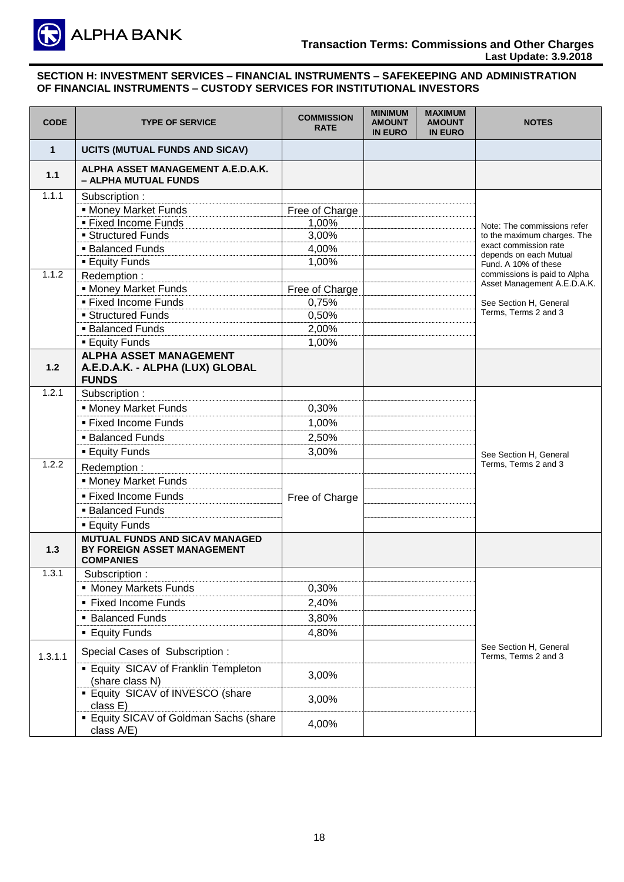

| <b>CODE</b> | <b>TYPE OF SERVICE</b>                                                                   | <b>COMMISSION</b><br><b>RATE</b> | <b>MINIMUM</b><br><b>AMOUNT</b><br><b>IN EURO</b> | <b>MAXIMUM</b><br><b>AMOUNT</b><br><b>IN EURO</b> | <b>NOTES</b>                                                |
|-------------|------------------------------------------------------------------------------------------|----------------------------------|---------------------------------------------------|---------------------------------------------------|-------------------------------------------------------------|
| $\mathbf 1$ | UCITS (MUTUAL FUNDS AND SICAV)                                                           |                                  |                                                   |                                                   |                                                             |
| 1.1         | ALPHA ASSET MANAGEMENT A.E.D.A.K.<br>- ALPHA MUTUAL FUNDS                                |                                  |                                                   |                                                   |                                                             |
| 1.1.1       | Subscription:                                                                            |                                  |                                                   |                                                   |                                                             |
|             | <b>Money Market Funds</b>                                                                | Free of Charge                   |                                                   |                                                   |                                                             |
|             | ■ Fixed Income Funds                                                                     | 1,00%                            |                                                   |                                                   | Note: The commissions refer                                 |
|             | <b>Structured Funds</b>                                                                  | 3,00%                            |                                                   |                                                   | to the maximum charges. The<br>exact commission rate        |
|             | <b>Balanced Funds</b>                                                                    | 4,00%                            |                                                   |                                                   | depends on each Mutual                                      |
|             | <b>Equity Funds</b>                                                                      | 1,00%                            |                                                   |                                                   | Fund. A 10% of these                                        |
| 1.1.2       | Redemption:                                                                              |                                  |                                                   |                                                   | commissions is paid to Alpha<br>Asset Management A.E.D.A.K. |
|             | <b>Money Market Funds</b>                                                                | Free of Charge                   |                                                   |                                                   |                                                             |
|             | ■ Fixed Income Funds                                                                     | 0,75%                            |                                                   |                                                   | See Section H, General                                      |
|             | <b>Structured Funds</b>                                                                  | 0,50%                            |                                                   |                                                   | Terms, Terms 2 and 3                                        |
|             | • Balanced Funds                                                                         | 2,00%                            |                                                   |                                                   |                                                             |
|             | <b>Equity Funds</b>                                                                      | 1,00%                            |                                                   |                                                   |                                                             |
| 1.2         | <b>ALPHA ASSET MANAGEMENT</b><br>A.E.D.A.K. - ALPHA (LUX) GLOBAL<br><b>FUNDS</b>         |                                  |                                                   |                                                   |                                                             |
| 1.2.1       | Subscription:                                                                            |                                  |                                                   |                                                   |                                                             |
|             | <b>Money Market Funds</b>                                                                | 0,30%                            |                                                   |                                                   |                                                             |
|             | ■ Fixed Income Funds                                                                     | 1,00%                            |                                                   |                                                   |                                                             |
|             | • Balanced Funds                                                                         | 2,50%                            |                                                   |                                                   |                                                             |
|             | <b>Equity Funds</b>                                                                      | 3,00%                            |                                                   |                                                   | See Section H. General                                      |
| 1.2.2       | Redemption:                                                                              |                                  |                                                   |                                                   | Terms, Terms 2 and 3                                        |
|             | • Money Market Funds                                                                     |                                  |                                                   |                                                   |                                                             |
|             | ■ Fixed Income Funds                                                                     | Free of Charge                   |                                                   |                                                   |                                                             |
|             | <b>Balanced Funds</b>                                                                    |                                  |                                                   |                                                   |                                                             |
|             | <b>Equity Funds</b>                                                                      |                                  |                                                   |                                                   |                                                             |
| 1.3         | <b>MUTUAL FUNDS AND SICAV MANAGED</b><br>BY FOREIGN ASSET MANAGEMENT<br><b>COMPANIES</b> |                                  |                                                   |                                                   |                                                             |
| 1.3.1       | Subscription:                                                                            |                                  |                                                   |                                                   |                                                             |
|             | • Money Markets Funds                                                                    | 0,30%                            |                                                   |                                                   |                                                             |
|             | ■ Fixed Income Funds                                                                     | 2,40%                            |                                                   |                                                   |                                                             |
|             | • Balanced Funds                                                                         | 3,80%                            |                                                   |                                                   |                                                             |
|             | <b>Equity Funds</b>                                                                      | 4,80%                            |                                                   |                                                   |                                                             |
| 1.3.1.1     | Special Cases of Subscription:                                                           |                                  |                                                   |                                                   | See Section H, General<br>Terms, Terms 2 and 3              |
|             | <b>Equity SICAV of Franklin Templeton</b><br>(share class N)                             | 3,00%                            |                                                   |                                                   |                                                             |
|             | <b>Equity SICAV of INVESCO (share</b><br>class E)                                        | 3,00%                            |                                                   |                                                   |                                                             |
|             | <b>Equity SICAV of Goldman Sachs (share</b><br>class A/E)                                | 4,00%                            |                                                   |                                                   |                                                             |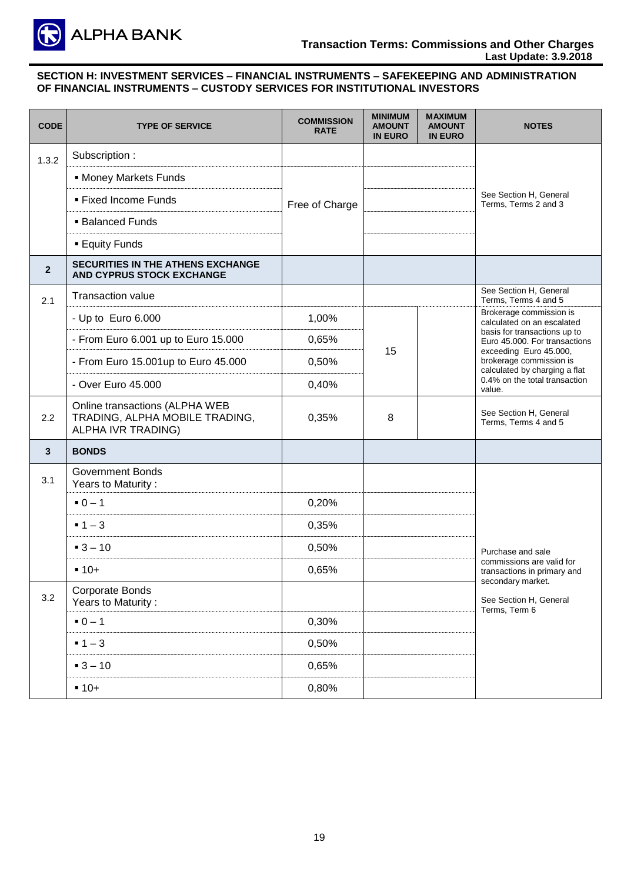

| <b>CODE</b>    | <b>TYPE OF SERVICE</b>                                                                 | <b>COMMISSION</b><br><b>RATE</b> | <b>MINIMUM</b><br><b>AMOUNT</b><br><b>IN EURO</b> | <b>MAXIMUM</b><br><b>AMOUNT</b><br><b>IN EURO</b> | <b>NOTES</b>                                                                                                                  |
|----------------|----------------------------------------------------------------------------------------|----------------------------------|---------------------------------------------------|---------------------------------------------------|-------------------------------------------------------------------------------------------------------------------------------|
| 1.3.2          | Subscription:                                                                          |                                  |                                                   |                                                   |                                                                                                                               |
|                | • Money Markets Funds                                                                  |                                  |                                                   |                                                   |                                                                                                                               |
|                | · Fixed Income Funds                                                                   | Free of Charge                   |                                                   |                                                   | See Section H, General<br>Terms, Terms 2 and 3                                                                                |
|                | <b>Balanced Funds</b>                                                                  |                                  |                                                   |                                                   |                                                                                                                               |
|                | <b>Equity Funds</b>                                                                    |                                  |                                                   |                                                   |                                                                                                                               |
| $\overline{2}$ | <b>SECURITIES IN THE ATHENS EXCHANGE</b><br>AND CYPRUS STOCK EXCHANGE                  |                                  |                                                   |                                                   |                                                                                                                               |
| 2.1            | <b>Transaction value</b>                                                               |                                  |                                                   |                                                   | See Section H, General<br>Terms, Terms 4 and 5                                                                                |
|                | - Up to Euro 6.000                                                                     | 1,00%                            |                                                   |                                                   | Brokerage commission is<br>calculated on an escalated                                                                         |
|                | - From Euro 6.001 up to Euro 15.000                                                    | 0,65%                            |                                                   |                                                   | basis for transactions up to<br>Euro 45.000. For transactions                                                                 |
|                | - From Euro 15.001up to Euro 45.000                                                    | 0,50%                            | 15                                                |                                                   | exceeding Euro 45.000,<br>brokerage commission is<br>calculated by charging a flat<br>0.4% on the total transaction<br>value. |
|                | - Over Euro 45.000                                                                     | 0,40%                            |                                                   |                                                   |                                                                                                                               |
| 2.2            | Online transactions (ALPHA WEB<br>TRADING, ALPHA MOBILE TRADING,<br>ALPHA IVR TRADING) | 0,35%                            | 8                                                 |                                                   | See Section H, General<br>Terms, Terms 4 and 5                                                                                |
| $\mathbf{3}$   | <b>BONDS</b>                                                                           |                                  |                                                   |                                                   |                                                                                                                               |
| 3.1            | <b>Government Bonds</b><br>Years to Maturity:                                          |                                  |                                                   |                                                   |                                                                                                                               |
|                | $-0 - 1$                                                                               | 0,20%                            |                                                   |                                                   |                                                                                                                               |
|                | $-1-3$                                                                                 | 0,35%                            |                                                   |                                                   |                                                                                                                               |
|                | $-3 - 10$                                                                              | 0,50%                            |                                                   |                                                   | Purchase and sale                                                                                                             |
|                | $-10+$                                                                                 | 0,65%                            |                                                   |                                                   | commissions are valid for<br>transactions in primary and                                                                      |
| 3.2            | Corporate Bonds<br>Years to Maturity:                                                  |                                  |                                                   |                                                   | secondary market.<br>See Section H, General<br>Terms, Term 6                                                                  |
|                | $-0-1$                                                                                 | 0,30%                            |                                                   |                                                   |                                                                                                                               |
|                | $-1-3$                                                                                 | 0,50%                            |                                                   |                                                   |                                                                                                                               |
|                | $-3 - 10$                                                                              | 0,65%                            |                                                   |                                                   |                                                                                                                               |
|                | $-10+$                                                                                 | 0,80%                            |                                                   |                                                   |                                                                                                                               |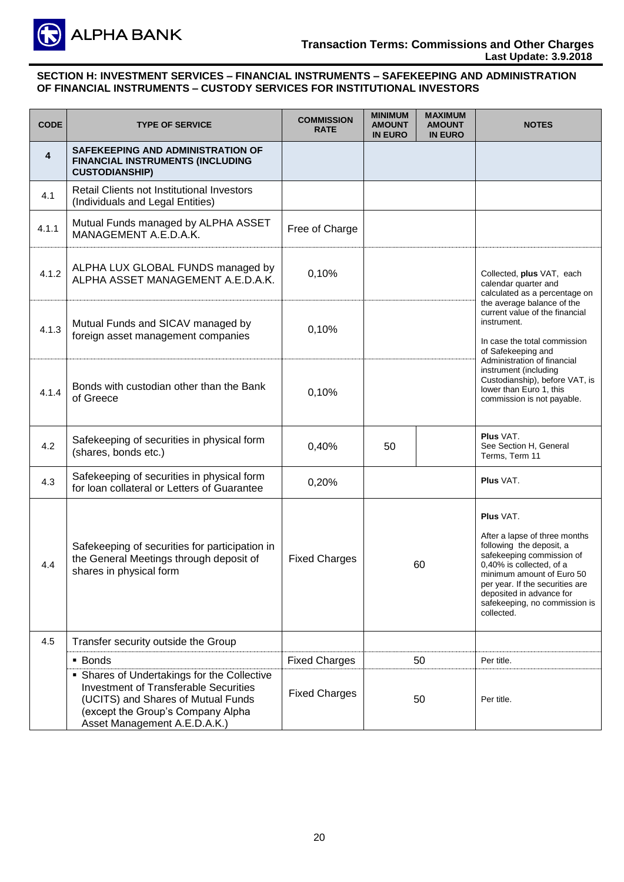

| <b>CODE</b> | <b>TYPE OF SERVICE</b>                                                                                                                                                                                 | <b>COMMISSION</b><br><b>RATE</b> | <b>MINIMUM</b><br><b>AMOUNT</b><br><b>IN EURO</b> | <b>MUMIXAM</b><br><b>AMOUNT</b><br><b>IN EURO</b> | <b>NOTES</b>                                                                                                                                                                                                                                                                      |
|-------------|--------------------------------------------------------------------------------------------------------------------------------------------------------------------------------------------------------|----------------------------------|---------------------------------------------------|---------------------------------------------------|-----------------------------------------------------------------------------------------------------------------------------------------------------------------------------------------------------------------------------------------------------------------------------------|
| 4           | SAFEKEEPING AND ADMINISTRATION OF<br>FINANCIAL INSTRUMENTS (INCLUDING<br><b>CUSTODIANSHIP)</b>                                                                                                         |                                  |                                                   |                                                   |                                                                                                                                                                                                                                                                                   |
| 4.1         | Retail Clients not Institutional Investors<br>(Individuals and Legal Entities)                                                                                                                         |                                  |                                                   |                                                   |                                                                                                                                                                                                                                                                                   |
| 4.1.1       | Mutual Funds managed by ALPHA ASSET<br>MANAGEMENT A.E.D.A.K.                                                                                                                                           | Free of Charge                   |                                                   |                                                   |                                                                                                                                                                                                                                                                                   |
| 4.1.2       | ALPHA LUX GLOBAL FUNDS managed by<br>ALPHA ASSET MANAGEMENT A.E.D.A.K.                                                                                                                                 | 0,10%                            |                                                   |                                                   | Collected, plus VAT, each<br>calendar quarter and<br>calculated as a percentage on                                                                                                                                                                                                |
| 4.1.3       | Mutual Funds and SICAV managed by<br>foreign asset management companies                                                                                                                                | 0,10%                            |                                                   |                                                   | the average balance of the<br>current value of the financial<br>instrument.<br>In case the total commission<br>of Safekeeping and                                                                                                                                                 |
| 4.1.4       | Bonds with custodian other than the Bank<br>of Greece                                                                                                                                                  | 0,10%                            |                                                   |                                                   | Administration of financial<br>instrument (including<br>Custodianship), before VAT, is<br>lower than Euro 1, this<br>commission is not payable.                                                                                                                                   |
| 4.2         | Safekeeping of securities in physical form<br>(shares, bonds etc.)                                                                                                                                     | 0,40%                            | 50                                                |                                                   | <b>Plus VAT.</b><br>See Section H, General<br>Terms, Term 11                                                                                                                                                                                                                      |
| 4.3         | Safekeeping of securities in physical form<br>for loan collateral or Letters of Guarantee                                                                                                              | 0,20%                            |                                                   |                                                   | Plus VAT.                                                                                                                                                                                                                                                                         |
| 4.4         | Safekeeping of securities for participation in<br>the General Meetings through deposit of<br>shares in physical form                                                                                   | <b>Fixed Charges</b>             | 60                                                |                                                   | <b>Plus VAT.</b><br>After a lapse of three months<br>following the deposit, a<br>safekeeping commission of<br>0,40% is collected, of a<br>minimum amount of Euro 50<br>per year. If the securities are<br>deposited in advance for<br>safekeeping, no commission is<br>collected. |
| 4.5         | Transfer security outside the Group                                                                                                                                                                    |                                  |                                                   |                                                   |                                                                                                                                                                                                                                                                                   |
|             | • Bonds                                                                                                                                                                                                | <b>Fixed Charges</b>             |                                                   | 50                                                | Per title.                                                                                                                                                                                                                                                                        |
|             | • Shares of Undertakings for the Collective<br><b>Investment of Transferable Securities</b><br>(UCITS) and Shares of Mutual Funds<br>(except the Group's Company Alpha<br>Asset Management A.E.D.A.K.) | <b>Fixed Charges</b>             |                                                   | 50                                                | Per title.                                                                                                                                                                                                                                                                        |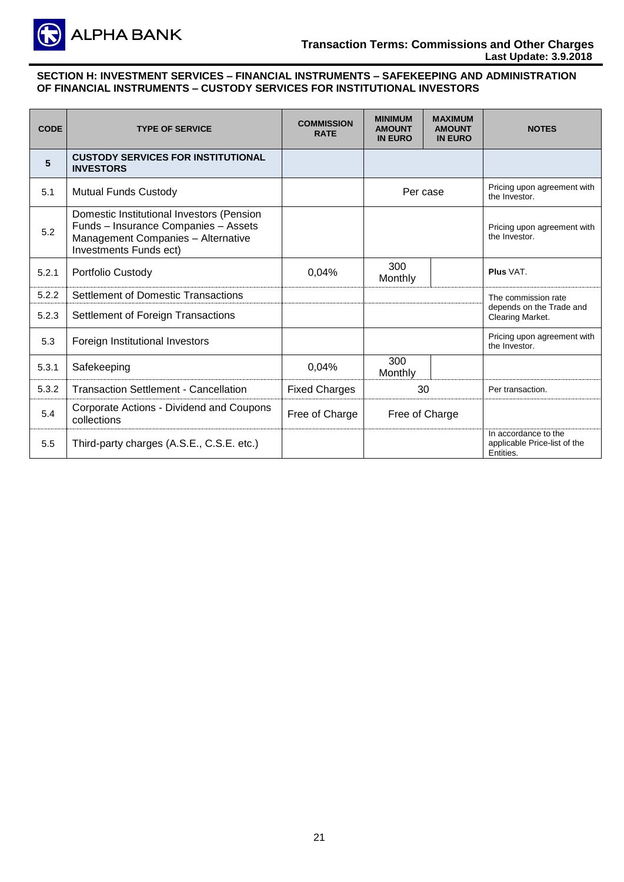

| <b>CODE</b> | <b>TYPE OF SERVICE</b>                                                                                                                            | <b>COMMISSION</b><br><b>RATE</b> | <b>MINIMUM</b><br><b>AMOUNT</b><br><b>IN EURO</b> | <b>MAXIMUM</b><br><b>AMOUNT</b><br><b>IN EURO</b> | <b>NOTES</b>                                                      |
|-------------|---------------------------------------------------------------------------------------------------------------------------------------------------|----------------------------------|---------------------------------------------------|---------------------------------------------------|-------------------------------------------------------------------|
| 5           | <b>CUSTODY SERVICES FOR INSTITUTIONAL</b><br><b>INVESTORS</b>                                                                                     |                                  |                                                   |                                                   |                                                                   |
| 5.1         | <b>Mutual Funds Custody</b>                                                                                                                       |                                  |                                                   | Per case                                          | Pricing upon agreement with<br>the Investor.                      |
| 5.2         | Domestic Institutional Investors (Pension<br>Funds - Insurance Companies - Assets<br>Management Companies - Alternative<br>Investments Funds ect) |                                  |                                                   |                                                   | Pricing upon agreement with<br>the Investor.                      |
| 5.2.1       | Portfolio Custody                                                                                                                                 | 0,04%                            | 300<br>Monthly                                    |                                                   | Plus VAT.                                                         |
| 5.2.2       | <b>Settlement of Domestic Transactions</b>                                                                                                        |                                  |                                                   |                                                   | The commission rate                                               |
| 5.2.3       | Settlement of Foreign Transactions                                                                                                                |                                  |                                                   |                                                   | depends on the Trade and<br>Clearing Market.                      |
| 5.3         | Foreign Institutional Investors                                                                                                                   |                                  |                                                   |                                                   | Pricing upon agreement with<br>the Investor.                      |
| 5.3.1       | Safekeeping                                                                                                                                       | 0,04%                            | 300<br>Monthly                                    |                                                   |                                                                   |
| 5.3.2       | <b>Transaction Settlement - Cancellation</b>                                                                                                      | <b>Fixed Charges</b>             | 30                                                |                                                   | Per transaction.                                                  |
| 5.4         | Corporate Actions - Dividend and Coupons<br>collections                                                                                           | Free of Charge                   | Free of Charge                                    |                                                   |                                                                   |
| 5.5         | Third-party charges (A.S.E., C.S.E. etc.)                                                                                                         |                                  |                                                   |                                                   | In accordance to the<br>applicable Price-list of the<br>Entities. |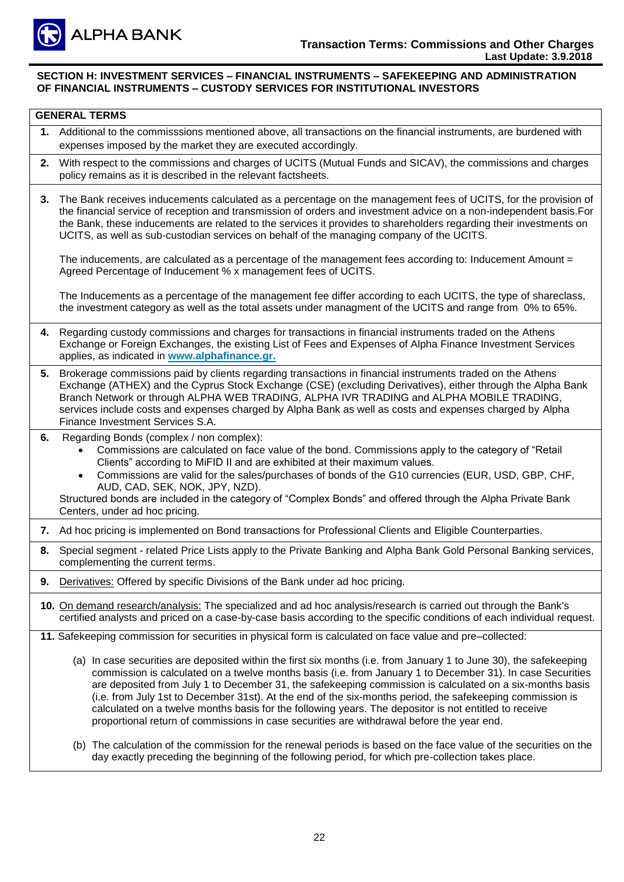

|    | <b>GENERAL TERMS</b>                                                                                                                                                                                                                                                                                                                                                                                                                                                                                                                                                                                                                                            |
|----|-----------------------------------------------------------------------------------------------------------------------------------------------------------------------------------------------------------------------------------------------------------------------------------------------------------------------------------------------------------------------------------------------------------------------------------------------------------------------------------------------------------------------------------------------------------------------------------------------------------------------------------------------------------------|
|    | 1. Additional to the commisssions mentioned above, all transactions on the financial instruments, are burdened with<br>expenses imposed by the market they are executed accordingly.                                                                                                                                                                                                                                                                                                                                                                                                                                                                            |
| 2. | With respect to the commissions and charges of UCITS (Mutual Funds and SICAV), the commissions and charges<br>policy remains as it is described in the relevant factsheets.                                                                                                                                                                                                                                                                                                                                                                                                                                                                                     |
| 3. | The Bank receives inducements calculated as a percentage on the management fees of UCITS, for the provision of<br>the financial service of reception and transmission of orders and investment advice on a non-independent basis. For<br>the Bank, these inducements are related to the services it provides to shareholders regarding their investments on<br>UCITS, as well as sub-custodian services on behalf of the managing company of the UCITS.                                                                                                                                                                                                         |
|    | The inducements, are calculated as a percentage of the management fees according to: Inducement Amount =<br>Agreed Percentage of Inducement % x management fees of UCITS.                                                                                                                                                                                                                                                                                                                                                                                                                                                                                       |
|    | The Inducements as a percentage of the management fee differ according to each UCITS, the type of shareclass,<br>the investment category as well as the total assets under managment of the UCITS and range from 0% to 65%.                                                                                                                                                                                                                                                                                                                                                                                                                                     |
| 4. | Regarding custody commissions and charges for transactions in financial instruments traded on the Athens<br>Exchange or Foreign Exchanges, the existing List of Fees and Expenses of Alpha Finance Investment Services<br>applies, as indicated in www.alphafinance.gr.                                                                                                                                                                                                                                                                                                                                                                                         |
|    | 5. Brokerage commissions paid by clients regarding transactions in financial instruments traded on the Athens<br>Exchange (ATHEX) and the Cyprus Stock Exchange (CSE) (excluding Derivatives), either through the Alpha Bank<br>Branch Network or through ALPHA WEB TRADING, ALPHA IVR TRADING and ALPHA MOBILE TRADING,<br>services include costs and expenses charged by Alpha Bank as well as costs and expenses charged by Alpha<br>Finance Investment Services S.A.                                                                                                                                                                                        |
| 6. | Regarding Bonds (complex / non complex):<br>Commissions are calculated on face value of the bond. Commissions apply to the category of "Retail"<br>Clients" according to MiFID II and are exhibited at their maximum values.<br>Commissions are valid for the sales/purchases of bonds of the G10 currencies (EUR, USD, GBP, CHF,<br>AUD, CAD, SEK, NOK, JPY, NZD).<br>Structured bonds are included in the category of "Complex Bonds" and offered through the Alpha Private Bank<br>Centers, under ad hoc pricing.                                                                                                                                            |
| 7. | Ad hoc pricing is implemented on Bond transactions for Professional Clients and Eligible Counterparties.                                                                                                                                                                                                                                                                                                                                                                                                                                                                                                                                                        |
| 8. | Special segment - related Price Lists apply to the Private Banking and Alpha Bank Gold Personal Banking services,<br>complementing the current terms.                                                                                                                                                                                                                                                                                                                                                                                                                                                                                                           |
| 9. | Derivatives: Offered by specific Divisions of the Bank under ad hoc pricing.                                                                                                                                                                                                                                                                                                                                                                                                                                                                                                                                                                                    |
|    | 10. On demand research/analysis: The specialized and ad hoc analysis/research is carried out through the Bank's<br>certified analysts and priced on a case-by-case basis according to the specific conditions of each individual request.                                                                                                                                                                                                                                                                                                                                                                                                                       |
|    | 11. Safekeeping commission for securities in physical form is calculated on face value and pre-collected:                                                                                                                                                                                                                                                                                                                                                                                                                                                                                                                                                       |
|    | (a) In case securities are deposited within the first six months (i.e. from January 1 to June 30), the safekeeping<br>commission is calculated on a twelve months basis (i.e. from January 1 to December 31). In case Securities<br>are deposited from July 1 to December 31, the safekeeping commission is calculated on a six-months basis<br>(i.e. from July 1st to December 31st). At the end of the six-months period, the safekeeping commission is<br>calculated on a twelve months basis for the following years. The depositor is not entitled to receive<br>proportional return of commissions in case securities are withdrawal before the year end. |
|    | (b) The calculation of the commission for the renewal periods is based on the face value of the securities on the<br>day exactly preceding the beginning of the following period, for which pre-collection takes place.                                                                                                                                                                                                                                                                                                                                                                                                                                         |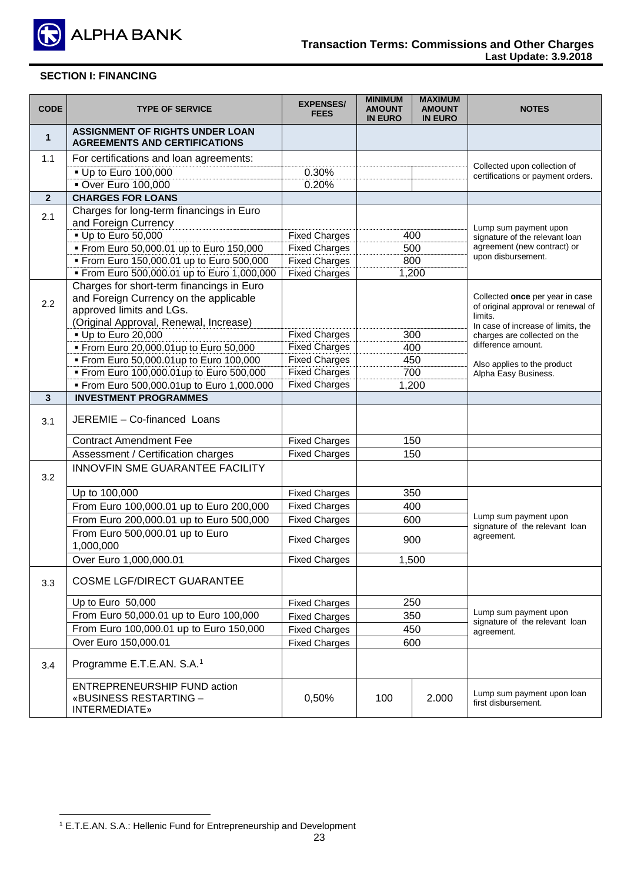

| <b>CODE</b>    | <b>TYPE OF SERVICE</b>                                                                | <b>EXPENSES/</b><br><b>FEES</b> | <b>MINIMUM</b><br><b>AMOUNT</b><br><b>IN EURO</b> | <b>MAXIMUM</b><br><b>AMOUNT</b><br><b>IN EURO</b> | <b>NOTES</b>                                                          |
|----------------|---------------------------------------------------------------------------------------|---------------------------------|---------------------------------------------------|---------------------------------------------------|-----------------------------------------------------------------------|
| $\mathbf{1}$   | <b>ASSIGNMENT OF RIGHTS UNDER LOAN</b><br><b>AGREEMENTS AND CERTIFICATIONS</b>        |                                 |                                                   |                                                   |                                                                       |
| 1.1            | For certifications and loan agreements:                                               |                                 |                                                   |                                                   |                                                                       |
|                | • Up to Euro 100,000                                                                  | 0.30%                           |                                                   |                                                   | Collected upon collection of<br>certifications or payment orders.     |
|                | <b>• Over Euro 100,000</b>                                                            | 0.20%                           |                                                   |                                                   |                                                                       |
| $\overline{2}$ | <b>CHARGES FOR LOANS</b>                                                              |                                 |                                                   |                                                   |                                                                       |
| 2.1            | Charges for long-term financings in Euro<br>and Foreign Currency                      |                                 |                                                   |                                                   |                                                                       |
|                | - Up to Euro 50,000                                                                   | <b>Fixed Charges</b>            |                                                   | 400                                               | Lump sum payment upon<br>signature of the relevant loan               |
|                | From Euro 50,000.01 up to Euro 150,000                                                | <b>Fixed Charges</b>            |                                                   | 500                                               | agreement (new contract) or                                           |
|                | From Euro 150,000.01 up to Euro 500,000                                               | <b>Fixed Charges</b>            |                                                   | 800                                               | upon disbursement.                                                    |
|                | From Euro 500,000.01 up to Euro 1,000,000                                             | <b>Fixed Charges</b>            |                                                   | 1,200                                             |                                                                       |
| 2.2            | Charges for short-term financings in Euro<br>and Foreign Currency on the applicable   |                                 |                                                   |                                                   | Collected once per year in case<br>of original approval or renewal of |
|                | approved limits and LGs.                                                              |                                 |                                                   |                                                   | limits.                                                               |
|                | (Original Approval, Renewal, Increase)                                                | <b>Fixed Charges</b>            |                                                   | 300                                               | In case of increase of limits, the                                    |
|                | - Up to Euro 20,000<br>From Euro 20,000.01up to Euro 50,000                           | <b>Fixed Charges</b>            |                                                   | 400                                               | charges are collected on the<br>difference amount.                    |
|                | From Euro 50,000.01up to Euro 100,000                                                 | <b>Fixed Charges</b>            |                                                   |                                                   |                                                                       |
|                | From Euro 100,000.01up to Euro 500,000                                                | <b>Fixed Charges</b>            | 450<br>700                                        |                                                   | Also applies to the product                                           |
|                | From Euro 500,000.01up to Euro 1,000.000                                              | <b>Fixed Charges</b>            | 1,200                                             |                                                   | Alpha Easy Business.                                                  |
| $\mathbf{3}$   | <b>INVESTMENT PROGRAMMES</b>                                                          |                                 |                                                   |                                                   |                                                                       |
|                |                                                                                       |                                 |                                                   |                                                   |                                                                       |
| 3.1            | JEREMIE - Co-financed Loans                                                           |                                 |                                                   |                                                   |                                                                       |
|                | <b>Contract Amendment Fee</b>                                                         | <b>Fixed Charges</b>            |                                                   | 150                                               |                                                                       |
|                | Assessment / Certification charges                                                    | <b>Fixed Charges</b>            |                                                   | 150                                               |                                                                       |
| 3.2            | <b>INNOVFIN SME GUARANTEE FACILITY</b>                                                |                                 |                                                   |                                                   |                                                                       |
|                | Up to 100,000                                                                         | <b>Fixed Charges</b>            |                                                   | 350                                               |                                                                       |
|                | From Euro 100,000.01 up to Euro 200,000                                               | <b>Fixed Charges</b>            |                                                   | 400                                               |                                                                       |
|                | From Euro 200,000.01 up to Euro 500,000                                               | <b>Fixed Charges</b>            |                                                   | 600                                               | Lump sum payment upon                                                 |
|                | From Euro 500,000.01 up to Euro<br>1,000,000                                          | <b>Fixed Charges</b>            |                                                   | 900                                               | signature of the relevant loan<br>agreement.                          |
|                | Over Euro 1,000,000.01                                                                | <b>Fixed Charges</b>            |                                                   | 1,500                                             |                                                                       |
| 3.3            | <b>COSME LGF/DIRECT GUARANTEE</b>                                                     |                                 |                                                   |                                                   |                                                                       |
|                | Up to Euro 50,000                                                                     | <b>Fixed Charges</b>            |                                                   | 250                                               |                                                                       |
|                | From Euro 50,000.01 up to Euro 100,000                                                | <b>Fixed Charges</b>            |                                                   | 350                                               | Lump sum payment upon                                                 |
|                | From Euro 100,000.01 up to Euro 150,000                                               | <b>Fixed Charges</b>            |                                                   |                                                   | signature of the relevant loan                                        |
|                | Over Euro 150,000.01                                                                  | <b>Fixed Charges</b>            | 450<br>600                                        |                                                   | agreement.                                                            |
| 3.4            | Programme E.T.E.AN. S.A. <sup>1</sup>                                                 |                                 |                                                   |                                                   |                                                                       |
|                | <b>ENTREPRENEURSHIP FUND action</b><br>«BUSINESS RESTARTING -<br><b>INTERMEDIATE»</b> | 0,50%                           | 100                                               | 2.000                                             | Lump sum payment upon loan<br>first disbursement.                     |

<sup>&</sup>lt;u>.</u> <sup>1</sup> E.T.E.AN. S.A.: Hellenic Fund for Entrepreneurship and Development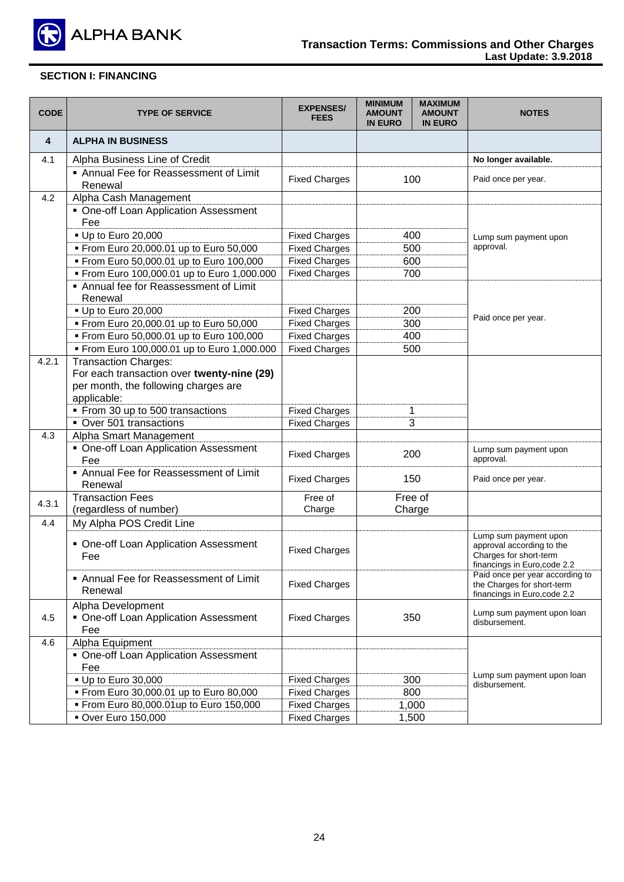

| <b>CODE</b> | <b>TYPE OF SERVICE</b>                                                                                                    | <b>EXPENSES/</b><br><b>FEES</b> | <b>MINIMUM</b><br><b>AMOUNT</b><br><b>IN EURO</b> | <b>MAXIMUM</b><br><b>AMOUNT</b><br><b>IN EURO</b> | <b>NOTES</b>                                                                                                 |
|-------------|---------------------------------------------------------------------------------------------------------------------------|---------------------------------|---------------------------------------------------|---------------------------------------------------|--------------------------------------------------------------------------------------------------------------|
| 4           | <b>ALPHA IN BUSINESS</b>                                                                                                  |                                 |                                                   |                                                   |                                                                                                              |
| 4.1         | Alpha Business Line of Credit                                                                                             |                                 |                                                   |                                                   | No longer available.                                                                                         |
|             | Annual Fee for Reassessment of Limit<br>Renewal                                                                           | <b>Fixed Charges</b>            |                                                   | 100                                               | Paid once per year.                                                                                          |
| 4.2         | Alpha Cash Management                                                                                                     |                                 |                                                   |                                                   |                                                                                                              |
|             | • One-off Loan Application Assessment<br>Fee                                                                              |                                 |                                                   |                                                   |                                                                                                              |
|             | • Up to Euro 20,000                                                                                                       | <b>Fixed Charges</b>            | 400                                               |                                                   | Lump sum payment upon                                                                                        |
|             | From Euro 20,000.01 up to Euro 50,000                                                                                     | <b>Fixed Charges</b>            | 500                                               |                                                   | approval.                                                                                                    |
|             | From Euro 50,000.01 up to Euro 100,000                                                                                    | <b>Fixed Charges</b>            | 600                                               |                                                   |                                                                                                              |
|             | From Euro 100,000.01 up to Euro 1,000.000                                                                                 | <b>Fixed Charges</b>            | 700                                               |                                                   |                                                                                                              |
|             | Annual fee for Reassessment of Limit<br>Renewal                                                                           |                                 |                                                   |                                                   |                                                                                                              |
|             | • Up to Euro 20,000                                                                                                       | <b>Fixed Charges</b>            | 200                                               |                                                   |                                                                                                              |
|             | From Euro 20,000.01 up to Euro 50,000                                                                                     | <b>Fixed Charges</b>            |                                                   | 300                                               | Paid once per year.                                                                                          |
|             | From Euro 50,000.01 up to Euro 100,000                                                                                    | <b>Fixed Charges</b>            | 400                                               |                                                   |                                                                                                              |
|             | From Euro 100,000.01 up to Euro 1,000.000                                                                                 | <b>Fixed Charges</b>            | 500                                               |                                                   |                                                                                                              |
| 4.2.1       | Transaction Charges:<br>For each transaction over twenty-nine (29)<br>per month, the following charges are<br>applicable: |                                 |                                                   |                                                   |                                                                                                              |
|             | • From 30 up to 500 transactions                                                                                          | <b>Fixed Charges</b>            |                                                   | 1                                                 |                                                                                                              |
|             | Over 501 transactions                                                                                                     | <b>Fixed Charges</b>            |                                                   | 3                                                 |                                                                                                              |
| 4.3         | Alpha Smart Management<br>• One-off Loan Application Assessment                                                           |                                 |                                                   |                                                   | Lump sum payment upon                                                                                        |
|             | Fee                                                                                                                       | <b>Fixed Charges</b>            | 200                                               |                                                   | approval.                                                                                                    |
|             | Annual Fee for Reassessment of Limit<br>Renewal                                                                           | <b>Fixed Charges</b>            |                                                   | 150                                               | Paid once per year.                                                                                          |
| 4.3.1       | <b>Transaction Fees</b><br>(regardless of number)                                                                         | Free of<br>Charge               | Charge                                            | Free of                                           |                                                                                                              |
| 4.4         | My Alpha POS Credit Line                                                                                                  |                                 |                                                   |                                                   |                                                                                                              |
|             | • One-off Loan Application Assessment<br>Fee                                                                              | <b>Fixed Charges</b>            |                                                   |                                                   | Lump sum payment upon<br>approval according to the<br>Charges for short-term<br>financings in Euro, code 2.2 |
|             | • Annual Fee for Reassessment of Limit<br>Renewal                                                                         | <b>Fixed Charges</b>            |                                                   |                                                   | Paid once per year according to<br>the Charges for short-term<br>financings in Euro, code 2.2                |
| 4.5         | Alpha Development<br>• One-off Loan Application Assessment<br>Fee                                                         | <b>Fixed Charges</b>            |                                                   | 350                                               | Lump sum payment upon loan<br>disbursement.                                                                  |
| 4.6         | Alpha Equipment                                                                                                           |                                 |                                                   |                                                   |                                                                                                              |
|             | • One-off Loan Application Assessment<br>Fee                                                                              |                                 |                                                   |                                                   |                                                                                                              |
|             | • Up to Euro 30,000                                                                                                       | <b>Fixed Charges</b>            |                                                   | 300                                               | Lump sum payment upon loan<br>disbursement.                                                                  |
|             | From Euro 30,000.01 up to Euro 80,000                                                                                     | <b>Fixed Charges</b>            |                                                   | 800                                               |                                                                                                              |
|             | From Euro 80,000.01up to Euro 150,000                                                                                     | <b>Fixed Charges</b>            |                                                   | 1,000                                             |                                                                                                              |
|             | <b>• Over Euro 150,000</b>                                                                                                | <b>Fixed Charges</b>            |                                                   | 1,500                                             |                                                                                                              |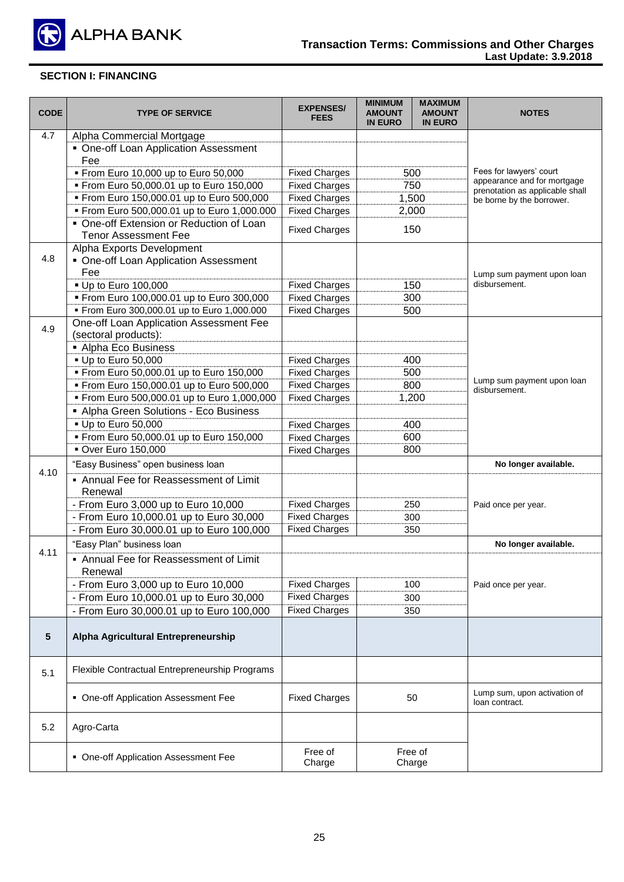

| <b>CODE</b> | <b>TYPE OF SERVICE</b>                         | <b>EXPENSES/</b><br><b>FEES</b> | <b>MINIMUM</b><br><b>AMOUNT</b><br><b>IN EURO</b> | <b>MAXIMUM</b><br><b>AMOUNT</b><br><b>IN EURO</b> | <b>NOTES</b>                                                   |
|-------------|------------------------------------------------|---------------------------------|---------------------------------------------------|---------------------------------------------------|----------------------------------------------------------------|
| 4.7         | Alpha Commercial Mortgage                      |                                 |                                                   |                                                   |                                                                |
|             | • One-off Loan Application Assessment          |                                 |                                                   |                                                   |                                                                |
|             | Fee                                            |                                 |                                                   |                                                   |                                                                |
|             | From Euro 10,000 up to Euro 50,000             | <b>Fixed Charges</b>            |                                                   | 500                                               | Fees for lawyers' court                                        |
|             | From Euro 50,000.01 up to Euro 150,000         | <b>Fixed Charges</b>            |                                                   | 750                                               | appearance and for mortgage<br>prenotation as applicable shall |
|             | From Euro 150,000.01 up to Euro 500,000        | <b>Fixed Charges</b>            |                                                   | 1,500                                             | be borne by the borrower.                                      |
|             | From Euro 500,000.01 up to Euro 1,000.000      | <b>Fixed Charges</b>            |                                                   | 2,000                                             |                                                                |
|             | • One-off Extension or Reduction of Loan       | <b>Fixed Charges</b>            |                                                   |                                                   |                                                                |
|             | <b>Tenor Assessment Fee</b>                    |                                 | 150                                               |                                                   |                                                                |
|             | Alpha Exports Development                      |                                 |                                                   |                                                   |                                                                |
| 4.8         | • One-off Loan Application Assessment          |                                 |                                                   |                                                   |                                                                |
|             | Fee                                            |                                 |                                                   |                                                   | Lump sum payment upon loan                                     |
|             | ■ Up to Euro 100,000                           | <b>Fixed Charges</b>            |                                                   | 150                                               | disbursement.                                                  |
|             | From Euro 100,000.01 up to Euro 300,000        | <b>Fixed Charges</b>            |                                                   | 300                                               |                                                                |
|             | From Euro 300,000.01 up to Euro 1,000.000      | <b>Fixed Charges</b>            |                                                   | 500                                               |                                                                |
| 4.9         | One-off Loan Application Assessment Fee        |                                 |                                                   |                                                   |                                                                |
|             | (sectoral products):                           |                                 |                                                   |                                                   |                                                                |
|             | • Alpha Eco Business                           |                                 |                                                   |                                                   |                                                                |
|             | - Up to Euro 50,000                            | <b>Fixed Charges</b>            |                                                   | 400                                               |                                                                |
|             | From Euro 50,000.01 up to Euro 150,000         | <b>Fixed Charges</b>            |                                                   | 500                                               | Lump sum payment upon loan                                     |
|             | From Euro 150,000.01 up to Euro 500,000        | <b>Fixed Charges</b>            |                                                   | 800                                               | disbursement.                                                  |
|             | From Euro 500,000.01 up to Euro 1,000,000      | <b>Fixed Charges</b>            |                                                   | 1,200                                             |                                                                |
|             | • Alpha Green Solutions - Eco Business         |                                 |                                                   |                                                   |                                                                |
|             | - Up to Euro 50,000                            | <b>Fixed Charges</b>            | 400                                               |                                                   |                                                                |
|             | From Euro 50,000.01 up to Euro 150,000         | <b>Fixed Charges</b>            | 600                                               |                                                   |                                                                |
|             | Over Euro 150,000                              | <b>Fixed Charges</b>            | 800                                               |                                                   |                                                                |
|             | "Easy Business" open business loan             |                                 |                                                   |                                                   | No longer available.                                           |
| 4.10        | • Annual Fee for Reassessment of Limit         |                                 |                                                   |                                                   |                                                                |
|             | Renewal                                        |                                 |                                                   |                                                   |                                                                |
|             | - From Euro 3,000 up to Euro 10,000            | <b>Fixed Charges</b>            |                                                   | 250                                               | Paid once per year.                                            |
|             | - From Euro 10,000.01 up to Euro 30,000        | <b>Fixed Charges</b>            |                                                   | 300                                               |                                                                |
|             | - From Euro 30,000.01 up to Euro 100,000       | <b>Fixed Charges</b>            |                                                   | 350                                               |                                                                |
|             | "Easy Plan" business loan                      |                                 |                                                   |                                                   | No longer available.                                           |
| 4.11        | • Annual Fee for Reassessment of Limit         |                                 |                                                   |                                                   |                                                                |
|             | Renewal                                        |                                 |                                                   |                                                   |                                                                |
|             | - From Euro 3,000 up to Euro 10,000            | <b>Fixed Charges</b>            |                                                   | 100                                               | Paid once per year.                                            |
|             | - From Euro 10,000.01 up to Euro 30,000        | <b>Fixed Charges</b>            |                                                   | 300                                               |                                                                |
|             | - From Euro 30,000.01 up to Euro 100,000       | <b>Fixed Charges</b>            |                                                   | 350                                               |                                                                |
|             |                                                |                                 |                                                   |                                                   |                                                                |
| 5           | Alpha Agricultural Entrepreneurship            |                                 |                                                   |                                                   |                                                                |
|             |                                                |                                 |                                                   |                                                   |                                                                |
| 5.1         | Flexible Contractual Entrepreneurship Programs |                                 |                                                   |                                                   |                                                                |
|             |                                                |                                 |                                                   |                                                   |                                                                |
|             | • One-off Application Assessment Fee           | <b>Fixed Charges</b>            |                                                   | 50                                                | Lump sum, upon activation of<br>loan contract.                 |
| 5.2         | Agro-Carta                                     |                                 |                                                   |                                                   |                                                                |
|             |                                                |                                 |                                                   |                                                   |                                                                |
|             | • One-off Application Assessment Fee           | Free of<br>Charge               |                                                   | Free of<br>Charge                                 |                                                                |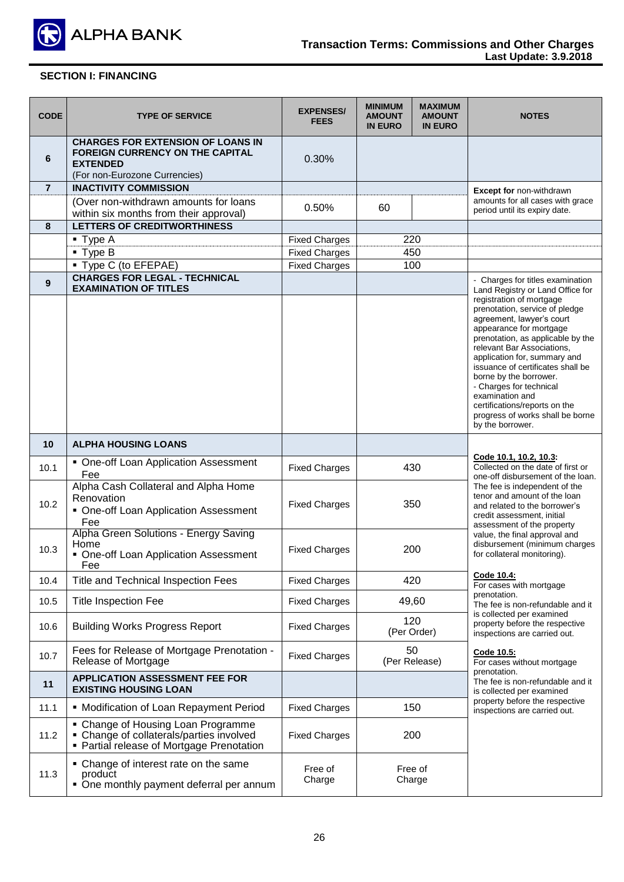

| <b>CODE</b>    | <b>TYPE OF SERVICE</b>                                                                                                                 | <b>EXPENSES/</b><br><b>FEES</b> | <b>MINIMUM</b><br><b>AMOUNT</b><br><b>IN EURO</b> | <b>MAXIMUM</b><br><b>AMOUNT</b><br><b>IN EURO</b> | <b>NOTES</b>                                                                                                                                                                                                                                                                                                                                                                                                                |
|----------------|----------------------------------------------------------------------------------------------------------------------------------------|---------------------------------|---------------------------------------------------|---------------------------------------------------|-----------------------------------------------------------------------------------------------------------------------------------------------------------------------------------------------------------------------------------------------------------------------------------------------------------------------------------------------------------------------------------------------------------------------------|
| 6              | <b>CHARGES FOR EXTENSION OF LOANS IN</b><br><b>FOREIGN CURRENCY ON THE CAPITAL</b><br><b>EXTENDED</b><br>(For non-Eurozone Currencies) | 0.30%                           |                                                   |                                                   |                                                                                                                                                                                                                                                                                                                                                                                                                             |
| $\overline{7}$ | <b>INACTIVITY COMMISSION</b>                                                                                                           |                                 |                                                   |                                                   | Except for non-withdrawn                                                                                                                                                                                                                                                                                                                                                                                                    |
|                | (Over non-withdrawn amounts for loans<br>within six months from their approval)                                                        | 0.50%                           | 60                                                |                                                   | amounts for all cases with grace<br>period until its expiry date.                                                                                                                                                                                                                                                                                                                                                           |
| 8              | <b>LETTERS OF CREDITWORTHINESS</b>                                                                                                     |                                 |                                                   |                                                   |                                                                                                                                                                                                                                                                                                                                                                                                                             |
|                | $\blacksquare$ Type A                                                                                                                  | <b>Fixed Charges</b>            | 220                                               |                                                   |                                                                                                                                                                                                                                                                                                                                                                                                                             |
|                | $\blacksquare$ Type B                                                                                                                  | <b>Fixed Charges</b>            |                                                   | 450                                               |                                                                                                                                                                                                                                                                                                                                                                                                                             |
|                | ■ Type C (to EFEPAE)                                                                                                                   | <b>Fixed Charges</b>            | 100                                               |                                                   |                                                                                                                                                                                                                                                                                                                                                                                                                             |
| 9              | <b>CHARGES FOR LEGAL - TECHNICAL</b><br><b>EXAMINATION OF TITLES</b>                                                                   |                                 |                                                   |                                                   | - Charges for titles examination<br>Land Registry or Land Office for                                                                                                                                                                                                                                                                                                                                                        |
|                |                                                                                                                                        |                                 |                                                   |                                                   | registration of mortgage<br>prenotation, service of pledge<br>agreement, lawyer's court<br>appearance for mortgage<br>prenotation, as applicable by the<br>relevant Bar Associations,<br>application for, summary and<br>issuance of certificates shall be<br>borne by the borrower.<br>- Charges for technical<br>examination and<br>certifications/reports on the<br>progress of works shall be borne<br>by the borrower. |
| 10             | <b>ALPHA HOUSING LOANS</b>                                                                                                             |                                 |                                                   |                                                   |                                                                                                                                                                                                                                                                                                                                                                                                                             |
| 10.1           | • One-off Loan Application Assessment<br>Fee                                                                                           | <b>Fixed Charges</b>            | 430                                               |                                                   | Code 10.1, 10.2, 10.3:<br>Collected on the date of first or<br>one-off disbursement of the loan.                                                                                                                                                                                                                                                                                                                            |
| 10.2           | Alpha Cash Collateral and Alpha Home<br>Renovation<br>• One-off Loan Application Assessment<br>Fee                                     | <b>Fixed Charges</b>            | 350                                               |                                                   | The fee is independent of the<br>tenor and amount of the loan<br>and related to the borrower's<br>credit assessment, initial<br>assessment of the property                                                                                                                                                                                                                                                                  |
| 10.3           | Alpha Green Solutions - Energy Saving<br>Home<br>• One-off Loan Application Assessment<br>Fee                                          | <b>Fixed Charges</b>            | 200                                               |                                                   | value, the final approval and<br>disbursement (minimum charges<br>for collateral monitoring).                                                                                                                                                                                                                                                                                                                               |
| 10.4           | Title and Technical Inspection Fees                                                                                                    | <b>Fixed Charges</b>            |                                                   | 420                                               | Code 10.4:<br>For cases with mortgage                                                                                                                                                                                                                                                                                                                                                                                       |
| 10.5           | <b>Title Inspection Fee</b>                                                                                                            | <b>Fixed Charges</b>            | 49,60                                             |                                                   | prenotation.<br>The fee is non-refundable and it                                                                                                                                                                                                                                                                                                                                                                            |
| 10.6           | <b>Building Works Progress Report</b>                                                                                                  | <b>Fixed Charges</b>            |                                                   | 120<br>(Per Order)                                | is collected per examined<br>property before the respective<br>inspections are carried out.                                                                                                                                                                                                                                                                                                                                 |
| 10.7           | Fees for Release of Mortgage Prenotation -<br>Release of Mortgage                                                                      | <b>Fixed Charges</b>            | 50<br>(Per Release)                               |                                                   | Code 10.5:<br>For cases without mortgage                                                                                                                                                                                                                                                                                                                                                                                    |
| 11             | <b>APPLICATION ASSESSMENT FEE FOR</b><br><b>EXISTING HOUSING LOAN</b>                                                                  |                                 |                                                   |                                                   | prenotation.<br>The fee is non-refundable and it<br>is collected per examined                                                                                                                                                                                                                                                                                                                                               |
| 11.1           | • Modification of Loan Repayment Period                                                                                                | <b>Fixed Charges</b>            |                                                   | 150                                               | property before the respective<br>inspections are carried out.                                                                                                                                                                                                                                                                                                                                                              |
| 11.2           | • Change of Housing Loan Programme<br>• Change of collaterals/parties involved<br>• Partial release of Mortgage Prenotation            | <b>Fixed Charges</b>            | 200                                               |                                                   |                                                                                                                                                                                                                                                                                                                                                                                                                             |
| 11.3           | • Change of interest rate on the same<br>product<br>• One monthly payment deferral per annum                                           | Free of<br>Charge               | Free of<br>Charge                                 |                                                   |                                                                                                                                                                                                                                                                                                                                                                                                                             |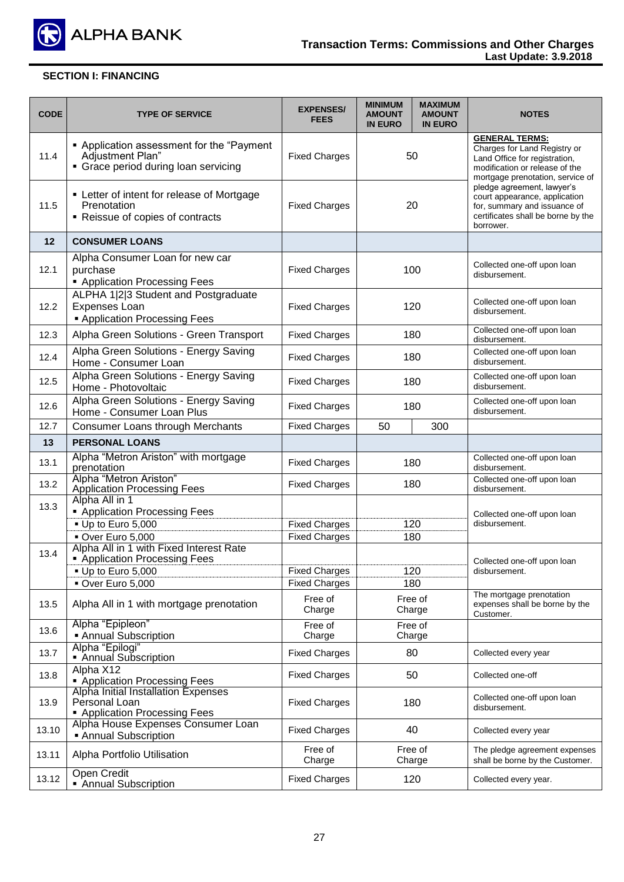

| <b>CODE</b> | <b>TYPE OF SERVICE</b>                                                                                                    | <b>EXPENSES/</b><br><b>FEES</b>              | <b>MINIMUM</b><br><b>AMOUNT</b><br><b>IN EURO</b> | <b>MAXIMUM</b><br><b>AMOUNT</b><br><b>IN EURO</b> | <b>NOTES</b>                                                                                                                                                 |
|-------------|---------------------------------------------------------------------------------------------------------------------------|----------------------------------------------|---------------------------------------------------|---------------------------------------------------|--------------------------------------------------------------------------------------------------------------------------------------------------------------|
| 11.4        | • Application assessment for the "Payment<br>Adjustment Plan"<br>• Grace period during loan servicing                     | <b>Fixed Charges</b>                         | 50                                                |                                                   | <b>GENERAL TERMS:</b><br>Charges for Land Registry or<br>Land Office for registration,<br>modification or release of the<br>mortgage prenotation, service of |
| 11.5        | • Letter of intent for release of Mortgage<br>Prenotation<br>• Reissue of copies of contracts                             | <b>Fixed Charges</b>                         | 20                                                |                                                   | pledge agreement, lawyer's<br>court appearance, application<br>for, summary and issuance of<br>certificates shall be borne by the<br>borrower.               |
| 12          | <b>CONSUMER LOANS</b>                                                                                                     |                                              |                                                   |                                                   |                                                                                                                                                              |
| 12.1        | Alpha Consumer Loan for new car<br>purchase<br><b>- Application Processing Fees</b>                                       | <b>Fixed Charges</b>                         | 100                                               |                                                   | Collected one-off upon loan<br>disbursement.                                                                                                                 |
| 12.2        | ALPHA 1 2 3 Student and Postgraduate<br><b>Expenses Loan</b><br><b>Application Processing Fees</b>                        | <b>Fixed Charges</b>                         |                                                   | 120                                               | Collected one-off upon loan<br>disbursement.                                                                                                                 |
| 12.3        | Alpha Green Solutions - Green Transport                                                                                   | <b>Fixed Charges</b>                         |                                                   | 180                                               | Collected one-off upon loan<br>disbursement.                                                                                                                 |
| 12.4        | Alpha Green Solutions - Energy Saving<br>Home - Consumer Loan                                                             | <b>Fixed Charges</b>                         |                                                   | 180                                               | Collected one-off upon loan<br>disbursement.                                                                                                                 |
| 12.5        | Alpha Green Solutions - Energy Saving<br>Home - Photovoltaic                                                              | <b>Fixed Charges</b>                         | 180                                               |                                                   | Collected one-off upon loan<br>disbursement.                                                                                                                 |
| 12.6        | Alpha Green Solutions - Energy Saving<br>Home - Consumer Loan Plus                                                        | <b>Fixed Charges</b>                         | 180                                               |                                                   | Collected one-off upon loan<br>disbursement.                                                                                                                 |
| 12.7        | Consumer Loans through Merchants                                                                                          | <b>Fixed Charges</b>                         | 300<br>50                                         |                                                   |                                                                                                                                                              |
| 13          | <b>PERSONAL LOANS</b>                                                                                                     |                                              |                                                   |                                                   |                                                                                                                                                              |
| 13.1        | Alpha "Metron Ariston" with mortgage<br>prenotation                                                                       | <b>Fixed Charges</b>                         | 180                                               |                                                   | Collected one-off upon loan<br>disbursement.                                                                                                                 |
| 13.2        | Alpha "Metron Ariston"<br><b>Application Processing Fees</b><br>Alpha All in 1                                            | <b>Fixed Charges</b>                         |                                                   | 180                                               | Collected one-off upon loan<br>disbursement.                                                                                                                 |
| 13.3        | • Application Processing Fees<br>Up to Euro 5,000<br>Over Euro 5,000                                                      | <b>Fixed Charges</b><br><b>Fixed Charges</b> | 120                                               | 180                                               | Collected one-off upon loan<br>disbursement.                                                                                                                 |
| 13.4        | Alpha All in 1 with Fixed Interest Rate<br>• Application Processing Fees<br>$\bullet$ Up to Euro 5,000<br>Over Euro 5,000 | <b>Fixed Charges</b><br><b>Fixed Charges</b> |                                                   | 120<br>180                                        | Collected one-off upon loan<br>disbursement.                                                                                                                 |
| 13.5        | Alpha All in 1 with mortgage prenotation                                                                                  | Free of<br>Charge                            |                                                   | Free of<br>Charge                                 | The mortgage prenotation<br>expenses shall be borne by the<br>Customer.                                                                                      |
| 13.6        | Alpha "Epipleon"<br>• Annual Subscription                                                                                 | Free of<br>Charge                            |                                                   | Free of<br>Charge                                 |                                                                                                                                                              |
| 13.7        | Alpha "Epilogi"<br>Annual Subscription                                                                                    | <b>Fixed Charges</b>                         | 80                                                |                                                   | Collected every year                                                                                                                                         |
| 13.8        | Alpha X12<br><b>Application Processing Fees</b>                                                                           | <b>Fixed Charges</b>                         |                                                   | 50                                                | Collected one-off                                                                                                                                            |
| 13.9        | Alpha Initial Installation Expenses<br>Personal Loan<br>• Application Processing Fees                                     | <b>Fixed Charges</b>                         |                                                   | 180                                               | Collected one-off upon loan<br>disbursement.                                                                                                                 |
| 13.10       | Alpha House Expenses Consumer Loan<br><b>Annual Subscription</b>                                                          | <b>Fixed Charges</b>                         | 40                                                |                                                   | Collected every year                                                                                                                                         |
| 13.11       | Alpha Portfolio Utilisation                                                                                               | Free of<br>Charge                            |                                                   | Free of<br>Charge                                 | The pledge agreement expenses<br>shall be borne by the Customer.                                                                                             |
| 13.12       | Open Credit<br>Annual Subscription<br>٠                                                                                   | <b>Fixed Charges</b>                         |                                                   | 120                                               | Collected every year.                                                                                                                                        |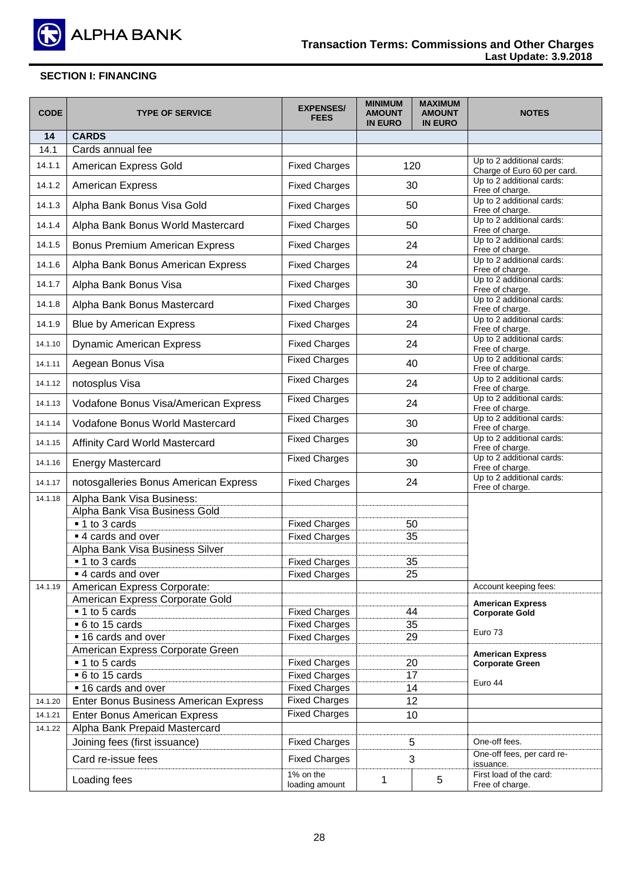

| <b>CODE</b> | <b>TYPE OF SERVICE</b>                       | <b>EXPENSES/</b><br><b>FEES</b> | <b>MINIMUM</b><br><b>AMOUNT</b><br><b>IN EURO</b> | <b>MAXIMUM</b><br><b>AMOUNT</b><br><b>IN EURO</b> | <b>NOTES</b>                                             |
|-------------|----------------------------------------------|---------------------------------|---------------------------------------------------|---------------------------------------------------|----------------------------------------------------------|
| 14          | <b>CARDS</b>                                 |                                 |                                                   |                                                   |                                                          |
| 14.1        | Cards annual fee                             |                                 |                                                   |                                                   |                                                          |
| 14.1.1      | American Express Gold                        | <b>Fixed Charges</b>            |                                                   | 120                                               | Up to 2 additional cards:<br>Charge of Euro 60 per card. |
| 14.1.2      | <b>American Express</b>                      | <b>Fixed Charges</b>            |                                                   | 30                                                | Up to 2 additional cards:<br>Free of charge.             |
| 14.1.3      | Alpha Bank Bonus Visa Gold                   | <b>Fixed Charges</b>            |                                                   | 50                                                | Up to 2 additional cards:<br>Free of charge.             |
| 14.1.4      | Alpha Bank Bonus World Mastercard            | <b>Fixed Charges</b>            |                                                   | 50                                                | Up to 2 additional cards:<br>Free of charge.             |
| 14.1.5      | <b>Bonus Premium American Express</b>        | <b>Fixed Charges</b>            |                                                   | 24                                                | Up to 2 additional cards:<br>Free of charge.             |
| 14.1.6      | Alpha Bank Bonus American Express            | <b>Fixed Charges</b>            |                                                   | 24                                                | Up to 2 additional cards:<br>Free of charge.             |
| 14.1.7      | Alpha Bank Bonus Visa                        | <b>Fixed Charges</b>            |                                                   | 30                                                | Up to 2 additional cards:<br>Free of charge.             |
| 14.1.8      | Alpha Bank Bonus Mastercard                  | <b>Fixed Charges</b>            |                                                   | 30                                                | Up to 2 additional cards:<br>Free of charge.             |
| 14.1.9      | <b>Blue by American Express</b>              | <b>Fixed Charges</b>            |                                                   | 24                                                | Up to 2 additional cards:<br>Free of charge.             |
| 14.1.10     | <b>Dynamic American Express</b>              | <b>Fixed Charges</b>            |                                                   | 24                                                | Up to 2 additional cards:<br>Free of charge.             |
| 14.1.11     | Aegean Bonus Visa                            | <b>Fixed Charges</b>            |                                                   | 40                                                | Up to 2 additional cards:<br>Free of charge.             |
| 14.1.12     | notosplus Visa                               | <b>Fixed Charges</b>            | 24                                                |                                                   | Up to 2 additional cards:<br>Free of charge.             |
| 14.1.13     | Vodafone Bonus Visa/American Express         | <b>Fixed Charges</b>            | 24                                                |                                                   | Up to 2 additional cards:<br>Free of charge.             |
| 14.1.14     | Vodafone Bonus World Mastercard              | <b>Fixed Charges</b>            | 30                                                |                                                   | Up to 2 additional cards:<br>Free of charge.             |
| 14.1.15     | Affinity Card World Mastercard               | <b>Fixed Charges</b>            | 30                                                |                                                   | Up to 2 additional cards:<br>Free of charge.             |
| 14.1.16     | <b>Energy Mastercard</b>                     | <b>Fixed Charges</b>            | 30                                                |                                                   | Up to 2 additional cards:<br>Free of charge.             |
| 14.1.17     | notosgalleries Bonus American Express        | <b>Fixed Charges</b>            | 24                                                |                                                   | Up to 2 additional cards:<br>Free of charge.             |
| 14.1.18     | Alpha Bank Visa Business:                    |                                 |                                                   |                                                   |                                                          |
|             | Alpha Bank Visa Business Gold                |                                 |                                                   |                                                   |                                                          |
|             | ■ 1 to 3 cards                               | <b>Fixed Charges</b>            |                                                   | 50                                                |                                                          |
|             | ■ 4 cards and over                           | <b>Fixed Charges</b>            |                                                   | 35                                                |                                                          |
|             | Alpha Bank Visa Business Silver              |                                 |                                                   |                                                   |                                                          |
|             | ■ 1 to 3 cards                               | <b>Fixed Charges</b>            |                                                   | 35                                                |                                                          |
|             | ■ 4 cards and over                           | <b>Fixed Charges</b>            |                                                   | 25                                                |                                                          |
| 14.1.19     | American Express Corporate:                  |                                 |                                                   |                                                   | Account keeping fees:                                    |
|             | American Express Corporate Gold              |                                 |                                                   |                                                   | <b>American Express</b>                                  |
|             | ■ 1 to 5 cards                               | <b>Fixed Charges</b>            |                                                   | 44                                                | <b>Corporate Gold</b>                                    |
|             | ■ 6 to 15 cards                              | <b>Fixed Charges</b>            |                                                   | 35                                                | Euro 73                                                  |
|             | ■ 16 cards and over                          | <b>Fixed Charges</b>            |                                                   | 29                                                |                                                          |
|             | American Express Corporate Green             |                                 |                                                   |                                                   | <b>American Express</b>                                  |
|             | ■ 1 to 5 cards                               | <b>Fixed Charges</b>            |                                                   | 20                                                | <b>Corporate Green</b>                                   |
|             | ■ 6 to 15 cards                              | <b>Fixed Charges</b>            |                                                   | 17                                                | Euro 44                                                  |
|             | ■ 16 cards and over                          | <b>Fixed Charges</b>            | 14                                                |                                                   |                                                          |
| 14.1.20     | <b>Enter Bonus Business American Express</b> | <b>Fixed Charges</b>            | 12                                                |                                                   |                                                          |
| 14.1.21     | <b>Enter Bonus American Express</b>          | <b>Fixed Charges</b>            |                                                   | 10                                                |                                                          |
| 14.1.22     | Alpha Bank Prepaid Mastercard                |                                 |                                                   |                                                   |                                                          |
|             | Joining fees (first issuance)                | <b>Fixed Charges</b>            |                                                   | 5                                                 | One-off fees.                                            |
|             | Card re-issue fees                           | <b>Fixed Charges</b>            |                                                   | 3                                                 | One-off fees, per card re-<br>issuance.                  |
|             | Loading fees                                 | 1% on the<br>loading amount     | 1                                                 | $\sqrt{5}$                                        | First load of the card:<br>Free of charge.               |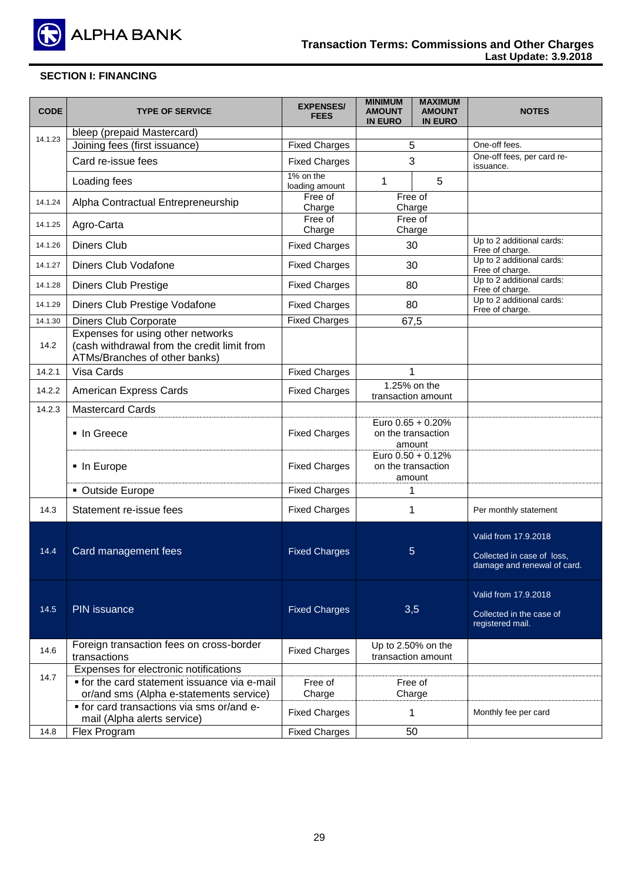

| <b>CODE</b> | <b>TYPE OF SERVICE</b>                                                                                            | <b>EXPENSES/</b><br><b>FEES</b> | <b>MINIMUM</b><br><b>AMOUNT</b><br><b>IN EURO</b> | <b>MAXIMUM</b><br><b>AMOUNT</b><br><b>IN EURO</b> | <b>NOTES</b>                                                                      |
|-------------|-------------------------------------------------------------------------------------------------------------------|---------------------------------|---------------------------------------------------|---------------------------------------------------|-----------------------------------------------------------------------------------|
|             | bleep (prepaid Mastercard)                                                                                        |                                 |                                                   |                                                   |                                                                                   |
| 14.1.23     | Joining fees (first issuance)                                                                                     | <b>Fixed Charges</b>            | 5                                                 |                                                   | One-off fees.                                                                     |
|             | Card re-issue fees                                                                                                | <b>Fixed Charges</b>            | 3                                                 |                                                   | One-off fees, per card re-<br>issuance.                                           |
|             | Loading fees                                                                                                      | 1% on the<br>loading amount     | $\mathbf 1$                                       | 5                                                 |                                                                                   |
| 14.1.24     | Alpha Contractual Entrepreneurship                                                                                | Free of<br>Charge               | Charge                                            | Free of                                           |                                                                                   |
| 14.1.25     | Agro-Carta                                                                                                        | Free of<br>Charge               | Charge                                            | Free of                                           |                                                                                   |
| 14.1.26     | <b>Diners Club</b>                                                                                                | <b>Fixed Charges</b>            | 30                                                |                                                   | Up to 2 additional cards:<br>Free of charge.                                      |
| 14.1.27     | Diners Club Vodafone                                                                                              | <b>Fixed Charges</b>            | 30                                                |                                                   | Up to 2 additional cards:<br>Free of charge.                                      |
| 14.1.28     | <b>Diners Club Prestige</b>                                                                                       | <b>Fixed Charges</b>            | 80                                                |                                                   | Up to 2 additional cards:<br>Free of charge.                                      |
| 14.1.29     | Diners Club Prestige Vodafone                                                                                     | <b>Fixed Charges</b>            | 80                                                |                                                   | Up to 2 additional cards:<br>Free of charge.                                      |
| 14.1.30     | <b>Diners Club Corporate</b>                                                                                      | <b>Fixed Charges</b>            | 67,5                                              |                                                   |                                                                                   |
| 14.2        | Expenses for using other networks<br>(cash withdrawal from the credit limit from<br>ATMs/Branches of other banks) |                                 |                                                   |                                                   |                                                                                   |
| 14.2.1      | Visa Cards                                                                                                        | <b>Fixed Charges</b>            | 1                                                 |                                                   |                                                                                   |
| 14.2.2      | American Express Cards                                                                                            | <b>Fixed Charges</b>            | 1.25% on the<br>transaction amount                |                                                   |                                                                                   |
| 14.2.3      | <b>Mastercard Cards</b>                                                                                           |                                 |                                                   |                                                   |                                                                                   |
|             | ■ In Greece                                                                                                       | <b>Fixed Charges</b>            | Euro 0.65 + 0.20%<br>on the transaction<br>amount |                                                   |                                                                                   |
|             | • In Europe                                                                                                       | <b>Fixed Charges</b>            | Euro 0.50 + 0.12%<br>on the transaction<br>amount |                                                   |                                                                                   |
|             | • Outside Europe                                                                                                  | <b>Fixed Charges</b>            | 1                                                 |                                                   |                                                                                   |
| 14.3        | Statement re-issue fees                                                                                           | <b>Fixed Charges</b>            | 1                                                 |                                                   | Per monthly statement                                                             |
| 14.4        | Card management fees                                                                                              | <b>Fixed Charges</b>            | 5                                                 |                                                   | Valid from 17.9.2018<br>Collected in case of loss,<br>damage and renewal of card. |
| 14.5        | PIN issuance                                                                                                      | <b>Fixed Charges</b>            | 3,5                                               |                                                   | Valid from 17.9.2018<br>Collected in the case of<br>registered mail.              |
| 14.6        | Foreign transaction fees on cross-border<br>transactions                                                          | <b>Fixed Charges</b>            | Up to 2.50% on the<br>transaction amount          |                                                   |                                                                                   |
|             | Expenses for electronic notifications                                                                             |                                 |                                                   |                                                   |                                                                                   |
| 14.7        | • for the card statement issuance via e-mail                                                                      | Free of                         |                                                   | Free of                                           |                                                                                   |
|             | or/and sms (Alpha e-statements service)                                                                           | Charge                          | Charge                                            |                                                   |                                                                                   |
|             | • for card transactions via sms or/and e-<br>mail (Alpha alerts service)                                          | <b>Fixed Charges</b>            | 1                                                 |                                                   | Monthly fee per card                                                              |
| 14.8        | Flex Program                                                                                                      | <b>Fixed Charges</b>            | 50                                                |                                                   |                                                                                   |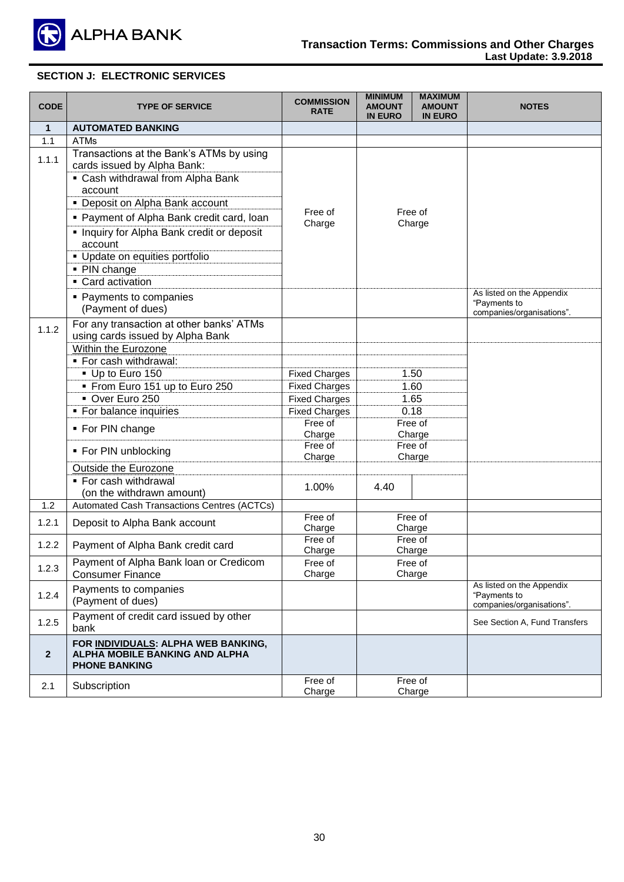

| <b>CODE</b>  | <b>TYPE OF SERVICE</b>                                                                                       | <b>COMMISSION</b><br><b>RATE</b> | <b>MINIMUM</b><br><b>AMOUNT</b><br><b>IN EURO</b> | <b>MAXIMUM</b><br><b>AMOUNT</b><br><b>IN EURO</b> | <b>NOTES</b>                                                           |
|--------------|--------------------------------------------------------------------------------------------------------------|----------------------------------|---------------------------------------------------|---------------------------------------------------|------------------------------------------------------------------------|
| $\mathbf{1}$ | <b>AUTOMATED BANKING</b>                                                                                     |                                  |                                                   |                                                   |                                                                        |
| 1.1          | <b>ATMs</b>                                                                                                  |                                  |                                                   |                                                   |                                                                        |
| 1.1.1        | Transactions at the Bank's ATMs by using<br>cards issued by Alpha Bank:<br>• Cash withdrawal from Alpha Bank |                                  |                                                   |                                                   |                                                                        |
|              | account                                                                                                      |                                  |                                                   |                                                   |                                                                        |
|              | • Deposit on Alpha Bank account                                                                              | Free of                          |                                                   | Free of                                           |                                                                        |
|              | • Payment of Alpha Bank credit card, loan                                                                    | Charge                           |                                                   | Charge                                            |                                                                        |
|              | • Inquiry for Alpha Bank credit or deposit<br>account                                                        |                                  |                                                   |                                                   |                                                                        |
|              | • Update on equities portfolio                                                                               |                                  |                                                   |                                                   |                                                                        |
|              | • PIN change                                                                                                 |                                  |                                                   |                                                   |                                                                        |
|              | • Card activation                                                                                            |                                  |                                                   |                                                   | As listed on the Appendix                                              |
|              | • Payments to companies<br>(Payment of dues)                                                                 |                                  |                                                   |                                                   | "Payments to<br>companies/organisations".                              |
| 1.1.2        | For any transaction at other banks' ATMs<br>using cards issued by Alpha Bank                                 |                                  |                                                   |                                                   |                                                                        |
|              | Within the Eurozone                                                                                          |                                  |                                                   |                                                   |                                                                        |
|              | • For cash withdrawal:                                                                                       |                                  |                                                   |                                                   |                                                                        |
|              | Up to Euro 150                                                                                               | <b>Fixed Charges</b>             |                                                   | 1.50                                              |                                                                        |
|              | • From Euro 151 up to Euro 250                                                                               | <b>Fixed Charges</b>             | 1.60                                              |                                                   |                                                                        |
|              | Over Euro 250                                                                                                | <b>Fixed Charges</b>             |                                                   | 1.65                                              |                                                                        |
|              | • For balance inquiries                                                                                      | <b>Fixed Charges</b>             |                                                   | 0.18                                              |                                                                        |
|              | • For PIN change                                                                                             | Free of<br>Charge                |                                                   | Free of<br>Charge                                 |                                                                        |
|              | • For PIN unblocking                                                                                         | Free of<br>Charge                |                                                   | Free of<br>Charge                                 |                                                                        |
|              | Outside the Eurozone                                                                                         |                                  |                                                   |                                                   |                                                                        |
|              | ■ For cash withdrawal<br>(on the withdrawn amount)                                                           | 1.00%                            | 4.40                                              |                                                   |                                                                        |
| 1.2          | Automated Cash Transactions Centres (ACTCs)                                                                  |                                  |                                                   |                                                   |                                                                        |
| 1.2.1        | Deposit to Alpha Bank account                                                                                | Free of                          |                                                   | Free of                                           |                                                                        |
|              |                                                                                                              | Charge<br>Free of                |                                                   | Charge<br>Free of                                 |                                                                        |
| 1.2.2        | Payment of Alpha Bank credit card                                                                            | Charge                           |                                                   | Charge                                            |                                                                        |
|              | Payment of Alpha Bank loan or Credicom                                                                       | Free of                          |                                                   | Free of                                           |                                                                        |
| 1.2.3        | <b>Consumer Finance</b>                                                                                      | Charge                           |                                                   | Charge                                            |                                                                        |
| 1.2.4        | Payments to companies<br>(Payment of dues)                                                                   |                                  |                                                   |                                                   | As listed on the Appendix<br>"Payments to<br>companies/organisations". |
| 1.2.5        | Payment of credit card issued by other<br>bank                                                               |                                  |                                                   |                                                   | See Section A, Fund Transfers                                          |
| $\mathbf{2}$ | FOR INDIVIDUALS: ALPHA WEB BANKING,<br>ALPHA MOBILE BANKING AND ALPHA<br><b>PHONE BANKING</b>                |                                  |                                                   |                                                   |                                                                        |
| 2.1          | Subscription                                                                                                 | Free of<br>Charge                |                                                   | Free of<br>Charge                                 |                                                                        |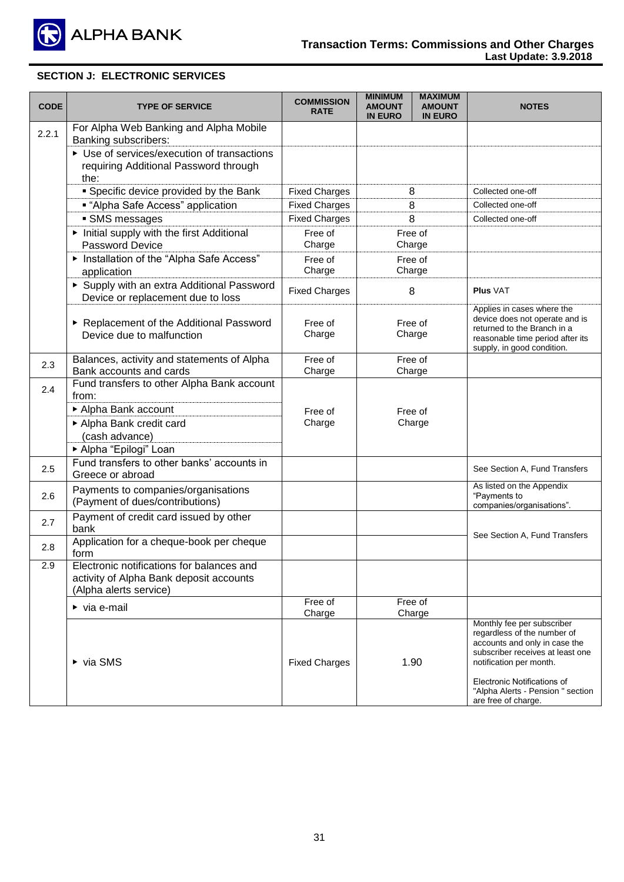

| <b>CODE</b> | <b>TYPE OF SERVICE</b>                                                                                         | <b>COMMISSION</b><br><b>RATE</b> | <b>MAXIMUM</b><br><b>MINIMUM</b><br><b>AMOUNT</b><br><b>AMOUNT</b><br><b>IN EURO</b><br><b>IN EURO</b> | <b>NOTES</b>                                                                                                                                                                                                                                         |
|-------------|----------------------------------------------------------------------------------------------------------------|----------------------------------|--------------------------------------------------------------------------------------------------------|------------------------------------------------------------------------------------------------------------------------------------------------------------------------------------------------------------------------------------------------------|
| 2.2.1       | For Alpha Web Banking and Alpha Mobile<br>Banking subscribers:                                                 |                                  |                                                                                                        |                                                                                                                                                                                                                                                      |
|             | ▶ Use of services/execution of transactions<br>requiring Additional Password through<br>the:                   |                                  |                                                                                                        |                                                                                                                                                                                                                                                      |
|             | • Specific device provided by the Bank                                                                         | <b>Fixed Charges</b>             | 8                                                                                                      | Collected one-off                                                                                                                                                                                                                                    |
|             | <b>.</b> "Alpha Safe Access" application                                                                       | <b>Fixed Charges</b>             | 8                                                                                                      | Collected one-off                                                                                                                                                                                                                                    |
|             | · SMS messages                                                                                                 | <b>Fixed Charges</b>             | 8                                                                                                      | Collected one-off                                                                                                                                                                                                                                    |
|             | Initial supply with the first Additional<br><b>Password Device</b>                                             | Free of<br>Charge                | Free of<br>Charge                                                                                      |                                                                                                                                                                                                                                                      |
|             | Installation of the "Alpha Safe Access"<br>application                                                         | Free of<br>Charge                | Free of<br>Charge                                                                                      |                                                                                                                                                                                                                                                      |
|             | Supply with an extra Additional Password<br>Device or replacement due to loss                                  | <b>Fixed Charges</b>             | 8                                                                                                      | <b>Plus VAT</b>                                                                                                                                                                                                                                      |
|             | ▶ Replacement of the Additional Password<br>Device due to malfunction                                          | Free of<br>Charge                | Free of<br>Charge                                                                                      | Applies in cases where the<br>device does not operate and is<br>returned to the Branch in a<br>reasonable time period after its<br>supply, in good condition.                                                                                        |
| 2.3         | Balances, activity and statements of Alpha<br>Bank accounts and cards                                          | Free of<br>Charge                | Free of<br>Charge                                                                                      |                                                                                                                                                                                                                                                      |
| 2.4         | Fund transfers to other Alpha Bank account<br>from:                                                            |                                  |                                                                                                        |                                                                                                                                                                                                                                                      |
|             | Alpha Bank account<br>Alpha Bank credit card<br>(cash advance)<br>Alpha "Epilogi" Loan                         | Free of<br>Charge                | Free of<br>Charge                                                                                      |                                                                                                                                                                                                                                                      |
| 2.5         | Fund transfers to other banks' accounts in<br>Greece or abroad                                                 |                                  |                                                                                                        | See Section A, Fund Transfers                                                                                                                                                                                                                        |
| 2.6         | Payments to companies/organisations<br>(Payment of dues/contributions)                                         |                                  |                                                                                                        | As listed on the Appendix<br>"Payments to<br>companies/organisations".                                                                                                                                                                               |
| 2.7         | Payment of credit card issued by other<br>bank                                                                 |                                  |                                                                                                        | See Section A, Fund Transfers                                                                                                                                                                                                                        |
| 2.8         | Application for a cheque-book per cheque<br>form                                                               |                                  |                                                                                                        |                                                                                                                                                                                                                                                      |
| 2.9         | Electronic notifications for balances and<br>activity of Alpha Bank deposit accounts<br>(Alpha alerts service) |                                  |                                                                                                        |                                                                                                                                                                                                                                                      |
|             | $\triangleright$ via e-mail                                                                                    | Free of<br>Charge                | Free of<br>Charge                                                                                      |                                                                                                                                                                                                                                                      |
|             | $\triangleright$ via SMS                                                                                       | <b>Fixed Charges</b>             | 1.90                                                                                                   | Monthly fee per subscriber<br>regardless of the number of<br>accounts and only in case the<br>subscriber receives at least one<br>notification per month.<br>Electronic Notifications of<br>"Alpha Alerts - Pension " section<br>are free of charge. |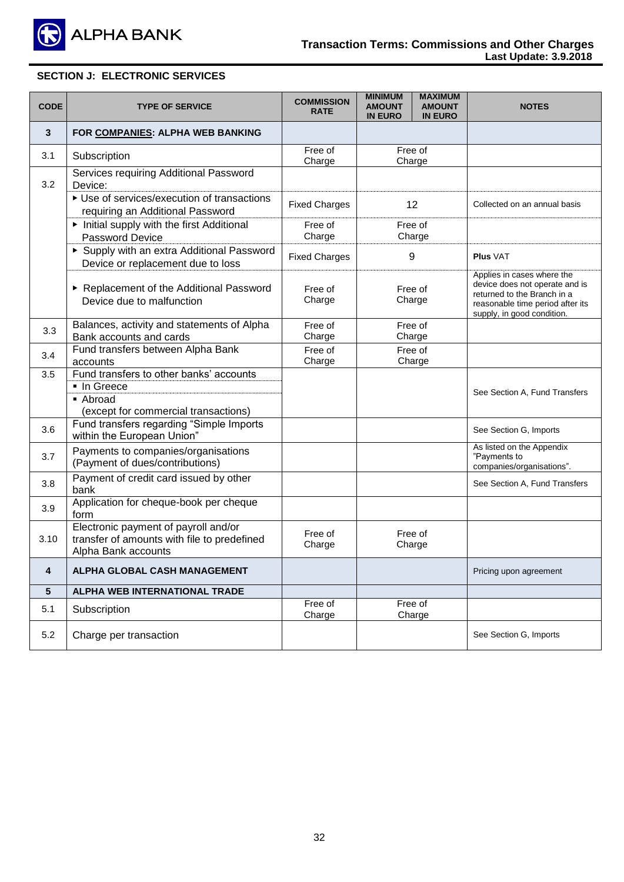

| <b>CODE</b> | <b>TYPE OF SERVICE</b>                                                                                     | <b>COMMISSION</b><br><b>RATE</b> | <b>MINIMUM</b><br><b>AMOUNT</b><br><b>IN EURO</b> | <b>MAXIMUM</b><br><b>AMOUNT</b><br><b>IN EURO</b> | <b>NOTES</b>                                                                                                                                                  |
|-------------|------------------------------------------------------------------------------------------------------------|----------------------------------|---------------------------------------------------|---------------------------------------------------|---------------------------------------------------------------------------------------------------------------------------------------------------------------|
| 3           | FOR COMPANIES: ALPHA WEB BANKING                                                                           |                                  |                                                   |                                                   |                                                                                                                                                               |
| 3.1         | Subscription                                                                                               | Free of<br>Charge                | Charge                                            | Free of                                           |                                                                                                                                                               |
| 3.2         | Services requiring Additional Password<br>Device:                                                          |                                  |                                                   |                                                   |                                                                                                                                                               |
|             | ▶ Use of services/execution of transactions<br>requiring an Additional Password                            | <b>Fixed Charges</b>             |                                                   | 12                                                | Collected on an annual basis                                                                                                                                  |
|             | Initial supply with the first Additional<br><b>Password Device</b>                                         | Free of<br>Charge                |                                                   | Free of<br>Charge                                 |                                                                                                                                                               |
|             | Supply with an extra Additional Password<br>Device or replacement due to loss                              | <b>Fixed Charges</b>             |                                                   | 9                                                 | <b>Plus VAT</b>                                                                                                                                               |
|             | Replacement of the Additional Password<br>Device due to malfunction                                        | Free of<br>Charge                | Free of<br>Charge                                 |                                                   | Applies in cases where the<br>device does not operate and is<br>returned to the Branch in a<br>reasonable time period after its<br>supply, in good condition. |
| 3.3         | Balances, activity and statements of Alpha<br>Bank accounts and cards                                      | Free of<br>Charge                | Free of<br>Charge                                 |                                                   |                                                                                                                                                               |
| 3.4         | Fund transfers between Alpha Bank<br>accounts                                                              | Free of<br>Charge                | Free of<br>Charge                                 |                                                   |                                                                                                                                                               |
| 3.5         | Fund transfers to other banks' accounts<br>■ In Greece<br>• Abroad<br>(except for commercial transactions) |                                  |                                                   |                                                   | See Section A, Fund Transfers                                                                                                                                 |
| 3.6         | Fund transfers regarding "Simple Imports<br>within the European Union"                                     |                                  |                                                   |                                                   | See Section G, Imports                                                                                                                                        |
| 3.7         | Payments to companies/organisations<br>(Payment of dues/contributions)                                     |                                  |                                                   |                                                   | As listed on the Appendix<br>"Payments to<br>companies/organisations".                                                                                        |
| 3.8         | Payment of credit card issued by other<br>bank                                                             |                                  |                                                   |                                                   | See Section A, Fund Transfers                                                                                                                                 |
| 3.9         | Application for cheque-book per cheque<br>form                                                             |                                  |                                                   |                                                   |                                                                                                                                                               |
| 3.10        | Electronic payment of payroll and/or<br>transfer of amounts with file to predefined<br>Alpha Bank accounts | Free of<br>Charge                |                                                   | Free of<br>Charge                                 |                                                                                                                                                               |
| 4           | ALPHA GLOBAL CASH MANAGEMENT                                                                               |                                  |                                                   |                                                   | Pricing upon agreement                                                                                                                                        |
| 5           | ALPHA WEB INTERNATIONAL TRADE                                                                              |                                  |                                                   |                                                   |                                                                                                                                                               |
| 5.1         | Subscription                                                                                               | Free of<br>Charge                |                                                   | Free of<br>Charge                                 |                                                                                                                                                               |
| 5.2         | Charge per transaction                                                                                     |                                  |                                                   |                                                   | See Section G, Imports                                                                                                                                        |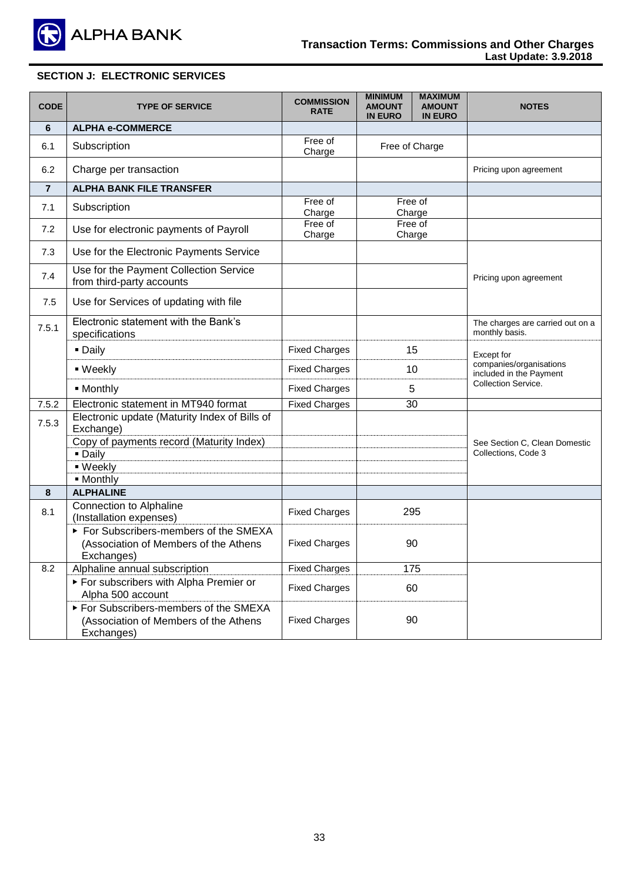

| <b>CODE</b>    | <b>TYPE OF SERVICE</b>                                                                      | <b>COMMISSION</b><br><b>RATE</b> | <b>MINIMUM</b><br><b>AMOUNT</b><br><b>IN EURO</b> | <b>MAXIMUM</b><br><b>AMOUNT</b><br><b>IN EURO</b> | <b>NOTES</b>                                       |
|----------------|---------------------------------------------------------------------------------------------|----------------------------------|---------------------------------------------------|---------------------------------------------------|----------------------------------------------------|
| 6              | <b>ALPHA e-COMMERCE</b>                                                                     |                                  |                                                   |                                                   |                                                    |
| 6.1            | Subscription                                                                                | Free of<br>Charge                |                                                   | Free of Charge                                    |                                                    |
| 6.2            | Charge per transaction                                                                      |                                  |                                                   |                                                   | Pricing upon agreement                             |
| $\overline{7}$ | <b>ALPHA BANK FILE TRANSFER</b>                                                             |                                  |                                                   |                                                   |                                                    |
| 7.1            | Subscription                                                                                | Free of<br>Charge                | Charge                                            | Free of                                           |                                                    |
| 7.2            | Use for electronic payments of Payroll                                                      | Free of<br>Charge                |                                                   | Free of<br>Charge                                 |                                                    |
| 7.3            | Use for the Electronic Payments Service                                                     |                                  |                                                   |                                                   |                                                    |
| 7.4            | Use for the Payment Collection Service<br>from third-party accounts                         |                                  |                                                   |                                                   | Pricing upon agreement                             |
| 7.5            | Use for Services of updating with file                                                      |                                  |                                                   |                                                   |                                                    |
| 7.5.1          | Electronic statement with the Bank's<br>specifications                                      |                                  |                                                   |                                                   | The charges are carried out on a<br>monthly basis. |
|                | • Daily                                                                                     | <b>Fixed Charges</b>             |                                                   | 15                                                | Except for                                         |
|                | ■ Weekly                                                                                    | <b>Fixed Charges</b>             |                                                   | 10                                                | companies/organisations<br>included in the Payment |
|                | · Monthly                                                                                   | <b>Fixed Charges</b>             | 5                                                 |                                                   | Collection Service.                                |
| 7.5.2          | Electronic statement in MT940 format                                                        | <b>Fixed Charges</b>             |                                                   | 30                                                |                                                    |
| 7.5.3          | Electronic update (Maturity Index of Bills of<br>Exchange)                                  |                                  |                                                   |                                                   |                                                    |
|                | Copy of payments record (Maturity Index)                                                    |                                  |                                                   |                                                   | See Section C, Clean Domestic                      |
|                | - Daily                                                                                     |                                  |                                                   |                                                   | Collections, Code 3                                |
|                | - Weekly<br>· Monthly                                                                       |                                  |                                                   |                                                   |                                                    |
| 8              | <b>ALPHALINE</b>                                                                            |                                  |                                                   |                                                   |                                                    |
| 8.1            | <b>Connection to Alphaline</b><br>(Installation expenses)                                   | <b>Fixed Charges</b>             |                                                   | 295                                               |                                                    |
|                | For Subscribers-members of the SMEXA<br>(Association of Members of the Athens<br>Exchanges) | <b>Fixed Charges</b>             |                                                   | 90                                                |                                                    |
| 8.2            | Alphaline annual subscription                                                               | <b>Fixed Charges</b>             | 175                                               |                                                   |                                                    |
|                | For subscribers with Alpha Premier or<br>Alpha 500 account                                  | <b>Fixed Charges</b>             |                                                   | 60                                                |                                                    |
|                | For Subscribers-members of the SMEXA<br>(Association of Members of the Athens<br>Exchanges) | <b>Fixed Charges</b>             |                                                   | 90                                                |                                                    |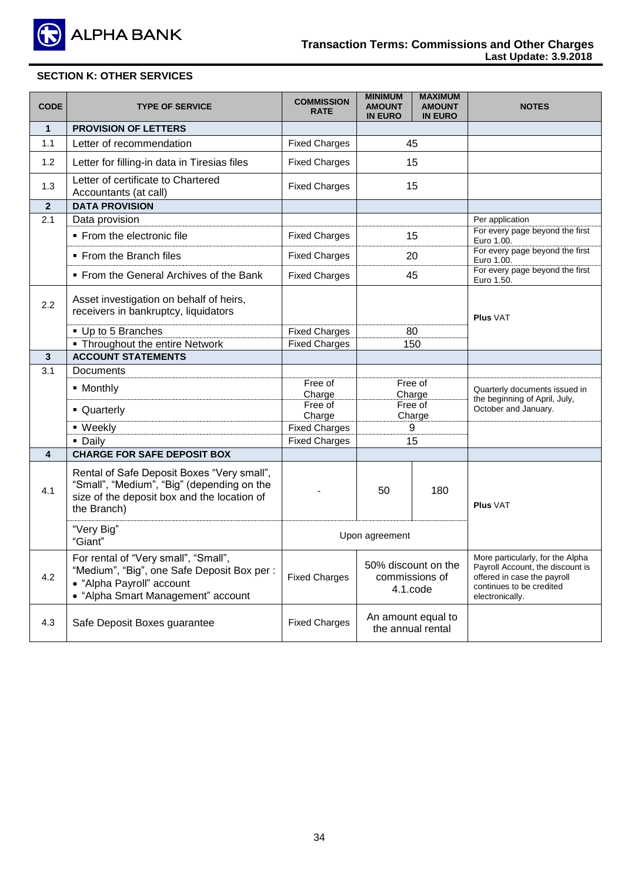

# **SECTION K: OTHER SERVICES**

| <b>CODE</b>  | <b>TYPE OF SERVICE</b>                                                                                                                                 | <b>COMMISSION</b><br><b>RATE</b> | <b>MINIMUM</b><br><b>AMOUNT</b><br><b>IN EURO</b> | <b>MAXIMUM</b><br><b>AMOUNT</b><br><b>IN EURO</b> | <b>NOTES</b>                                                                                                                                       |
|--------------|--------------------------------------------------------------------------------------------------------------------------------------------------------|----------------------------------|---------------------------------------------------|---------------------------------------------------|----------------------------------------------------------------------------------------------------------------------------------------------------|
| $\mathbf{1}$ | <b>PROVISION OF LETTERS</b>                                                                                                                            |                                  |                                                   |                                                   |                                                                                                                                                    |
| 1.1          | Letter of recommendation                                                                                                                               | <b>Fixed Charges</b>             |                                                   | 45                                                |                                                                                                                                                    |
| 1.2          | Letter for filling-in data in Tiresias files                                                                                                           | <b>Fixed Charges</b>             |                                                   | 15                                                |                                                                                                                                                    |
| 1.3          | Letter of certificate to Chartered<br>Accountants (at call)                                                                                            | <b>Fixed Charges</b>             |                                                   | 15                                                |                                                                                                                                                    |
| $\mathbf{2}$ | <b>DATA PROVISION</b>                                                                                                                                  |                                  |                                                   |                                                   |                                                                                                                                                    |
| 2.1          | Data provision                                                                                                                                         |                                  |                                                   |                                                   | Per application                                                                                                                                    |
|              | • From the electronic file                                                                                                                             | <b>Fixed Charges</b>             |                                                   | 15                                                | For every page beyond the first<br>Euro 1.00.                                                                                                      |
|              | • From the Branch files                                                                                                                                | <b>Fixed Charges</b>             |                                                   | 20                                                | For every page beyond the first<br>Euro 1.00.                                                                                                      |
|              | • From the General Archives of the Bank                                                                                                                | <b>Fixed Charges</b>             |                                                   | 45                                                | For every page beyond the first<br>Euro 1.50.                                                                                                      |
| 2.2          | Asset investigation on behalf of heirs,<br>receivers in bankruptcy, liquidators                                                                        |                                  |                                                   |                                                   | <b>Plus VAT</b>                                                                                                                                    |
|              | • Up to 5 Branches                                                                                                                                     | <b>Fixed Charges</b>             | 80                                                |                                                   |                                                                                                                                                    |
|              | • Throughout the entire Network                                                                                                                        | <b>Fixed Charges</b>             | 150                                               |                                                   |                                                                                                                                                    |
| 3            | <b>ACCOUNT STATEMENTS</b>                                                                                                                              |                                  |                                                   |                                                   |                                                                                                                                                    |
| 3.1          | Documents                                                                                                                                              |                                  |                                                   |                                                   |                                                                                                                                                    |
|              | • Monthly                                                                                                                                              | Free of                          | Free of                                           |                                                   | Quarterly documents issued in                                                                                                                      |
|              |                                                                                                                                                        | Charge                           |                                                   | Charge                                            | the beginning of April, July,                                                                                                                      |
|              | • Quarterly                                                                                                                                            | Free of<br>Charge                |                                                   | Free of<br>Charge                                 | October and January.                                                                                                                               |
|              | ■ Weekly                                                                                                                                               | <b>Fixed Charges</b>             |                                                   | 9                                                 |                                                                                                                                                    |
|              | • Daily                                                                                                                                                | <b>Fixed Charges</b>             |                                                   | 15                                                |                                                                                                                                                    |
| 4            | <b>CHARGE FOR SAFE DEPOSIT BOX</b>                                                                                                                     |                                  |                                                   |                                                   |                                                                                                                                                    |
| 4.1          | Rental of Safe Deposit Boxes "Very small",<br>"Small", "Medium", "Big" (depending on the<br>size of the deposit box and the location of<br>the Branch) |                                  | 50                                                | 180                                               | <b>Plus VAT</b>                                                                                                                                    |
|              | "Very Big"<br>"Giant"                                                                                                                                  |                                  | Upon agreement                                    |                                                   |                                                                                                                                                    |
| 4.2          | For rental of "Very small", "Small",<br>"Medium", "Big", one Safe Deposit Box per :<br>• "Alpha Payroll" account<br>• "Alpha Smart Management" account | <b>Fixed Charges</b>             | 50% discount on the<br>commissions of<br>4.1.code |                                                   | More particularly, for the Alpha<br>Payroll Account, the discount is<br>offered in case the payroll<br>continues to be credited<br>electronically. |
| 4.3          | Safe Deposit Boxes guarantee                                                                                                                           | <b>Fixed Charges</b>             |                                                   | An amount equal to<br>the annual rental           |                                                                                                                                                    |